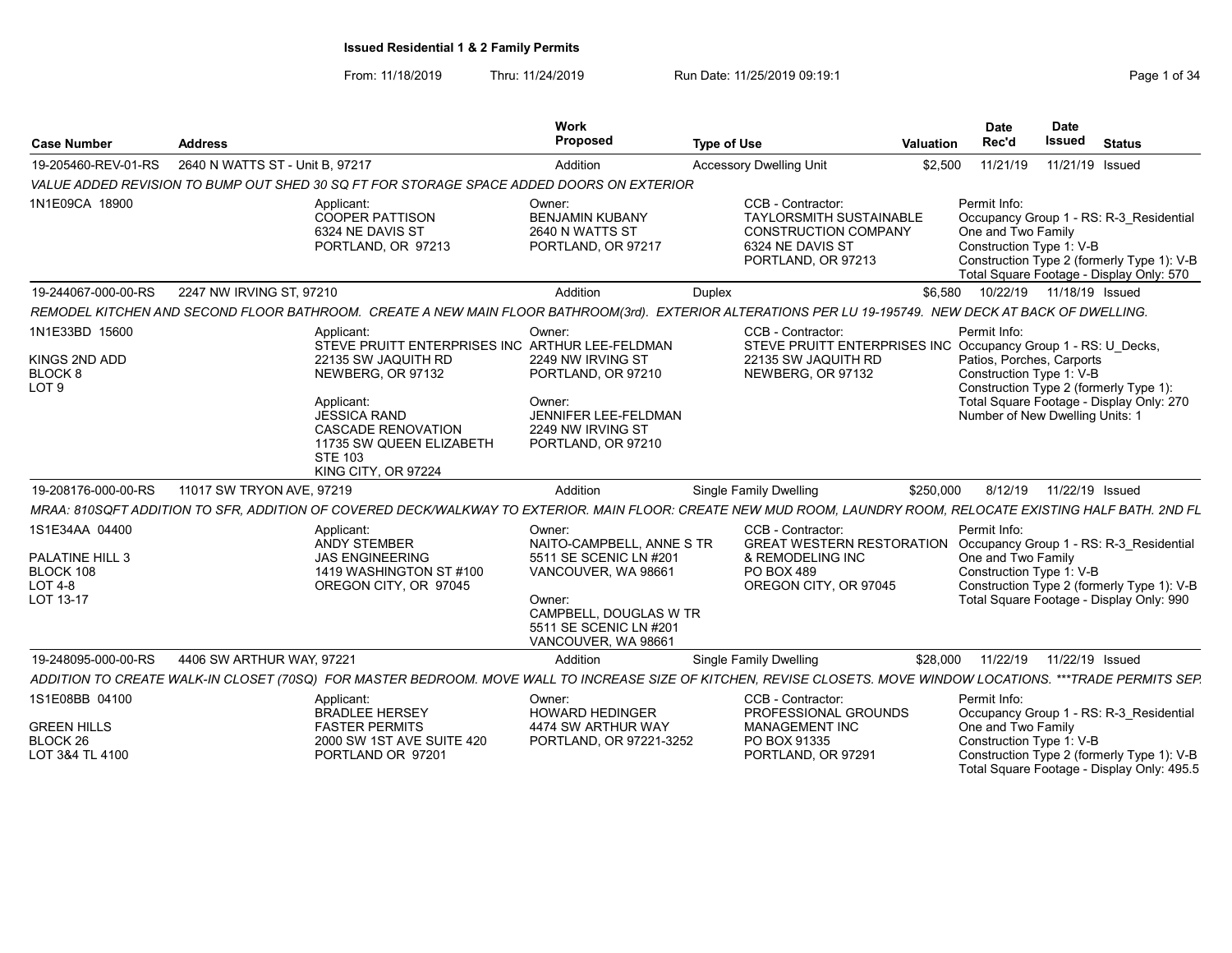From: 11/18/2019 Thru: 11/24/2019 Run Date: 11/25/2019 09:19:1 Company Page 1 of 34

| <b>Case Number</b>                                                            | <b>Address</b>                  |                                                                                                                                                                                                                    | Work<br>Proposed                                                                                                                                                          | <b>Type of Use</b>                                                                                                           | Valuation | Date<br>Rec'd                                                         | <b>Date</b><br>Issued<br><b>Status</b>                                                                                                                                                 |
|-------------------------------------------------------------------------------|---------------------------------|--------------------------------------------------------------------------------------------------------------------------------------------------------------------------------------------------------------------|---------------------------------------------------------------------------------------------------------------------------------------------------------------------------|------------------------------------------------------------------------------------------------------------------------------|-----------|-----------------------------------------------------------------------|----------------------------------------------------------------------------------------------------------------------------------------------------------------------------------------|
| 19-205460-REV-01-RS                                                           | 2640 N WATTS ST - Unit B, 97217 |                                                                                                                                                                                                                    | Addition                                                                                                                                                                  | <b>Accessory Dwelling Unit</b>                                                                                               |           | \$2,500<br>11/21/19                                                   | 11/21/19 Issued                                                                                                                                                                        |
|                                                                               |                                 | VALUE ADDED REVISION TO BUMP OUT SHED 30 SQ FT FOR STORAGE SPACE ADDED DOORS ON EXTERIOR                                                                                                                           |                                                                                                                                                                           |                                                                                                                              |           |                                                                       |                                                                                                                                                                                        |
| 1N1E09CA 18900                                                                |                                 | Applicant:<br><b>COOPER PATTISON</b><br>6324 NE DAVIS ST<br>PORTLAND, OR 97213                                                                                                                                     | Owner:<br><b>BENJAMIN KUBANY</b><br>2640 N WATTS ST<br>PORTLAND, OR 97217                                                                                                 | CCB - Contractor:<br><b>TAYLORSMITH SUSTAINABLE</b><br><b>CONSTRUCTION COMPANY</b><br>6324 NE DAVIS ST<br>PORTLAND, OR 97213 |           | Permit Info:<br>One and Two Family<br>Construction Type 1: V-B        | Occupancy Group 1 - RS: R-3 Residential<br>Construction Type 2 (formerly Type 1): V-B<br>Total Square Footage - Display Only: 570                                                      |
| 19-244067-000-00-RS                                                           | 2247 NW IRVING ST, 97210        |                                                                                                                                                                                                                    | Addition                                                                                                                                                                  | Duplex                                                                                                                       | \$6,580   |                                                                       | 10/22/19  11/18/19  Issued                                                                                                                                                             |
|                                                                               |                                 | REMODEL KITCHEN AND SECOND FLOOR BATHROOM. CREATE A NEW MAIN FLOOR BATHROOM(3rd). EXTERIOR ALTERATIONS PER LU 19-195749. NEW DECK AT BACK OF DWELLING.                                                             |                                                                                                                                                                           |                                                                                                                              |           |                                                                       |                                                                                                                                                                                        |
| 1N1E33BD 15600<br>KINGS 2ND ADD<br>BLOCK 8<br>LOT <sub>9</sub>                |                                 | Applicant:<br>STEVE PRUITT ENTERPRISES INC ARTHUR LEE-FELDMAN<br>22135 SW JAQUITH RD<br>NEWBERG, OR 97132<br>Applicant:<br>JESSICA RAND<br><b>CASCADE RENOVATION</b><br>11735 SW QUEEN ELIZABETH<br><b>STE 103</b> | Owner:<br>2249 NW IRVING ST<br>PORTLAND, OR 97210<br>Owner:<br>JENNIFER LEE-FELDMAN<br>2249 NW IRVING ST<br>PORTLAND, OR 97210                                            | CCB - Contractor:<br>22135 SW JAQUITH RD<br>NEWBERG, OR 97132                                                                |           | Permit Info:<br>Patios, Porches, Carports<br>Construction Type 1: V-B | STEVE PRUITT ENTERPRISES INC Occupancy Group 1 - RS: U_Decks,<br>Construction Type 2 (formerly Type 1):<br>Total Square Footage - Display Only: 270<br>Number of New Dwelling Units: 1 |
|                                                                               |                                 | KING CITY, OR 97224                                                                                                                                                                                                |                                                                                                                                                                           |                                                                                                                              |           |                                                                       |                                                                                                                                                                                        |
| 19-208176-000-00-RS                                                           | 11017 SW TRYON AVE, 97219       |                                                                                                                                                                                                                    | Addition                                                                                                                                                                  | Single Family Dwelling                                                                                                       | \$250,000 | 8/12/19                                                               | 11/22/19 Issued                                                                                                                                                                        |
|                                                                               |                                 | MRAA: 810SQFT ADDITION TO SFR. ADDITION OF COVERED DECK/WALKWAY TO EXTERIOR. MAIN FLOOR: CREATE NEW MUD ROOM, LAUNDRY ROOM, RELOCATE EXISTING HALF BATH, 2ND FL                                                    |                                                                                                                                                                           |                                                                                                                              |           |                                                                       |                                                                                                                                                                                        |
| 1S1E34AA 04400<br>PALATINE HILL 3<br>BLOCK 108<br><b>LOT 4-8</b><br>LOT 13-17 |                                 | Applicant:<br><b>ANDY STEMBER</b><br><b>JAS ENGINEERING</b><br>1419 WASHINGTON ST #100<br>OREGON CITY, OR 97045                                                                                                    | Owner:<br>NAITO-CAMPBELL, ANNE S TR<br>5511 SE SCENIC LN #201<br>VANCOUVER, WA 98661<br>Owner:<br>CAMPBELL, DOUGLAS W TR<br>5511 SE SCENIC LN #201<br>VANCOUVER, WA 98661 | CCB - Contractor:<br>& REMODELING INC<br>PO BOX 489<br>OREGON CITY, OR 97045                                                 |           | Permit Info:<br>One and Two Family<br>Construction Type 1: V-B        | GREAT WESTERN RESTORATION Occupancy Group 1 - RS: R-3 Residential<br>Construction Type 2 (formerly Type 1): V-B<br>Total Square Footage - Display Only: 990                            |
| 19-248095-000-00-RS                                                           | 4406 SW ARTHUR WAY, 97221       |                                                                                                                                                                                                                    | Addition                                                                                                                                                                  | <b>Single Family Dwelling</b>                                                                                                | \$28.000  | 11/22/19                                                              | 11/22/19 Issued                                                                                                                                                                        |
|                                                                               |                                 | ADDITION TO CREATE WALK-IN CLOSET (70SQ) FOR MASTER BEDROOM. MOVE WALL TO INCREASE SIZE OF KITCHEN, REVISE CLOSETS. MOVE WINDOW LOCATIONS. ***TRADE PERMITS SEP.                                                   |                                                                                                                                                                           |                                                                                                                              |           |                                                                       |                                                                                                                                                                                        |
| 1S1E08BB 04100                                                                |                                 | Applicant:<br><b>BRADLEE HERSEY</b>                                                                                                                                                                                | Owner:<br><b>HOWARD HEDINGER</b>                                                                                                                                          | CCB - Contractor:<br>PROFESSIONAL GROUNDS                                                                                    |           | Permit Info:                                                          | Occupancy Group 1 - RS: R-3 Residential                                                                                                                                                |
| <b>GREEN HILLS</b><br>BLOCK 26<br>LOT 3&4 TL 4100                             |                                 | <b>FASTER PERMITS</b><br>2000 SW 1ST AVE SUITE 420<br>PORTLAND OR 97201                                                                                                                                            | 4474 SW ARTHUR WAY<br>PORTLAND, OR 97221-3252                                                                                                                             | <b>MANAGEMENT INC</b><br>PO BOX 91335<br>PORTLAND, OR 97291                                                                  |           | One and Two Family<br>Construction Type 1: V-B                        | Construction Type 2 (formerly Type 1): V-B<br>Total Square Footage - Display Only: 495.5                                                                                               |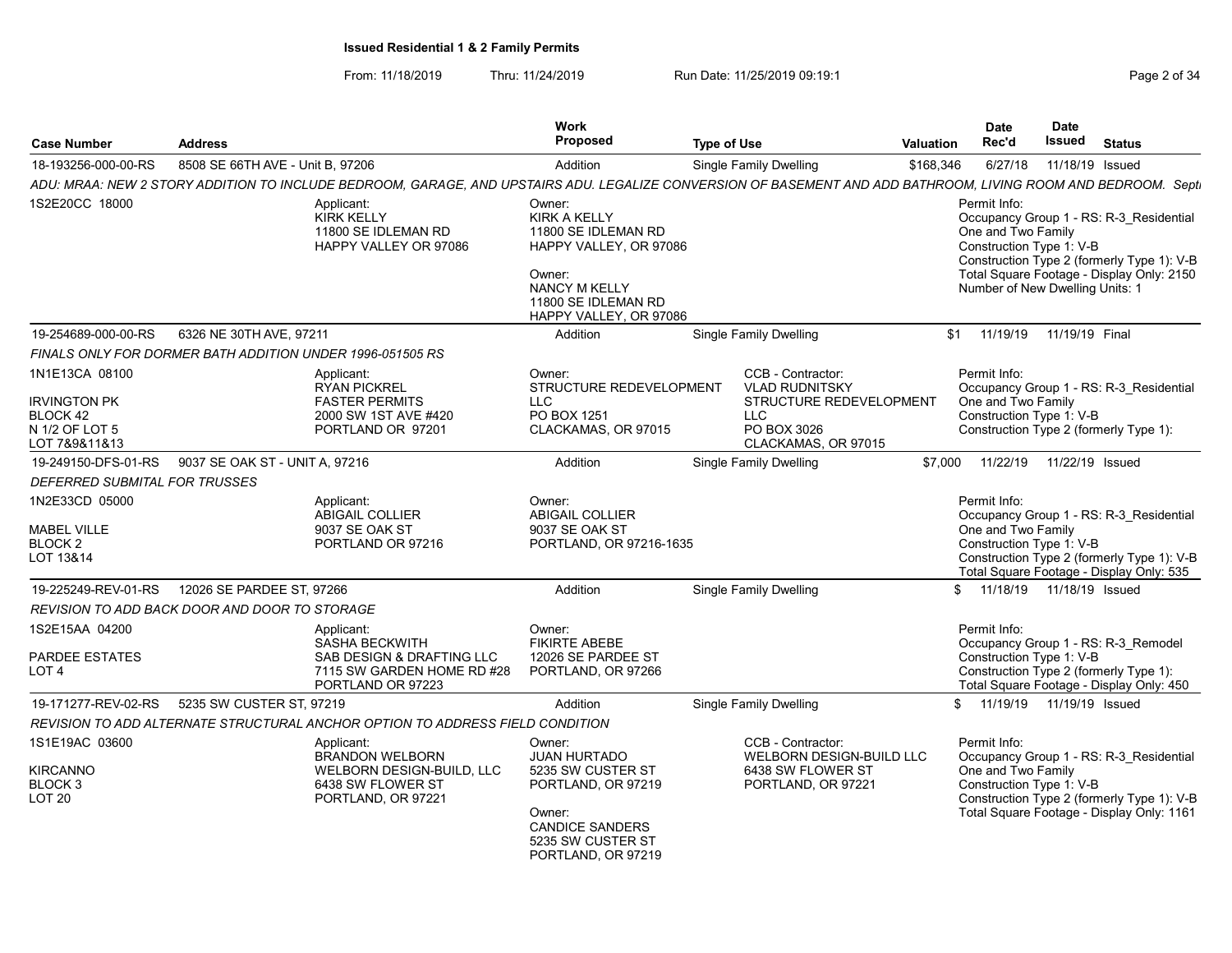From: 11/18/2019 Thru: 11/24/2019 Run Date: 11/25/2019 09:19:1 Company Page 2 of 34

|                                                                                             |                                                           |                                                                                                                                                                | Work<br><b>Proposed</b>                                                                                                                                           |                    |                                                                                                                           |                  | <b>Date</b><br>Rec'd                                                                              | Date<br>Issued  |                                                                                                                                    |
|---------------------------------------------------------------------------------------------|-----------------------------------------------------------|----------------------------------------------------------------------------------------------------------------------------------------------------------------|-------------------------------------------------------------------------------------------------------------------------------------------------------------------|--------------------|---------------------------------------------------------------------------------------------------------------------------|------------------|---------------------------------------------------------------------------------------------------|-----------------|------------------------------------------------------------------------------------------------------------------------------------|
| <b>Case Number</b>                                                                          | <b>Address</b>                                            |                                                                                                                                                                |                                                                                                                                                                   | <b>Type of Use</b> |                                                                                                                           | <b>Valuation</b> |                                                                                                   |                 | <b>Status</b>                                                                                                                      |
| 18-193256-000-00-RS                                                                         | 8508 SE 66TH AVE - Unit B, 97206                          |                                                                                                                                                                | Addition                                                                                                                                                          |                    | <b>Single Family Dwelling</b>                                                                                             | \$168,346        | 6/27/18                                                                                           | 11/18/19 Issued |                                                                                                                                    |
|                                                                                             |                                                           | ADU: MRAA: NEW 2 STORY ADDITION TO INCLUDE BEDROOM, GARAGE, AND UPSTAIRS ADU. LEGALIZE CONVERSION OF BASEMENT AND ADD BATHROOM, LIVING ROOM AND BEDROOM. Septi |                                                                                                                                                                   |                    |                                                                                                                           |                  |                                                                                                   |                 |                                                                                                                                    |
| 1S2E20CC 18000                                                                              |                                                           | Applicant:<br><b>KIRK KELLY</b><br>11800 SE IDLEMAN RD<br>HAPPY VALLEY OR 97086                                                                                | Owner:<br><b>KIRK A KELLY</b><br>11800 SE IDLEMAN RD<br>HAPPY VALLEY, OR 97086<br>Owner:<br><b>NANCY M KELLY</b><br>11800 SE IDLEMAN RD<br>HAPPY VALLEY, OR 97086 |                    |                                                                                                                           |                  | Permit Info:<br>One and Two Family<br>Construction Type 1: V-B<br>Number of New Dwelling Units: 1 |                 | Occupancy Group 1 - RS: R-3 Residential<br>Construction Type 2 (formerly Type 1): V-B<br>Total Square Footage - Display Only: 2150 |
| 19-254689-000-00-RS                                                                         | 6326 NE 30TH AVE, 97211                                   |                                                                                                                                                                | Addition                                                                                                                                                          |                    | <b>Single Family Dwelling</b>                                                                                             | \$1              | 11/19/19                                                                                          | 11/19/19 Final  |                                                                                                                                    |
|                                                                                             | FINALS ONLY FOR DORMER BATH ADDITION UNDER 1996-051505 RS |                                                                                                                                                                |                                                                                                                                                                   |                    |                                                                                                                           |                  |                                                                                                   |                 |                                                                                                                                    |
| 1N1E13CA 08100<br><b>IRVINGTON PK</b><br><b>BLOCK 42</b><br>N 1/2 OF LOT 5<br>LOT 7&9&11&13 |                                                           | Applicant:<br><b>RYAN PICKREL</b><br><b>FASTER PERMITS</b><br>2000 SW 1ST AVE #420<br>PORTLAND OR 97201                                                        | Owner:<br>STRUCTURE REDEVELOPMENT<br><b>LLC</b><br>PO BOX 1251<br>CLACKAMAS, OR 97015                                                                             |                    | CCB - Contractor:<br><b>VLAD RUDNITSKY</b><br>STRUCTURE REDEVELOPMENT<br><b>LLC</b><br>PO BOX 3026<br>CLACKAMAS, OR 97015 |                  | Permit Info:<br>One and Two Family<br>Construction Type 1: V-B                                    |                 | Occupancy Group 1 - RS: R-3 Residential<br>Construction Type 2 (formerly Type 1):                                                  |
| 19-249150-DFS-01-RS                                                                         | 9037 SE OAK ST - UNIT A, 97216                            |                                                                                                                                                                | Addition                                                                                                                                                          |                    | Single Family Dwelling                                                                                                    | \$7,000          | 11/22/19                                                                                          | 11/22/19 Issued |                                                                                                                                    |
| DEFERRED SUBMITAL FOR TRUSSES                                                               |                                                           |                                                                                                                                                                |                                                                                                                                                                   |                    |                                                                                                                           |                  |                                                                                                   |                 |                                                                                                                                    |
| 1N2E33CD 05000<br><b>MABEL VILLE</b><br>BLOCK 2<br>LOT 13&14                                |                                                           | Applicant:<br><b>ABIGAIL COLLIER</b><br>9037 SE OAK ST<br>PORTLAND OR 97216                                                                                    | Owner:<br>ABIGAIL COLLIER<br>9037 SE OAK ST<br>PORTLAND, OR 97216-1635                                                                                            |                    |                                                                                                                           |                  | Permit Info:<br>One and Two Family<br>Construction Type 1: V-B                                    |                 | Occupancy Group 1 - RS: R-3 Residential<br>Construction Type 2 (formerly Type 1): V-B<br>Total Square Footage - Display Only: 535  |
| 19-225249-REV-01-RS                                                                         | 12026 SE PARDEE ST, 97266                                 |                                                                                                                                                                | Addition                                                                                                                                                          |                    | <b>Single Family Dwelling</b>                                                                                             |                  | \$ 11/18/19 11/18/19 Issued                                                                       |                 |                                                                                                                                    |
|                                                                                             | REVISION TO ADD BACK DOOR AND DOOR TO STORAGE             |                                                                                                                                                                |                                                                                                                                                                   |                    |                                                                                                                           |                  |                                                                                                   |                 |                                                                                                                                    |
| 1S2E15AA 04200<br>PARDEE ESTATES<br>LOT <sub>4</sub>                                        |                                                           | Applicant:<br><b>SASHA BECKWITH</b><br>SAB DESIGN & DRAFTING LLC<br>7115 SW GARDEN HOME RD #28<br>PORTLAND OR 97223                                            | Owner:<br><b>FIKIRTE ABEBE</b><br>12026 SE PARDEE ST<br>PORTLAND, OR 97266                                                                                        |                    |                                                                                                                           |                  | Permit Info:<br>Construction Type 1: V-B                                                          |                 | Occupancy Group 1 - RS: R-3 Remodel<br>Construction Type 2 (formerly Type 1):<br>Total Square Footage - Display Only: 450          |
| 19-171277-REV-02-RS                                                                         | 5235 SW CUSTER ST, 97219                                  |                                                                                                                                                                | Addition                                                                                                                                                          |                    | <b>Single Family Dwelling</b>                                                                                             |                  | \$ 11/19/19 11/19/19 Issued                                                                       |                 |                                                                                                                                    |
|                                                                                             |                                                           | REVISION TO ADD ALTERNATE STRUCTURAL ANCHOR OPTION TO ADDRESS FIELD CONDITION                                                                                  |                                                                                                                                                                   |                    |                                                                                                                           |                  |                                                                                                   |                 |                                                                                                                                    |
| 1S1E19AC 03600<br><b>KIRCANNO</b><br>BLOCK 3<br>LOT <sub>20</sub>                           |                                                           | Applicant:<br><b>BRANDON WELBORN</b><br>WELBORN DESIGN-BUILD, LLC<br>6438 SW FLOWER ST<br>PORTLAND, OR 97221                                                   | Owner:<br><b>JUAN HURTADO</b><br>5235 SW CUSTER ST<br>PORTLAND, OR 97219<br>Owner:<br><b>CANDICE SANDERS</b><br>5235 SW CUSTER ST<br>PORTLAND, OR 97219           |                    | CCB - Contractor:<br><b>WELBORN DESIGN-BUILD LLC</b><br>6438 SW FLOWER ST<br>PORTLAND, OR 97221                           |                  | Permit Info:<br>One and Two Family<br>Construction Type 1: V-B                                    |                 | Occupancy Group 1 - RS: R-3_Residential<br>Construction Type 2 (formerly Type 1): V-B<br>Total Square Footage - Display Only: 1161 |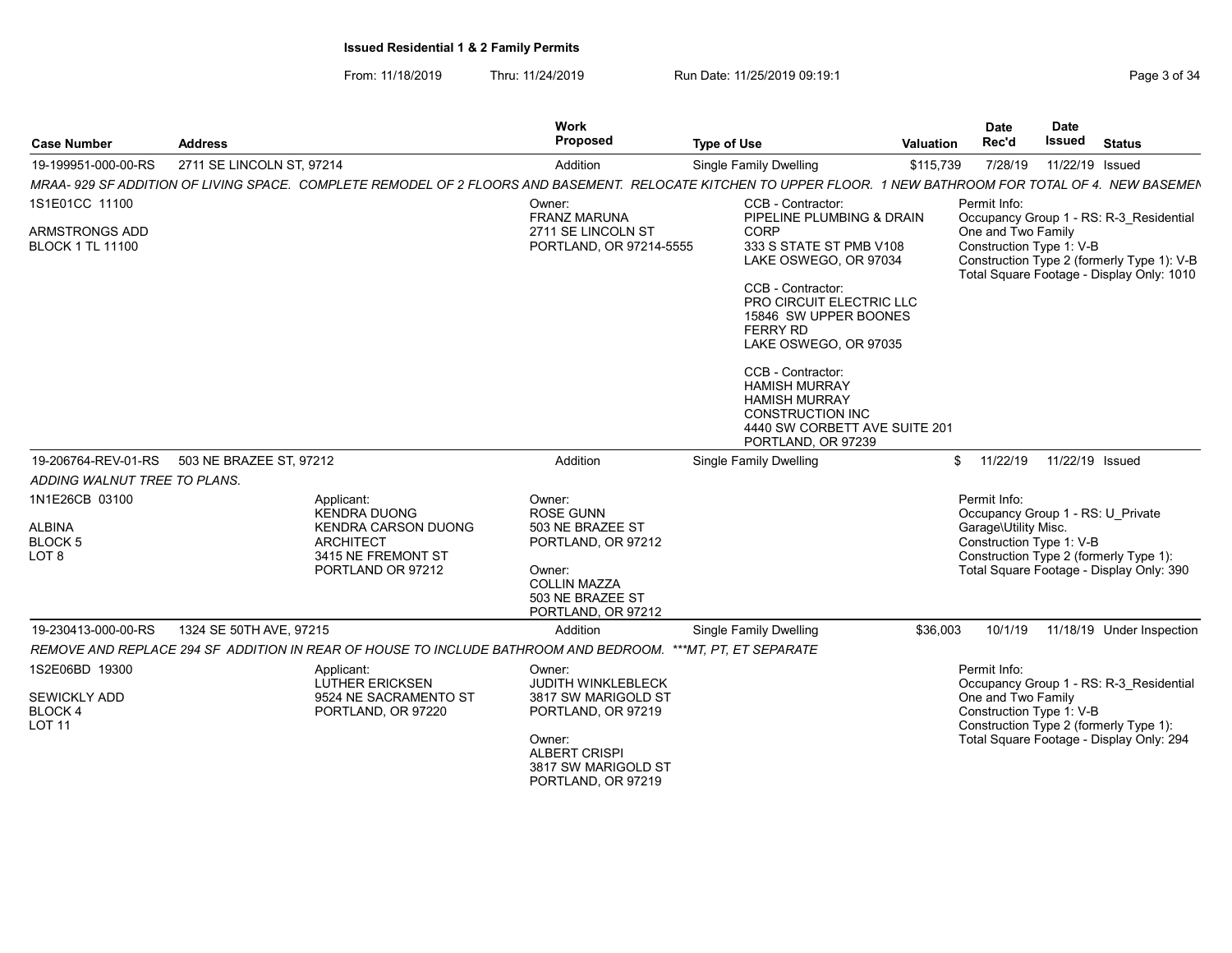From: 11/18/2019 Thru: 11/24/2019 Run Date: 11/25/2019 09:19:1

| <b>Case Number</b>                                                    | <b>Address</b>                                                                                                                                                | Work<br>Proposed                                                                                                                         | <b>Type of Use</b>                                                                                                                                  | Valuation | <b>Date</b><br>Rec'd                                                                                                                            | <b>Date</b><br><b>Issued</b> | <b>Status</b>                                                                                                                      |
|-----------------------------------------------------------------------|---------------------------------------------------------------------------------------------------------------------------------------------------------------|------------------------------------------------------------------------------------------------------------------------------------------|-----------------------------------------------------------------------------------------------------------------------------------------------------|-----------|-------------------------------------------------------------------------------------------------------------------------------------------------|------------------------------|------------------------------------------------------------------------------------------------------------------------------------|
| 19-199951-000-00-RS                                                   | 2711 SE LINCOLN ST, 97214                                                                                                                                     | Addition                                                                                                                                 | Single Family Dwelling                                                                                                                              | \$115,739 | 7/28/19                                                                                                                                         | 11/22/19 Issued              |                                                                                                                                    |
|                                                                       | MRAA- 929 SF ADDITION OF LIVING SPACE. COMPLETE REMODEL OF 2 FLOORS AND BASEMENT. RELOCATE KITCHEN TO UPPER FLOOR. 1 NEW BATHROOM FOR TOTAL OF 4. NEW BASEMEN |                                                                                                                                          |                                                                                                                                                     |           |                                                                                                                                                 |                              |                                                                                                                                    |
| 1S1E01CC 11100                                                        |                                                                                                                                                               | Owner:                                                                                                                                   | <b>CCB - Contractor:</b>                                                                                                                            |           | Permit Info:                                                                                                                                    |                              |                                                                                                                                    |
| ARMSTRONGS ADD<br><b>BLOCK 1 TL 11100</b>                             |                                                                                                                                                               | <b>FRANZ MARUNA</b><br>2711 SE LINCOLN ST<br>PORTLAND, OR 97214-5555                                                                     | PIPELINE PLUMBING & DRAIN<br>CORP<br>333 S STATE ST PMB V108<br>LAKE OSWEGO, OR 97034                                                               |           | One and Two Family<br>Construction Type 1: V-B                                                                                                  |                              | Occupancy Group 1 - RS: R-3_Residential<br>Construction Type 2 (formerly Type 1): V-B<br>Total Square Footage - Display Only: 1010 |
|                                                                       |                                                                                                                                                               |                                                                                                                                          | CCB - Contractor:<br>PRO CIRCUIT ELECTRIC LLC<br>15846 SW UPPER BOONES<br>FERRY RD<br>LAKE OSWEGO, OR 97035                                         |           |                                                                                                                                                 |                              |                                                                                                                                    |
|                                                                       |                                                                                                                                                               |                                                                                                                                          | CCB - Contractor:<br><b>HAMISH MURRAY</b><br><b>HAMISH MURRAY</b><br><b>CONSTRUCTION INC</b><br>4440 SW CORBETT AVE SUITE 201<br>PORTLAND, OR 97239 |           |                                                                                                                                                 |                              |                                                                                                                                    |
|                                                                       | 19-206764-REV-01-RS 503 NE BRAZEE ST, 97212                                                                                                                   | Addition                                                                                                                                 | <b>Single Family Dwelling</b>                                                                                                                       |           | \$11/22/19                                                                                                                                      | 11/22/19 Issued              |                                                                                                                                    |
| ADDING WALNUT TREE TO PLANS.                                          |                                                                                                                                                               |                                                                                                                                          |                                                                                                                                                     |           |                                                                                                                                                 |                              |                                                                                                                                    |
| 1N1E26CB 03100<br><b>ALBINA</b><br><b>BLOCK 5</b><br>LOT <sub>8</sub> | Applicant:<br>KENDRA DUONG<br><b>KENDRA CARSON DUONG</b><br><b>ARCHITECT</b><br>3415 NE FREMONT ST<br>PORTLAND OR 97212                                       | Owner:<br>ROSE GUNN<br>503 NE BRAZEE ST<br>PORTLAND, OR 97212<br>Owner:<br><b>COLLIN MAZZA</b><br>503 NE BRAZEE ST<br>PORTLAND, OR 97212 |                                                                                                                                                     |           | Permit Info:<br>Occupancy Group 1 - RS: U Private<br>Garage\Utility Misc.<br>Construction Type 1: V-B<br>Construction Type 2 (formerly Type 1): |                              | Total Square Footage - Display Only: 390                                                                                           |
| 19-230413-000-00-RS                                                   | 1324 SE 50TH AVE, 97215                                                                                                                                       | Addition                                                                                                                                 | <b>Single Family Dwelling</b>                                                                                                                       | \$36,003  |                                                                                                                                                 |                              | 10/1/19  11/18/19  Under Inspection                                                                                                |
|                                                                       | REMOVE AND REPLACE 294 SF ADDITION IN REAR OF HOUSE TO INCLUDE BATHROOM AND BEDROOM. ***MT, PT, ET SEPARATE                                                   |                                                                                                                                          |                                                                                                                                                     |           |                                                                                                                                                 |                              |                                                                                                                                    |
| 1S2E06BD 19300<br>SEWICKLY ADD                                        | Applicant:<br>LUTHER ERICKSEN<br>9524 NE SACRAMENTO ST                                                                                                        | Owner:<br>JUDITH WINKLEBLECK<br>3817 SW MARIGOLD ST                                                                                      |                                                                                                                                                     |           | Permit Info:<br>One and Two Family                                                                                                              |                              | Occupancy Group 1 - RS: R-3 Residential                                                                                            |
| BLOCK 4<br><b>LOT 11</b>                                              | PORTLAND, OR 97220                                                                                                                                            | PORTLAND, OR 97219                                                                                                                       |                                                                                                                                                     |           | Construction Type 1: V-B<br>Construction Type 2 (formerly Type 1):                                                                              |                              |                                                                                                                                    |
|                                                                       |                                                                                                                                                               | Owner:<br><b>ALBERT CRISPI</b><br>3817 SW MARIGOLD ST<br>PORTLAND, OR 97219                                                              |                                                                                                                                                     |           |                                                                                                                                                 |                              | Total Square Footage - Display Only: 294                                                                                           |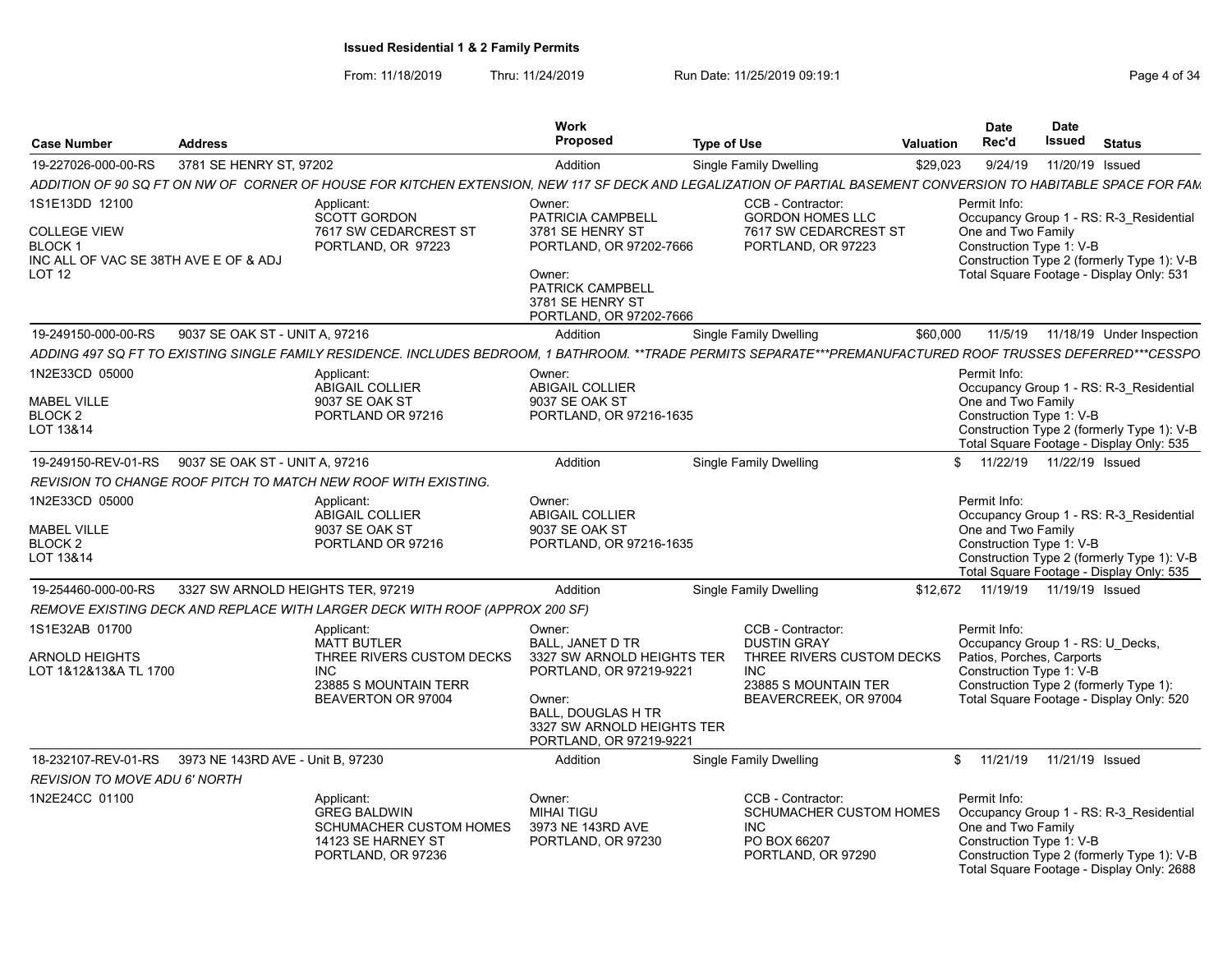From: 11/18/2019 Thru: 11/24/2019 Run Date: 11/25/2019 09:19:1 Company Page 4 of 34

| Case Number                                                                                         | <b>Address</b>                                        |                                                                                                                                                                 | Work<br><b>Proposed</b>                                                                                                                                                             | <b>Type of Use</b>                                                                                                           | <b>Valuation</b> | <b>Date</b><br>Rec'd                                                                                      | Date<br><b>Issued</b> | <b>Status</b>                                                                                                                      |
|-----------------------------------------------------------------------------------------------------|-------------------------------------------------------|-----------------------------------------------------------------------------------------------------------------------------------------------------------------|-------------------------------------------------------------------------------------------------------------------------------------------------------------------------------------|------------------------------------------------------------------------------------------------------------------------------|------------------|-----------------------------------------------------------------------------------------------------------|-----------------------|------------------------------------------------------------------------------------------------------------------------------------|
| 19-227026-000-00-RS                                                                                 | 3781 SE HENRY ST, 97202                               |                                                                                                                                                                 | Addition                                                                                                                                                                            | Single Family Dwelling                                                                                                       | \$29,023         | 9/24/19                                                                                                   | 11/20/19 Issued       |                                                                                                                                    |
|                                                                                                     |                                                       | ADDITION OF 90 SQ FT ON NW OF CORNER OF HOUSE FOR KITCHEN EXTENSION, NEW 117 SF DECK AND LEGALIZATION OF PARTIAL BASEMENT CONVERSION TO HABITABLE SPACE FOR FAM |                                                                                                                                                                                     |                                                                                                                              |                  |                                                                                                           |                       |                                                                                                                                    |
| 1S1E13DD 12100<br><b>COLLEGE VIEW</b><br>BLOCK 1<br>INC ALL OF VAC SE 38TH AVE E OF & ADJ<br>LOT 12 |                                                       | Applicant:<br><b>SCOTT GORDON</b><br>7617 SW CEDARCREST ST<br>PORTLAND, OR 97223                                                                                | Owner:<br>PATRICIA CAMPBELL<br>3781 SE HENRY ST<br>PORTLAND, OR 97202-7666<br>Owner:<br><b>PATRICK CAMPBELL</b><br>3781 SE HENRY ST<br>PORTLAND, OR 97202-7666                      | CCB - Contractor:<br><b>GORDON HOMES LLC</b><br>7617 SW CEDARCREST ST<br>PORTLAND, OR 97223                                  |                  | Permit Info:<br>One and Two Family<br>Construction Type 1: V-B                                            |                       | Occupancy Group 1 - RS: R-3 Residential<br>Construction Type 2 (formerly Type 1): V-B<br>Total Square Footage - Display Only: 531  |
| 19-249150-000-00-RS                                                                                 | 9037 SE OAK ST - UNIT A, 97216                        |                                                                                                                                                                 | Addition                                                                                                                                                                            | Single Family Dwelling                                                                                                       | \$60,000         |                                                                                                           |                       | 11/5/19  11/18/19  Under Inspection                                                                                                |
|                                                                                                     |                                                       | ADDING 497 SQ FT TO EXISTING SINGLE FAMILY RESIDENCE. INCLUDES BEDROOM, 1 BATHROOM. **TRADE PERMITS SEPARATE***PREMANUFACTURED ROOF TRUSSES DEFERRED***CESSPO   |                                                                                                                                                                                     |                                                                                                                              |                  |                                                                                                           |                       |                                                                                                                                    |
| 1N2E33CD 05000<br><b>MABEL VILLE</b><br>BLOCK 2<br>LOT 13&14                                        |                                                       | Applicant:<br>ABIGAIL COLLIER<br>9037 SE OAK ST<br>PORTLAND OR 97216                                                                                            | Owner:<br>ABIGAIL COLLIER<br>9037 SE OAK ST<br>PORTLAND, OR 97216-1635                                                                                                              |                                                                                                                              |                  | Permit Info:<br>One and Two Family<br>Construction Type 1: V-B                                            |                       | Occupancy Group 1 - RS: R-3 Residential<br>Construction Type 2 (formerly Type 1): V-B<br>Total Square Footage - Display Only: 535  |
| 19-249150-REV-01-RS                                                                                 | 9037 SE OAK ST - UNIT A. 97216                        |                                                                                                                                                                 | Addition                                                                                                                                                                            | <b>Single Family Dwelling</b>                                                                                                |                  | \$ 11/22/19 11/22/19 Issued                                                                               |                       |                                                                                                                                    |
|                                                                                                     |                                                       | REVISION TO CHANGE ROOF PITCH TO MATCH NEW ROOF WITH EXISTING.                                                                                                  |                                                                                                                                                                                     |                                                                                                                              |                  |                                                                                                           |                       |                                                                                                                                    |
| 1N2E33CD 05000<br><b>MABEL VILLE</b><br>BLOCK 2<br>LOT 13&14                                        |                                                       | Applicant:<br><b>ABIGAIL COLLIER</b><br>9037 SE OAK ST<br>PORTLAND OR 97216                                                                                     | Owner:<br><b>ABIGAIL COLLIER</b><br>9037 SE OAK ST<br>PORTLAND, OR 97216-1635                                                                                                       |                                                                                                                              |                  | Permit Info:<br>One and Two Family<br>Construction Type 1: V-B                                            |                       | Occupancy Group 1 - RS: R-3_Residential<br>Construction Type 2 (formerly Type 1): V-B<br>Total Square Footage - Display Only: 535  |
| 19-254460-000-00-RS                                                                                 | 3327 SW ARNOLD HEIGHTS TER. 97219                     |                                                                                                                                                                 | Addition                                                                                                                                                                            | Single Family Dwelling                                                                                                       |                  | \$12,672  11/19/19  11/19/19  Issued                                                                      |                       |                                                                                                                                    |
|                                                                                                     |                                                       | REMOVE EXISTING DECK AND REPLACE WITH LARGER DECK WITH ROOF (APPROX 200 SF)                                                                                     |                                                                                                                                                                                     |                                                                                                                              |                  |                                                                                                           |                       |                                                                                                                                    |
| 1S1E32AB 01700<br><b>ARNOLD HEIGHTS</b><br>LOT 1&12&13&A TL 1700                                    |                                                       | Applicant:<br><b>MATT BUTLER</b><br>THREE RIVERS CUSTOM DECKS<br><b>INC</b><br>23885 S MOUNTAIN TERR<br>BEAVERTON OR 97004                                      | Owner:<br>BALL, JANET D TR<br>3327 SW ARNOLD HEIGHTS TER<br>PORTLAND, OR 97219-9221<br>Owner:<br><b>BALL, DOUGLAS H TR</b><br>3327 SW ARNOLD HEIGHTS TER<br>PORTLAND, OR 97219-9221 | CCB - Contractor:<br><b>DUSTIN GRAY</b><br>THREE RIVERS CUSTOM DECKS<br>INC<br>23885 S MOUNTAIN TER<br>BEAVERCREEK, OR 97004 |                  | Permit Info:<br>Occupancy Group 1 - RS: U Decks,<br>Patios, Porches, Carports<br>Construction Type 1: V-B |                       | Construction Type 2 (formerly Type 1):<br>Total Square Footage - Display Only: 520                                                 |
|                                                                                                     | 18-232107-REV-01-RS 3973 NE 143RD AVE - Unit B, 97230 |                                                                                                                                                                 | Addition                                                                                                                                                                            | Single Family Dwelling                                                                                                       |                  | \$ 11/21/19 11/21/19 Issued                                                                               |                       |                                                                                                                                    |
| <b>REVISION TO MOVE ADU 6' NORTH</b>                                                                |                                                       |                                                                                                                                                                 |                                                                                                                                                                                     |                                                                                                                              |                  |                                                                                                           |                       |                                                                                                                                    |
| 1N2E24CC 01100                                                                                      |                                                       | Applicant:<br><b>GREG BALDWIN</b><br><b>SCHUMACHER CUSTOM HOMES</b><br>14123 SE HARNEY ST<br>PORTLAND, OR 97236                                                 | Owner:<br><b>MIHAI TIGU</b><br>3973 NE 143RD AVE<br>PORTLAND, OR 97230                                                                                                              | CCB - Contractor:<br>SCHUMACHER CUSTOM HOMES<br>INC<br>PO BOX 66207<br>PORTLAND, OR 97290                                    |                  | Permit Info:<br>One and Two Family<br>Construction Type 1: V-B                                            |                       | Occupancy Group 1 - RS: R-3 Residential<br>Construction Type 2 (formerly Type 1): V-B<br>Total Square Footage - Display Only: 2688 |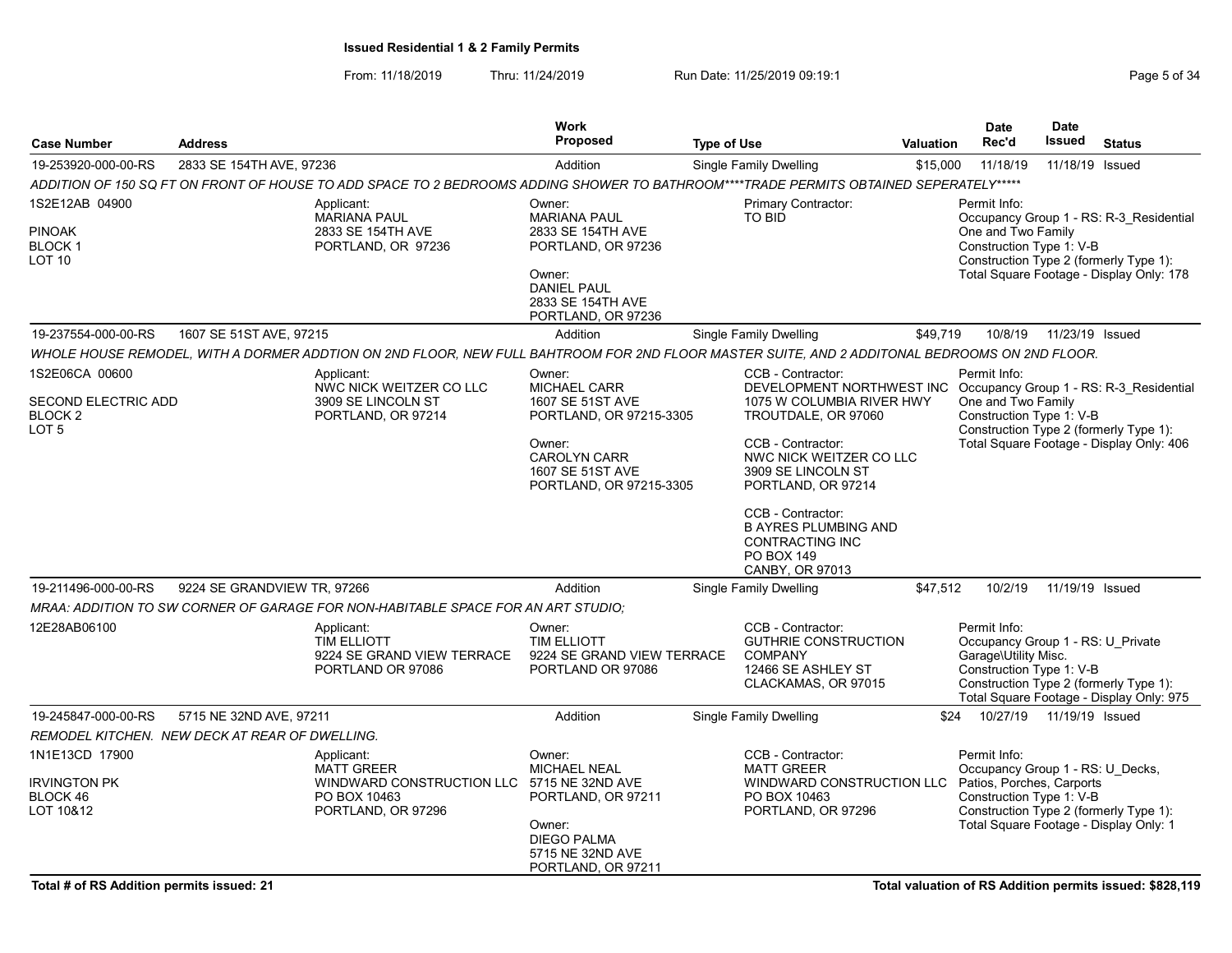From: 11/18/2019 Thru: 11/24/2019 Run Date: 11/25/2019 09:19:1 Company of the Page 5 of 34

| <b>Case Number</b>                                                   | <b>Address</b>                                                                                                                                |                            | Work<br><b>Proposed</b>                                                                                                                               | <b>Type of Use</b> |                                                                                                                                                                                                                                                                                                                      | <b>Valuation</b> | <b>Date</b><br>Rec'd                                                                                      | Date<br>Issued  | <b>Status</b>                                                                                                                 |
|----------------------------------------------------------------------|-----------------------------------------------------------------------------------------------------------------------------------------------|----------------------------|-------------------------------------------------------------------------------------------------------------------------------------------------------|--------------------|----------------------------------------------------------------------------------------------------------------------------------------------------------------------------------------------------------------------------------------------------------------------------------------------------------------------|------------------|-----------------------------------------------------------------------------------------------------------|-----------------|-------------------------------------------------------------------------------------------------------------------------------|
| 19-253920-000-00-RS                                                  | 2833 SE 154TH AVE, 97236                                                                                                                      |                            | Addition                                                                                                                                              |                    | Single Family Dwelling                                                                                                                                                                                                                                                                                               | \$15,000         | 11/18/19                                                                                                  |                 | 11/18/19 Issued                                                                                                               |
|                                                                      | ADDITION OF 150 SQ FT ON FRONT OF HOUSE TO ADD SPACE TO 2 BEDROOMS ADDING SHOWER TO BATHROOM****TRADE PERMITS OBTAINED SEPERATELY*****        |                            |                                                                                                                                                       |                    |                                                                                                                                                                                                                                                                                                                      |                  |                                                                                                           |                 |                                                                                                                               |
| 1S2E12AB 04900<br><b>PINOAK</b><br>BLOCK 1<br><b>LOT 10</b>          | Applicant:<br><b>MARIANA PAUL</b><br>2833 SE 154TH AVE<br>PORTLAND, OR 97236                                                                  |                            | Owner:<br><b>MARIANA PAUL</b><br>2833 SE 154TH AVE<br>PORTLAND, OR 97236<br>Owner:<br><b>DANIEL PAUL</b><br>2833 SE 154TH AVE<br>PORTLAND, OR 97236   |                    | Primary Contractor:<br>TO BID                                                                                                                                                                                                                                                                                        |                  | Permit Info:<br>One and Two Family<br>Construction Type 1: V-B                                            |                 | Occupancy Group 1 - RS: R-3 Residential<br>Construction Type 2 (formerly Type 1):<br>Total Square Footage - Display Only: 178 |
| 19-237554-000-00-RS                                                  | 1607 SE 51ST AVE, 97215                                                                                                                       |                            | Addition                                                                                                                                              |                    | <b>Single Family Dwelling</b>                                                                                                                                                                                                                                                                                        | \$49,719         | 10/8/19                                                                                                   | 11/23/19 Issued |                                                                                                                               |
|                                                                      | WHOLE HOUSE REMODEL, WITH A DORMER ADDTION ON 2ND FLOOR, NEW FULL BAHTROOM FOR 2ND FLOOR MASTER SUITE, AND 2 ADDITONAL BEDROOMS ON 2ND FLOOR. |                            |                                                                                                                                                       |                    |                                                                                                                                                                                                                                                                                                                      |                  |                                                                                                           |                 |                                                                                                                               |
| 1S2E06CA 00600<br>SECOND ELECTRIC ADD<br>BLOCK <sub>2</sub><br>LOT 5 | Applicant:<br>3909 SE LINCOLN ST<br>PORTLAND, OR 97214                                                                                        | NWC NICK WEITZER CO LLC    | Owner:<br>MICHAEL CARR<br>1607 SE 51ST AVE<br>PORTLAND, OR 97215-3305<br>Owner:<br><b>CAROLYN CARR</b><br>1607 SE 51ST AVE<br>PORTLAND, OR 97215-3305 |                    | CCB - Contractor:<br>DEVELOPMENT NORTHWEST INC Occupancy Group 1 - RS: R-3_Residential<br>1075 W COLUMBIA RIVER HWY<br>TROUTDALE, OR 97060<br>CCB - Contractor:<br>NWC NICK WEITZER CO LLC<br>3909 SE LINCOLN ST<br>PORTLAND, OR 97214<br>CCB - Contractor:<br><b>B AYRES PLUMBING AND</b><br><b>CONTRACTING INC</b> |                  | Permit Info:<br>One and Two Family<br>Construction Type 1: V-B                                            |                 | Construction Type 2 (formerly Type 1):<br>Total Square Footage - Display Only: 406                                            |
|                                                                      |                                                                                                                                               |                            |                                                                                                                                                       |                    | PO BOX 149<br>CANBY, OR 97013                                                                                                                                                                                                                                                                                        |                  |                                                                                                           |                 |                                                                                                                               |
| 19-211496-000-00-RS                                                  | 9224 SE GRANDVIEW TR, 97266                                                                                                                   |                            | Addition                                                                                                                                              |                    | Single Family Dwelling                                                                                                                                                                                                                                                                                               | \$47,512         | 10/2/19                                                                                                   | 11/19/19 Issued |                                                                                                                               |
| 12E28AB06100                                                         | MRAA: ADDITION TO SW CORNER OF GARAGE FOR NON-HABITABLE SPACE FOR AN ART STUDIO;<br>Applicant:<br>TIM ELLIOTT<br>PORTLAND OR 97086            | 9224 SE GRAND VIEW TERRACE | Owner:<br>TIM ELLIOTT<br>9224 SE GRAND VIEW TERRACE<br>PORTLAND OR 97086                                                                              |                    | CCB - Contractor:<br><b>GUTHRIE CONSTRUCTION</b><br><b>COMPANY</b><br>12466 SE ASHLEY ST<br>CLACKAMAS, OR 97015                                                                                                                                                                                                      |                  | Permit Info:<br>Occupancy Group 1 - RS: U Private<br>Garage\Utility Misc.<br>Construction Type 1: V-B     |                 | Construction Type 2 (formerly Type 1):<br>Total Square Footage - Display Only: 975                                            |
| 19-245847-000-00-RS                                                  | 5715 NE 32ND AVE, 97211                                                                                                                       |                            | Addition                                                                                                                                              |                    | <b>Single Family Dwelling</b>                                                                                                                                                                                                                                                                                        | \$24             | 10/27/19                                                                                                  | 11/19/19 Issued |                                                                                                                               |
|                                                                      | REMODEL KITCHEN.  NEW DECK AT REAR OF DWELLING.                                                                                               |                            |                                                                                                                                                       |                    |                                                                                                                                                                                                                                                                                                                      |                  |                                                                                                           |                 |                                                                                                                               |
| 1N1E13CD 17900<br><b>IRVINGTON PK</b><br>BLOCK 46<br>LOT 10&12       | Applicant:<br><b>MATT GREER</b><br>PO BOX 10463<br>PORTLAND, OR 97296                                                                         | WINDWARD CONSTRUCTION LLC  | Owner:<br><b>MICHAEL NEAL</b><br>5715 NE 32ND AVE<br>PORTLAND, OR 97211<br>Owner:<br><b>DIEGO PALMA</b><br>5715 NE 32ND AVE<br>PORTLAND, OR 97211     |                    | CCB - Contractor:<br><b>MATT GREER</b><br>WINDWARD CONSTRUCTION LLC<br>PO BOX 10463<br>PORTLAND, OR 97296                                                                                                                                                                                                            |                  | Permit Info:<br>Occupancy Group 1 - RS: U Decks,<br>Patios, Porches, Carports<br>Construction Type 1: V-B |                 | Construction Type 2 (formerly Type 1):<br>Total Square Footage - Display Only: 1                                              |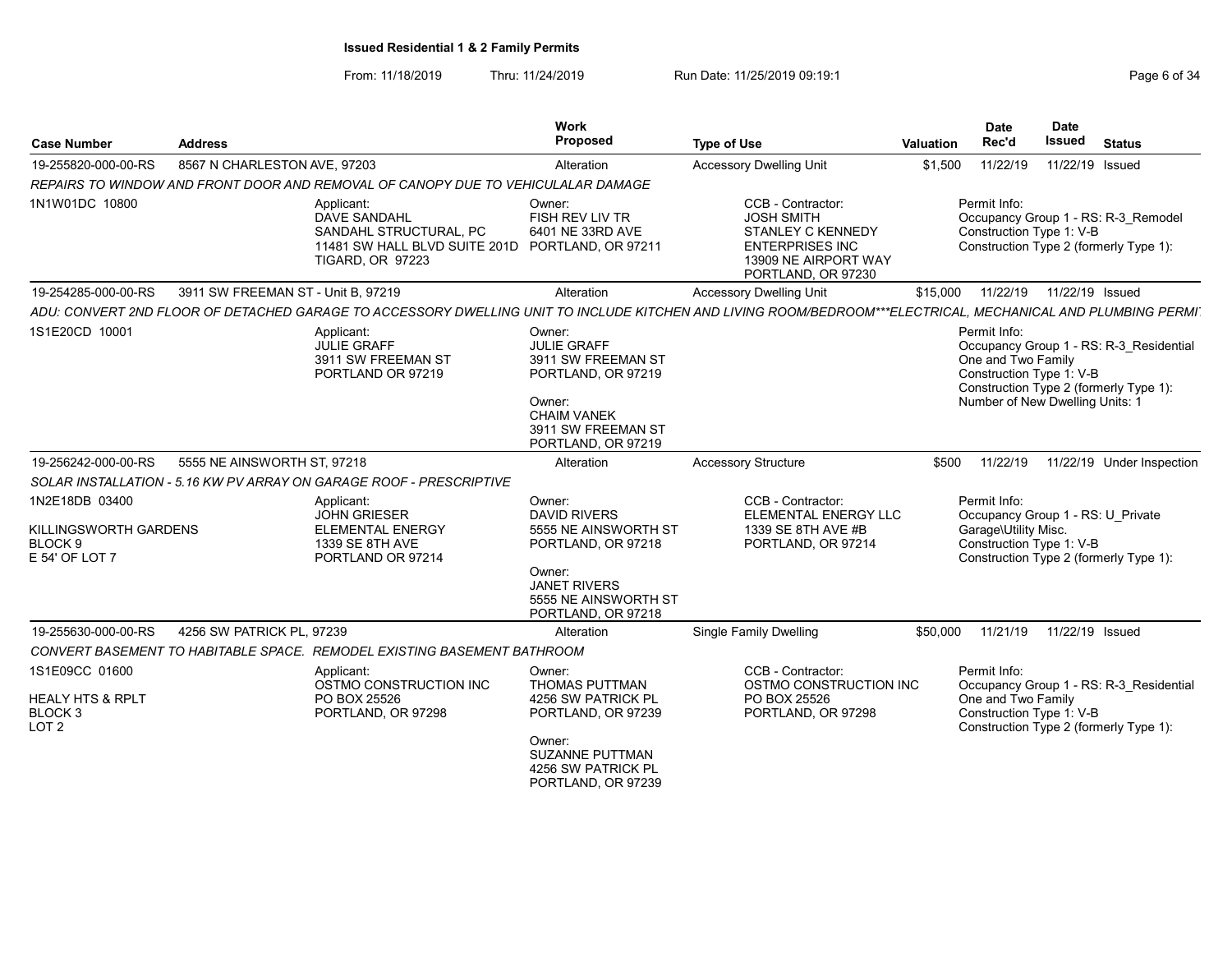From: 11/18/2019 Thru: 11/24/2019 Run Date: 11/25/2019 09:19:1 Company Page 6 of 34

| <b>Case Number</b>                                                                      | <b>Address</b>                     |                                                                                                                                            | Work<br>Proposed                                                                                                                                           | <b>Type of Use</b>                                                                                                                                          | Valuation | <b>Date</b><br>Rec'd                                                                                  | <b>Date</b><br><b>Issued</b> | <b>Status</b>                                                                     |
|-----------------------------------------------------------------------------------------|------------------------------------|--------------------------------------------------------------------------------------------------------------------------------------------|------------------------------------------------------------------------------------------------------------------------------------------------------------|-------------------------------------------------------------------------------------------------------------------------------------------------------------|-----------|-------------------------------------------------------------------------------------------------------|------------------------------|-----------------------------------------------------------------------------------|
| 19-255820-000-00-RS                                                                     | 8567 N CHARLESTON AVE, 97203       |                                                                                                                                            | Alteration                                                                                                                                                 | <b>Accessory Dwelling Unit</b>                                                                                                                              | \$1,500   | 11/22/19                                                                                              | 11/22/19 Issued              |                                                                                   |
|                                                                                         |                                    | REPAIRS TO WINDOW AND FRONT DOOR AND REMOVAL OF CANOPY DUE TO VEHICULALAR DAMAGE                                                           |                                                                                                                                                            |                                                                                                                                                             |           |                                                                                                       |                              |                                                                                   |
| 1N1W01DC 10800                                                                          |                                    | Applicant:<br><b>DAVE SANDAHL</b><br>SANDAHL STRUCTURAL, PC<br>11481 SW HALL BLVD SUITE 201D PORTLAND, OR 97211<br><b>TIGARD, OR 97223</b> | Owner:<br>FISH REV LIV TR<br>6401 NE 33RD AVE                                                                                                              | CCB - Contractor:<br><b>JOSH SMITH</b><br><b>STANLEY C KENNEDY</b><br><b>ENTERPRISES INC</b><br>13909 NE AIRPORT WAY<br>PORTLAND, OR 97230                  |           | Permit Info:<br>Construction Type 1: V-B                                                              |                              | Occupancy Group 1 - RS: R-3_Remodel<br>Construction Type 2 (formerly Type 1):     |
| 19-254285-000-00-RS                                                                     | 3911 SW FREEMAN ST - Unit B, 97219 |                                                                                                                                            | Alteration                                                                                                                                                 | <b>Accessory Dwelling Unit</b>                                                                                                                              | \$15,000  | 11/22/19                                                                                              | 11/22/19 Issued              |                                                                                   |
|                                                                                         |                                    |                                                                                                                                            |                                                                                                                                                            | ADU: CONVERT 2ND FLOOR OF DETACHED GARAGE TO ACCESSORY DWELLING UNIT TO INCLUDE KITCHEN AND LIVING ROOM/BEDROOM***ELECTRICAL, MECHANICAL AND PLUMBING PERMI |           |                                                                                                       |                              |                                                                                   |
| 1S1E20CD 10001                                                                          |                                    | Applicant:<br><b>JULIE GRAFF</b><br>3911 SW FREEMAN ST<br>PORTLAND OR 97219                                                                | Owner:<br><b>JULIE GRAFF</b><br>3911 SW FREEMAN ST<br>PORTLAND, OR 97219<br>Owner:<br><b>CHAIM VANEK</b><br>3911 SW FREEMAN ST<br>PORTLAND, OR 97219       |                                                                                                                                                             |           | Permit Info:<br>One and Two Family<br>Construction Type 1: V-B<br>Number of New Dwelling Units: 1     |                              | Occupancy Group 1 - RS: R-3 Residential<br>Construction Type 2 (formerly Type 1): |
| 19-256242-000-00-RS                                                                     | 5555 NE AINSWORTH ST, 97218        |                                                                                                                                            | Alteration                                                                                                                                                 | <b>Accessory Structure</b>                                                                                                                                  | \$500     | 11/22/19                                                                                              |                              | 11/22/19 Under Inspection                                                         |
|                                                                                         |                                    | SOLAR INSTALLATION - 5.16 KW PV ARRAY ON GARAGE ROOF - PRESCRIPTIVE                                                                        |                                                                                                                                                            |                                                                                                                                                             |           |                                                                                                       |                              |                                                                                   |
| 1N2E18DB 03400<br>KILLINGSWORTH GARDENS<br>BLOCK <sub>9</sub><br>E 54' OF LOT 7         |                                    | Applicant:<br><b>JOHN GRIESER</b><br><b>ELEMENTAL ENERGY</b><br>1339 SE 8TH AVE<br>PORTLAND OR 97214                                       | Owner:<br><b>DAVID RIVERS</b><br>5555 NE AINSWORTH ST<br>PORTLAND, OR 97218<br>Owner:<br><b>JANET RIVERS</b><br>5555 NE AINSWORTH ST<br>PORTLAND, OR 97218 | CCB - Contractor:<br>ELEMENTAL ENERGY LLC<br>1339 SE 8TH AVE #B<br>PORTLAND, OR 97214                                                                       |           | Permit Info:<br>Occupancy Group 1 - RS: U Private<br>Garage\Utility Misc.<br>Construction Type 1: V-B |                              | Construction Type 2 (formerly Type 1):                                            |
| 19-255630-000-00-RS                                                                     | 4256 SW PATRICK PL, 97239          |                                                                                                                                            | Alteration                                                                                                                                                 | <b>Single Family Dwelling</b>                                                                                                                               | \$50,000  | 11/21/19                                                                                              | 11/22/19 Issued              |                                                                                   |
|                                                                                         |                                    | CONVERT BASEMENT TO HABITABLE SPACE. REMODEL EXISTING BASEMENT BATHROOM                                                                    |                                                                                                                                                            |                                                                                                                                                             |           |                                                                                                       |                              |                                                                                   |
| 1S1E09CC 01600<br><b>HEALY HTS &amp; RPLT</b><br>BLOCK <sub>3</sub><br>LOT <sub>2</sub> |                                    | Applicant:<br>OSTMO CONSTRUCTION INC<br>PO BOX 25526<br>PORTLAND, OR 97298                                                                 | Owner:<br><b>THOMAS PUTTMAN</b><br>4256 SW PATRICK PL<br>PORTLAND, OR 97239<br>Owner:<br>SUZANNE PUTTMAN<br>4256 SW PATRICK PL<br>PORTLAND, OR 97239       | CCB - Contractor:<br>OSTMO CONSTRUCTION INC<br>PO BOX 25526<br>PORTLAND, OR 97298                                                                           |           | Permit Info:<br>One and Two Family<br>Construction Type 1: V-B                                        |                              | Occupancy Group 1 - RS: R-3_Residential<br>Construction Type 2 (formerly Type 1): |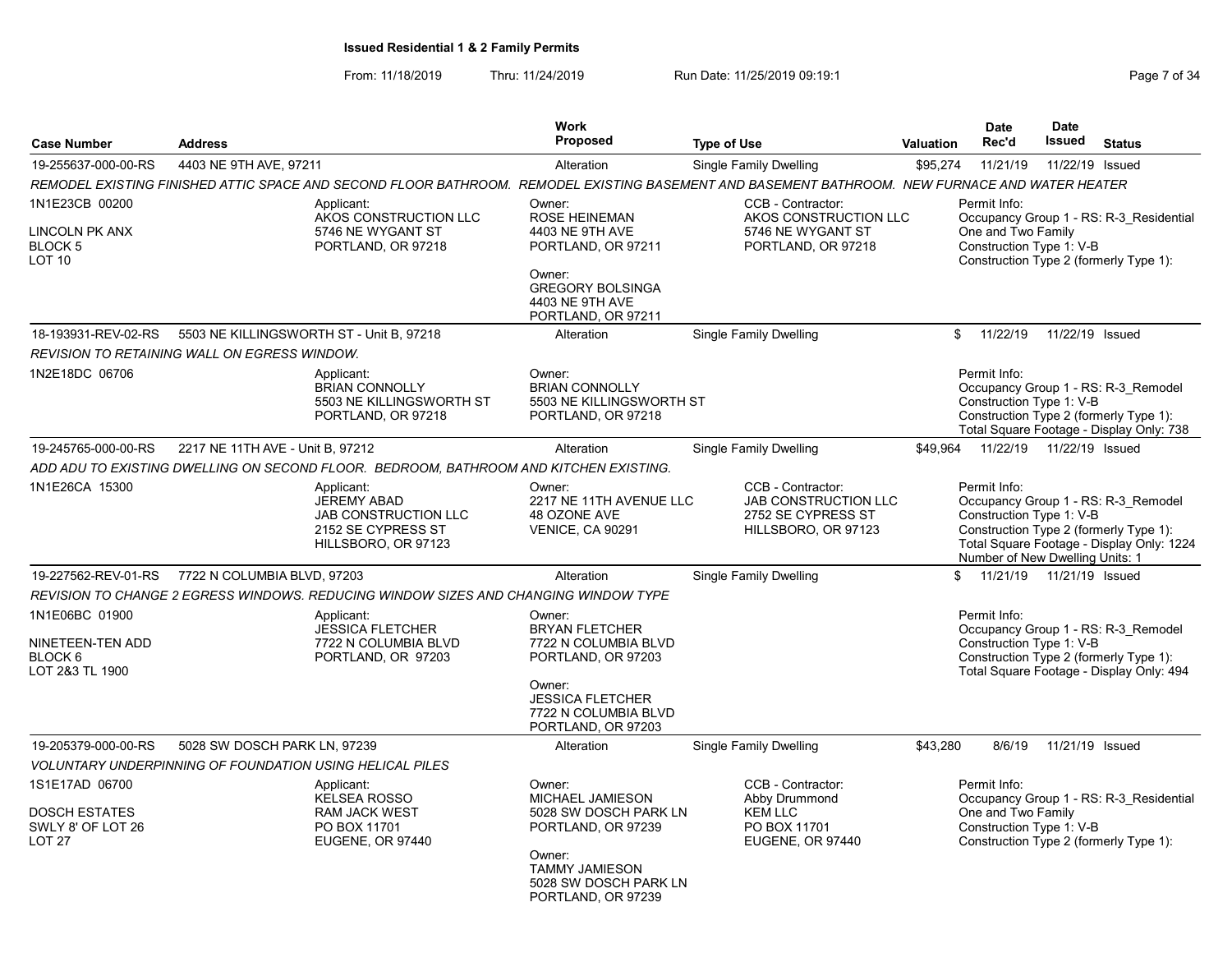From: 11/18/2019 Thru: 11/24/2019 Run Date: 11/25/2019 09:19:1 Company Page 7 of 34

|                                                                                  |                                                                                                                                                | Work<br><b>Proposed</b>                                                                                                                                          |                                                                                               |                  | <b>Date</b>                                                                 | <b>Date</b><br><b>Issued</b> |                                                                                                                            |
|----------------------------------------------------------------------------------|------------------------------------------------------------------------------------------------------------------------------------------------|------------------------------------------------------------------------------------------------------------------------------------------------------------------|-----------------------------------------------------------------------------------------------|------------------|-----------------------------------------------------------------------------|------------------------------|----------------------------------------------------------------------------------------------------------------------------|
| <b>Case Number</b>                                                               | <b>Address</b>                                                                                                                                 |                                                                                                                                                                  | <b>Type of Use</b>                                                                            | <b>Valuation</b> | Rec'd                                                                       |                              | <b>Status</b>                                                                                                              |
| 19-255637-000-00-RS                                                              | 4403 NE 9TH AVE, 97211                                                                                                                         | Alteration                                                                                                                                                       | Single Family Dwelling                                                                        | \$95,274         | 11/21/19                                                                    | 11/22/19 Issued              |                                                                                                                            |
|                                                                                  | REMODEL EXISTING FINISHED ATTIC SPACE AND SECOND FLOOR BATHROOM. REMODEL EXISTING BASEMENT AND BASEMENT BATHROOM. NEW FURNACE AND WATER HEATER |                                                                                                                                                                  |                                                                                               |                  |                                                                             |                              |                                                                                                                            |
| 1N1E23CB 00200<br>LINCOLN PK ANX<br>BLOCK 5<br>LOT 10                            | Applicant:<br>AKOS CONSTRUCTION LLC<br>5746 NE WYGANT ST<br>PORTLAND, OR 97218                                                                 | Owner:<br>ROSE HEINEMAN<br>4403 NE 9TH AVE<br>PORTLAND, OR 97211<br>Owner:<br><b>GREGORY BOLSINGA</b><br>4403 NE 9TH AVE<br>PORTLAND, OR 97211                   | CCB - Contractor:<br>AKOS CONSTRUCTION LLC<br>5746 NE WYGANT ST<br>PORTLAND, OR 97218         |                  | Permit Info:<br>One and Two Family<br>Construction Type 1: V-B              |                              | Occupancy Group 1 - RS: R-3_Residential<br>Construction Type 2 (formerly Type 1):                                          |
| 18-193931-REV-02-RS                                                              | 5503 NE KILLINGSWORTH ST - Unit B, 97218                                                                                                       | Alteration                                                                                                                                                       | Single Family Dwelling                                                                        | \$               | 11/22/19                                                                    | 11/22/19 Issued              |                                                                                                                            |
|                                                                                  | REVISION TO RETAINING WALL ON EGRESS WINDOW.                                                                                                   |                                                                                                                                                                  |                                                                                               |                  |                                                                             |                              |                                                                                                                            |
| 1N2E18DC 06706                                                                   | Applicant:<br><b>BRIAN CONNOLLY</b><br>5503 NE KILLINGSWORTH ST<br>PORTLAND, OR 97218                                                          | Owner:<br><b>BRIAN CONNOLLY</b><br>5503 NE KILLINGSWORTH ST<br>PORTLAND, OR 97218                                                                                |                                                                                               |                  | Permit Info:<br>Construction Type 1: V-B                                    |                              | Occupancy Group 1 - RS: R-3 Remodel<br>Construction Type 2 (formerly Type 1):<br>Total Square Footage - Display Only: 738  |
| 19-245765-000-00-RS                                                              | 2217 NE 11TH AVE - Unit B, 97212                                                                                                               | Alteration                                                                                                                                                       | Single Family Dwelling                                                                        | \$49,964         | 11/22/19                                                                    | 11/22/19 Issued              |                                                                                                                            |
|                                                                                  | ADD ADU TO EXISTING DWELLING ON SECOND FLOOR.  BEDROOM, BATHROOM AND KITCHEN EXISTING.                                                         |                                                                                                                                                                  |                                                                                               |                  |                                                                             |                              |                                                                                                                            |
| 1N1E26CA 15300                                                                   | Applicant:<br><b>JEREMY ABAD</b><br><b>JAB CONSTRUCTION LLC</b><br>2152 SE CYPRESS ST<br>HILLSBORO, OR 97123                                   | Owner:<br>2217 NE 11TH AVENUE LLC<br>48 OZONE AVE<br><b>VENICE, CA 90291</b>                                                                                     | CCB - Contractor:<br><b>JAB CONSTRUCTION LLC</b><br>2752 SE CYPRESS ST<br>HILLSBORO, OR 97123 |                  | Permit Info:<br>Construction Type 1: V-B<br>Number of New Dwelling Units: 1 |                              | Occupancy Group 1 - RS: R-3_Remodel<br>Construction Type 2 (formerly Type 1):<br>Total Square Footage - Display Only: 1224 |
| 19-227562-REV-01-RS                                                              | 7722 N COLUMBIA BLVD, 97203                                                                                                                    | Alteration                                                                                                                                                       | <b>Single Family Dwelling</b>                                                                 | \$               | 11/21/19                                                                    | 11/21/19 Issued              |                                                                                                                            |
|                                                                                  | REVISION TO CHANGE 2 EGRESS WINDOWS. REDUCING WINDOW SIZES AND CHANGING WINDOW TYPE                                                            |                                                                                                                                                                  |                                                                                               |                  |                                                                             |                              |                                                                                                                            |
| 1N1E06BC 01900<br>NINETEEN-TEN ADD<br>BLOCK 6<br>LOT 2&3 TL 1900                 | Applicant:<br><b>JESSICA FLETCHER</b><br>7722 N COLUMBIA BLVD<br>PORTLAND, OR 97203                                                            | Owner:<br><b>BRYAN FLETCHER</b><br>7722 N COLUMBIA BLVD<br>PORTLAND, OR 97203<br>Owner:<br><b>JESSICA FLETCHER</b><br>7722 N COLUMBIA BLVD<br>PORTLAND, OR 97203 |                                                                                               |                  | Permit Info:<br>Construction Type 1: V-B                                    |                              | Occupancy Group 1 - RS: R-3 Remodel<br>Construction Type 2 (formerly Type 1):<br>Total Square Footage - Display Only: 494  |
| 19-205379-000-00-RS                                                              | 5028 SW DOSCH PARK LN, 97239                                                                                                                   | Alteration                                                                                                                                                       | <b>Single Family Dwelling</b>                                                                 | \$43,280         | 8/6/19                                                                      | 11/21/19 Issued              |                                                                                                                            |
|                                                                                  | <b>VOLUNTARY UNDERPINNING OF FOUNDATION USING HELICAL PILES</b>                                                                                |                                                                                                                                                                  |                                                                                               |                  |                                                                             |                              |                                                                                                                            |
| 1S1E17AD 06700<br><b>DOSCH ESTATES</b><br>SWLY 8' OF LOT 26<br>LOT <sub>27</sub> | Applicant:<br><b>KELSEA ROSSO</b><br><b>RAM JACK WEST</b><br>PO BOX 11701<br>EUGENE, OR 97440                                                  | Owner:<br>MICHAEL JAMIESON<br>5028 SW DOSCH PARK LN<br>PORTLAND, OR 97239<br>Owner:<br><b>TAMMY JAMIESON</b><br>5028 SW DOSCH PARK LN<br>PORTLAND, OR 97239      | CCB - Contractor:<br>Abby Drummond<br><b>KEM LLC</b><br>PO BOX 11701<br>EUGENE, OR 97440      |                  | Permit Info:<br>One and Two Family<br>Construction Type 1: V-B              |                              | Occupancy Group 1 - RS: R-3 Residential<br>Construction Type 2 (formerly Type 1):                                          |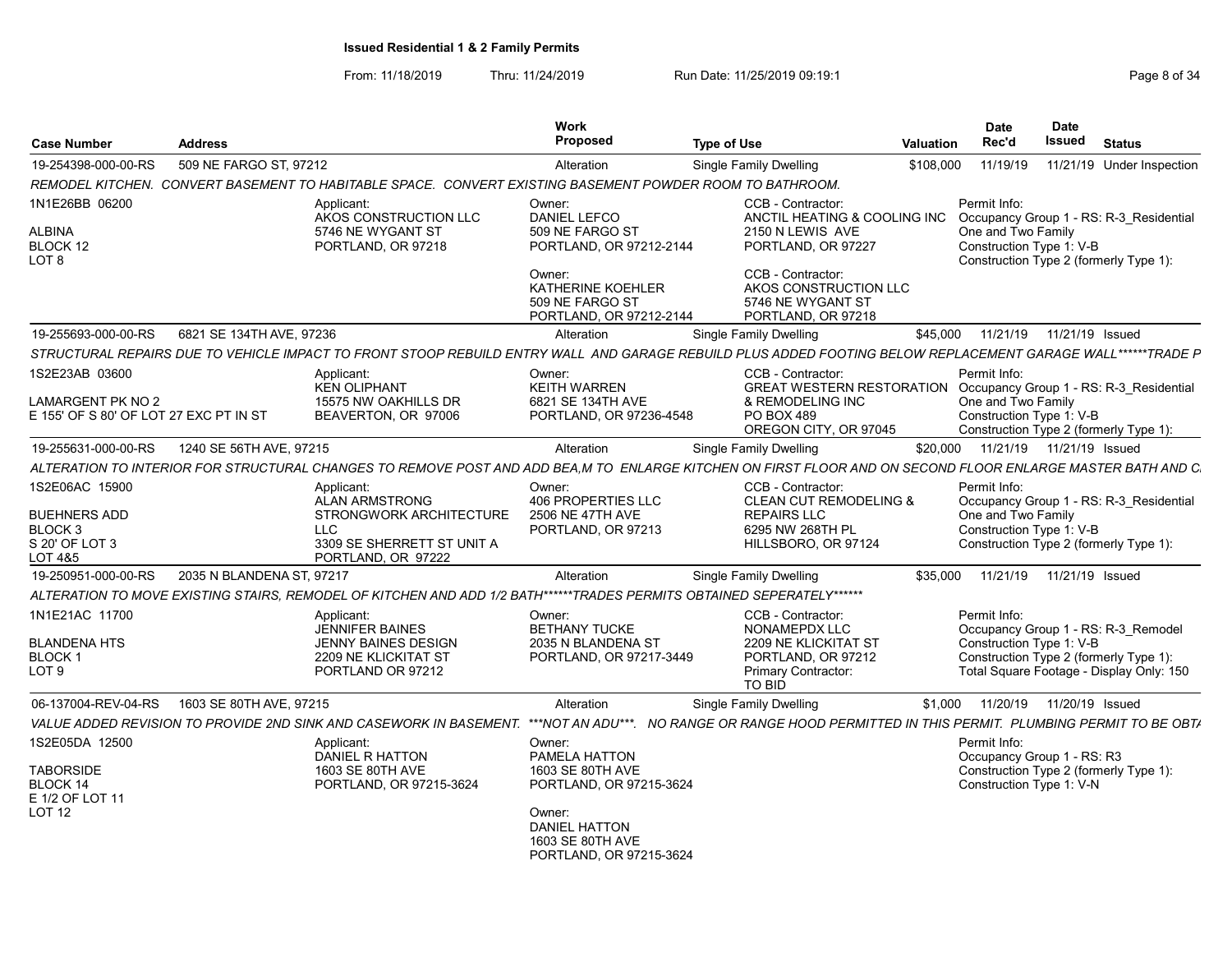From: 11/18/2019 Thru: 11/24/2019 Run Date: 11/25/2019 09:19:1 Company Page 8 of 34

| <b>Case Number</b>                                                                       | <b>Address</b>            |                                                                                                                                                             | <b>Work</b><br>Proposed                                                                                                                                 | <b>Type of Use</b>                                                                                                                                             | <b>Valuation</b> | <b>Date</b><br>Rec'd                                                   | <b>Date</b><br>Issued      | <b>Status</b>                                                                                                             |
|------------------------------------------------------------------------------------------|---------------------------|-------------------------------------------------------------------------------------------------------------------------------------------------------------|---------------------------------------------------------------------------------------------------------------------------------------------------------|----------------------------------------------------------------------------------------------------------------------------------------------------------------|------------------|------------------------------------------------------------------------|----------------------------|---------------------------------------------------------------------------------------------------------------------------|
| 19-254398-000-00-RS                                                                      | 509 NE FARGO ST. 97212    |                                                                                                                                                             | Alteration                                                                                                                                              | Single Family Dwelling                                                                                                                                         | \$108,000        | 11/19/19                                                               |                            | 11/21/19 Under Inspection                                                                                                 |
|                                                                                          |                           | REMODEL KITCHEN. CONVERT BASEMENT TO HABITABLE SPACE. CONVERT EXISTING BASEMENT POWDER ROOM TO BATHROOM.                                                    |                                                                                                                                                         |                                                                                                                                                                |                  |                                                                        |                            |                                                                                                                           |
| 1N1E26BB 06200<br><b>ALBINA</b><br>BLOCK 12<br>LOT <sub>8</sub>                          |                           | Applicant:<br>AKOS CONSTRUCTION LLC<br>5746 NE WYGANT ST<br>PORTLAND, OR 97218                                                                              | Owner:<br><b>DANIEL LEFCO</b><br>509 NE FARGO ST<br>PORTLAND, OR 97212-2144<br>Owner:<br>KATHERINE KOEHLER<br>509 NE FARGO ST                           | CCB - Contractor:<br>ANCTIL HEATING & COOLING INC<br>2150 N LEWIS AVE<br>PORTLAND, OR 97227<br>CCB - Contractor:<br>AKOS CONSTRUCTION LLC<br>5746 NE WYGANT ST |                  | Permit Info:<br>One and Two Family<br>Construction Type 1: V-B         |                            | Occupancy Group 1 - RS: R-3 Residential<br>Construction Type 2 (formerly Type 1):                                         |
|                                                                                          |                           |                                                                                                                                                             | PORTLAND, OR 97212-2144                                                                                                                                 | PORTLAND, OR 97218                                                                                                                                             |                  |                                                                        |                            |                                                                                                                           |
| 19-255693-000-00-RS                                                                      | 6821 SE 134TH AVE, 97236  |                                                                                                                                                             | Alteration                                                                                                                                              | Single Family Dwelling                                                                                                                                         | \$45,000         | 11/21/19                                                               | 11/21/19 Issued            |                                                                                                                           |
|                                                                                          |                           | STRUCTURAL REPAIRS DUE TO VEHICLE IMPACT TO FRONT STOOP REBUILD ENTRY WALL AND GARAGE REBUILD PLUS ADDED FOOTING BELOW REPLACEMENT GARAGE WALL******TRADE P |                                                                                                                                                         |                                                                                                                                                                |                  |                                                                        |                            |                                                                                                                           |
| 1S2E23AB 03600<br>LAMARGENT PK NO 2<br>E 155' OF S 80' OF LOT 27 EXC PT IN ST            |                           | Applicant:<br><b>KEN OLIPHANT</b><br>15575 NW OAKHILLS DR<br>BEAVERTON, OR 97006                                                                            | Owner:<br><b>KEITH WARREN</b><br>6821 SE 134TH AVE<br>PORTLAND, OR 97236-4548                                                                           | CCB - Contractor:<br><b>GREAT WESTERN RESTORATION</b><br>& REMODELING INC<br>PO BOX 489<br>OREGON CITY, OR 97045                                               |                  | Permit Info:<br>One and Two Family<br>Construction Type 1: V-B         |                            | Occupancy Group 1 - RS: R-3 Residential<br>Construction Type 2 (formerly Type 1):                                         |
| 19-255631-000-00-RS                                                                      | 1240 SE 56TH AVE, 97215   |                                                                                                                                                             | Alteration                                                                                                                                              | Single Family Dwelling                                                                                                                                         | \$20,000         |                                                                        | 11/21/19  11/21/19  Issued |                                                                                                                           |
|                                                                                          |                           | ALTERATION TO INTERIOR FOR STRUCTURAL CHANGES TO REMOVE POST AND ADD BEA,M TO ENLARGE KITCHEN ON FIRST FLOOR AND ON SECOND FLOOR ENLARGE MASTER BATH AND C. |                                                                                                                                                         |                                                                                                                                                                |                  |                                                                        |                            |                                                                                                                           |
| 1S2E06AC 15900<br><b>BUEHNERS ADD</b><br>BLOCK <sub>3</sub><br>S 20' OF LOT 3<br>LOT 4&5 |                           | Applicant:<br>ALAN ARMSTRONG<br>STRONGWORK ARCHITECTURE<br><b>LLC</b><br>3309 SE SHERRETT ST UNIT A<br>PORTLAND, OR 97222                                   | Owner:<br>406 PROPERTIES LLC<br>2506 NE 47TH AVE<br>PORTLAND, OR 97213                                                                                  | CCB - Contractor:<br><b>CLEAN CUT REMODELING &amp;</b><br><b>REPAIRS LLC</b><br>6295 NW 268TH PL<br>HILLSBORO, OR 97124                                        |                  | Permit Info:<br>One and Two Family<br>Construction Type 1: V-B         |                            | Occupancy Group 1 - RS: R-3 Residential<br>Construction Type 2 (formerly Type 1):                                         |
| 19-250951-000-00-RS                                                                      | 2035 N BLANDENA ST, 97217 |                                                                                                                                                             | Alteration                                                                                                                                              | <b>Single Family Dwelling</b>                                                                                                                                  | \$35,000         | 11/21/19                                                               | 11/21/19 Issued            |                                                                                                                           |
|                                                                                          |                           | ALTERATION TO MOVE EXISTING STAIRS. REMODEL OF KITCHEN AND ADD 1/2 BATH******TRADES PERMITS OBTAINED SEPERATELY******                                       |                                                                                                                                                         |                                                                                                                                                                |                  |                                                                        |                            |                                                                                                                           |
| 1N1E21AC 11700<br><b>BLANDENA HTS</b><br>BLOCK 1<br>LOT <sub>9</sub>                     |                           | Applicant:<br>JENNIFER BAINES<br><b>JENNY BAINES DESIGN</b><br>2209 NE KLICKITAT ST<br>PORTLAND OR 97212                                                    | Owner:<br><b>BETHANY TUCKE</b><br>2035 N BLANDENA ST<br>PORTLAND, OR 97217-3449                                                                         | CCB - Contractor:<br>NONAMEPDX LLC<br>2209 NE KLICKITAT ST<br>PORTLAND, OR 97212<br>Primary Contractor:<br>TO BID                                              |                  | Permit Info:<br>Construction Type 1: V-B                               |                            | Occupancy Group 1 - RS: R-3 Remodel<br>Construction Type 2 (formerly Type 1):<br>Total Square Footage - Display Only: 150 |
| 06-137004-REV-04-RS                                                                      | 1603 SE 80TH AVE, 97215   |                                                                                                                                                             | Alteration                                                                                                                                              | Single Family Dwelling                                                                                                                                         | \$1,000          |                                                                        | 11/20/19  11/20/19  Issued |                                                                                                                           |
|                                                                                          |                           | VALUE ADDED REVISION TO PROVIDE 2ND SINK AND CASEWORK IN BASEMENT.                                                                                          |                                                                                                                                                         | ***NOT AN ADU***. NO RANGE OR RANGE HOOD PERMITTED IN THIS PERMIT. PLUMBING PERMIT TO BE OBT/                                                                  |                  |                                                                        |                            |                                                                                                                           |
| 1S2E05DA 12500<br><b>TABORSIDE</b><br><b>BLOCK 14</b><br>E 1/2 OF LOT 11<br>LOT 12       |                           | Applicant:<br><b>DANIEL R HATTON</b><br>1603 SE 80TH AVE<br>PORTLAND, OR 97215-3624                                                                         | Owner:<br>PAMELA HATTON<br>1603 SE 80TH AVE<br>PORTLAND, OR 97215-3624<br>Owner:<br><b>DANIEL HATTON</b><br>1603 SE 80TH AVE<br>PORTLAND, OR 97215-3624 |                                                                                                                                                                |                  | Permit Info:<br>Occupancy Group 1 - RS: R3<br>Construction Type 1: V-N |                            | Construction Type 2 (formerly Type 1):                                                                                    |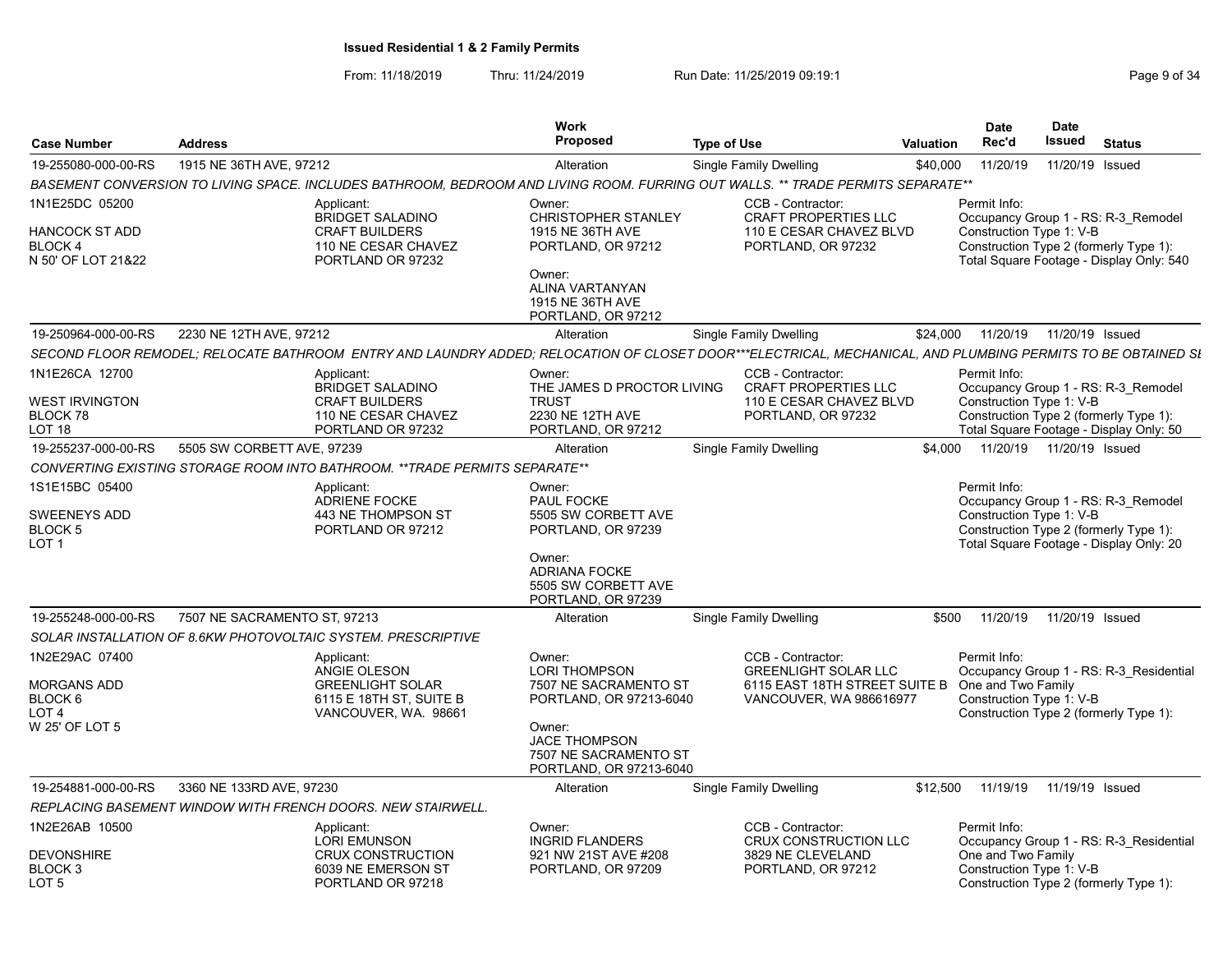From: 11/18/2019 Thru: 11/24/2019 Run Date: 11/25/2019 09:19:1 Company Page 9 of 34

|                                                                                 |                              |                                                                                                                                                             | <b>Work</b><br>Proposed                                                                                                                                           |                    |                                                                                                              |                  | <b>Date</b><br>Rec'd                                           | <b>Date</b><br><b>Issued</b> | <b>Status</b>                                                                                                             |
|---------------------------------------------------------------------------------|------------------------------|-------------------------------------------------------------------------------------------------------------------------------------------------------------|-------------------------------------------------------------------------------------------------------------------------------------------------------------------|--------------------|--------------------------------------------------------------------------------------------------------------|------------------|----------------------------------------------------------------|------------------------------|---------------------------------------------------------------------------------------------------------------------------|
| <b>Case Number</b>                                                              | <b>Address</b>               |                                                                                                                                                             |                                                                                                                                                                   | <b>Type of Use</b> |                                                                                                              | <b>Valuation</b> |                                                                |                              |                                                                                                                           |
| 19-255080-000-00-RS                                                             | 1915 NE 36TH AVE, 97212      | BASEMENT CONVERSION TO LIVING SPACE. INCLUDES BATHROOM, BEDROOM AND LIVING ROOM. FURRING OUT WALLS. ** TRADE PERMITS SEPARATE**                             | Alteration                                                                                                                                                        |                    | Single Family Dwelling                                                                                       | \$40,000         | 11/20/19                                                       | 11/20/19 Issued              |                                                                                                                           |
|                                                                                 |                              |                                                                                                                                                             |                                                                                                                                                                   |                    |                                                                                                              |                  |                                                                |                              |                                                                                                                           |
| 1N1E25DC 05200<br><b>HANCOCK ST ADD</b><br><b>BLOCK 4</b><br>N 50' OF LOT 21&22 |                              | Applicant:<br>BRIDGET SALADINO<br><b>CRAFT BUILDERS</b><br>110 NE CESAR CHAVEZ<br>PORTLAND OR 97232                                                         | Owner:<br><b>CHRISTOPHER STANLEY</b><br>1915 NE 36TH AVE<br>PORTLAND, OR 97212<br>Owner:                                                                          |                    | CCB - Contractor:<br><b>CRAFT PROPERTIES LLC</b><br>110 E CESAR CHAVEZ BLVD<br>PORTLAND, OR 97232            |                  | Permit Info:<br>Construction Type 1: V-B                       |                              | Occupancy Group 1 - RS: R-3 Remodel<br>Construction Type 2 (formerly Type 1):<br>Total Square Footage - Display Only: 540 |
|                                                                                 |                              |                                                                                                                                                             | ALINA VARTANYAN<br>1915 NE 36TH AVE<br>PORTLAND, OR 97212                                                                                                         |                    |                                                                                                              |                  |                                                                |                              |                                                                                                                           |
| 19-250964-000-00-RS                                                             | 2230 NE 12TH AVE, 97212      |                                                                                                                                                             | Alteration                                                                                                                                                        |                    | <b>Single Family Dwelling</b>                                                                                | \$24,000         | 11/20/19                                                       | 11/20/19 Issued              |                                                                                                                           |
|                                                                                 |                              | SECOND FLOOR REMODEL; RELOCATE BATHROOM ENTRY AND LAUNDRY ADDED; RELOCATION OF CLOSET DOOR***ELECTRICAL, MECHANICAL, AND PLUMBING PERMITS TO BE OBTAINED SI |                                                                                                                                                                   |                    |                                                                                                              |                  |                                                                |                              |                                                                                                                           |
| 1N1E26CA 12700                                                                  |                              | Applicant:                                                                                                                                                  | Owner:                                                                                                                                                            |                    | CCB - Contractor:                                                                                            |                  | Permit Info:                                                   |                              |                                                                                                                           |
| <b>WEST IRVINGTON</b><br><b>BLOCK78</b><br>LOT 18                               |                              | <b>BRIDGET SALADINO</b><br><b>CRAFT BUILDERS</b><br>110 NE CESAR CHAVEZ<br>PORTLAND OR 97232                                                                | THE JAMES D PROCTOR LIVING<br><b>TRUST</b><br>2230 NE 12TH AVE<br>PORTLAND, OR 97212                                                                              |                    | <b>CRAFT PROPERTIES LLC</b><br>110 E CESAR CHAVEZ BLVD<br>PORTLAND, OR 97232                                 |                  | Construction Type 1: V-B                                       |                              | Occupancy Group 1 - RS: R-3_Remodel<br>Construction Type 2 (formerly Type 1):<br>Total Square Footage - Display Only: 50  |
| 19-255237-000-00-RS                                                             | 5505 SW CORBETT AVE, 97239   |                                                                                                                                                             | Alteration                                                                                                                                                        |                    | <b>Single Family Dwelling</b>                                                                                | \$4.000          |                                                                | 11/20/19  11/20/19  Issued   |                                                                                                                           |
|                                                                                 |                              | CONVERTING EXISTING STORAGE ROOM INTO BATHROOM. ** TRADE PERMITS SEPARATE**                                                                                 |                                                                                                                                                                   |                    |                                                                                                              |                  |                                                                |                              |                                                                                                                           |
| 1S1E15BC 05400<br><b>SWEENEYS ADD</b><br><b>BLOCK 5</b><br>LOT <sub>1</sub>     |                              | Applicant:<br><b>ADRIENE FOCKE</b><br>443 NE THOMPSON ST<br>PORTLAND OR 97212                                                                               | Owner:<br>PAUL FOCKE<br>5505 SW CORBETT AVE<br>PORTLAND, OR 97239                                                                                                 |                    |                                                                                                              |                  | Permit Info:<br>Construction Type 1: V-B                       |                              | Occupancy Group 1 - RS: R-3 Remodel<br>Construction Type 2 (formerly Type 1):<br>Total Square Footage - Display Only: 20  |
|                                                                                 |                              |                                                                                                                                                             | Owner:<br><b>ADRIANA FOCKE</b><br>5505 SW CORBETT AVE<br>PORTLAND, OR 97239                                                                                       |                    |                                                                                                              |                  |                                                                |                              |                                                                                                                           |
| 19-255248-000-00-RS                                                             | 7507 NE SACRAMENTO ST, 97213 |                                                                                                                                                             | Alteration                                                                                                                                                        |                    | <b>Single Family Dwelling</b>                                                                                | \$500            | 11/20/19                                                       | 11/20/19 Issued              |                                                                                                                           |
|                                                                                 |                              | SOLAR INSTALLATION OF 8.6KW PHOTOVOLTAIC SYSTEM. PRESCRIPTIVE                                                                                               |                                                                                                                                                                   |                    |                                                                                                              |                  |                                                                |                              |                                                                                                                           |
| 1N2E29AC 07400<br><b>MORGANS ADD</b><br>BLOCK 6<br>LOT 4<br>W 25' OF LOT 5      |                              | Applicant:<br>ANGIE OLESON<br><b>GREENLIGHT SOLAR</b><br>6115 E 18TH ST, SUITE B<br>VANCOUVER, WA. 98661                                                    | Owner:<br>LORI THOMPSON<br>7507 NE SACRAMENTO ST<br>PORTLAND, OR 97213-6040<br>Owner:<br><b>JACE THOMPSON</b><br>7507 NE SACRAMENTO ST<br>PORTLAND, OR 97213-6040 |                    | CCB - Contractor:<br><b>GREENLIGHT SOLAR LLC</b><br>6115 EAST 18TH STREET SUITE B<br>VANCOUVER, WA 986616977 |                  | Permit Info:<br>One and Two Family<br>Construction Type 1: V-B |                              | Occupancy Group 1 - RS: R-3_Residential<br>Construction Type 2 (formerly Type 1):                                         |
| 19-254881-000-00-RS                                                             | 3360 NE 133RD AVE, 97230     |                                                                                                                                                             | Alteration                                                                                                                                                        |                    | Single Family Dwelling                                                                                       | \$12,500         | 11/19/19                                                       | 11/19/19 Issued              |                                                                                                                           |
|                                                                                 |                              | REPLACING BASEMENT WINDOW WITH FRENCH DOORS. NEW STAIRWELL.                                                                                                 |                                                                                                                                                                   |                    |                                                                                                              |                  |                                                                |                              |                                                                                                                           |
| 1N2E26AB 10500                                                                  |                              | Applicant:<br><b>LORI EMUNSON</b>                                                                                                                           | Owner:<br><b>INGRID FLANDERS</b>                                                                                                                                  |                    | CCB - Contractor:<br><b>CRUX CONSTRUCTION LLC</b>                                                            |                  | Permit Info:                                                   |                              | Occupancy Group 1 - RS: R-3 Residential                                                                                   |
| <b>DEVONSHIRE</b><br>BLOCK <sub>3</sub><br>LOT <sub>5</sub>                     |                              | <b>CRUX CONSTRUCTION</b><br>6039 NE EMERSON ST<br>PORTLAND OR 97218                                                                                         | 921 NW 21ST AVE #208<br>PORTLAND, OR 97209                                                                                                                        |                    | 3829 NE CLEVELAND<br>PORTLAND, OR 97212                                                                      |                  | One and Two Family<br>Construction Type 1: V-B                 |                              | Construction Type 2 (formerly Type 1):                                                                                    |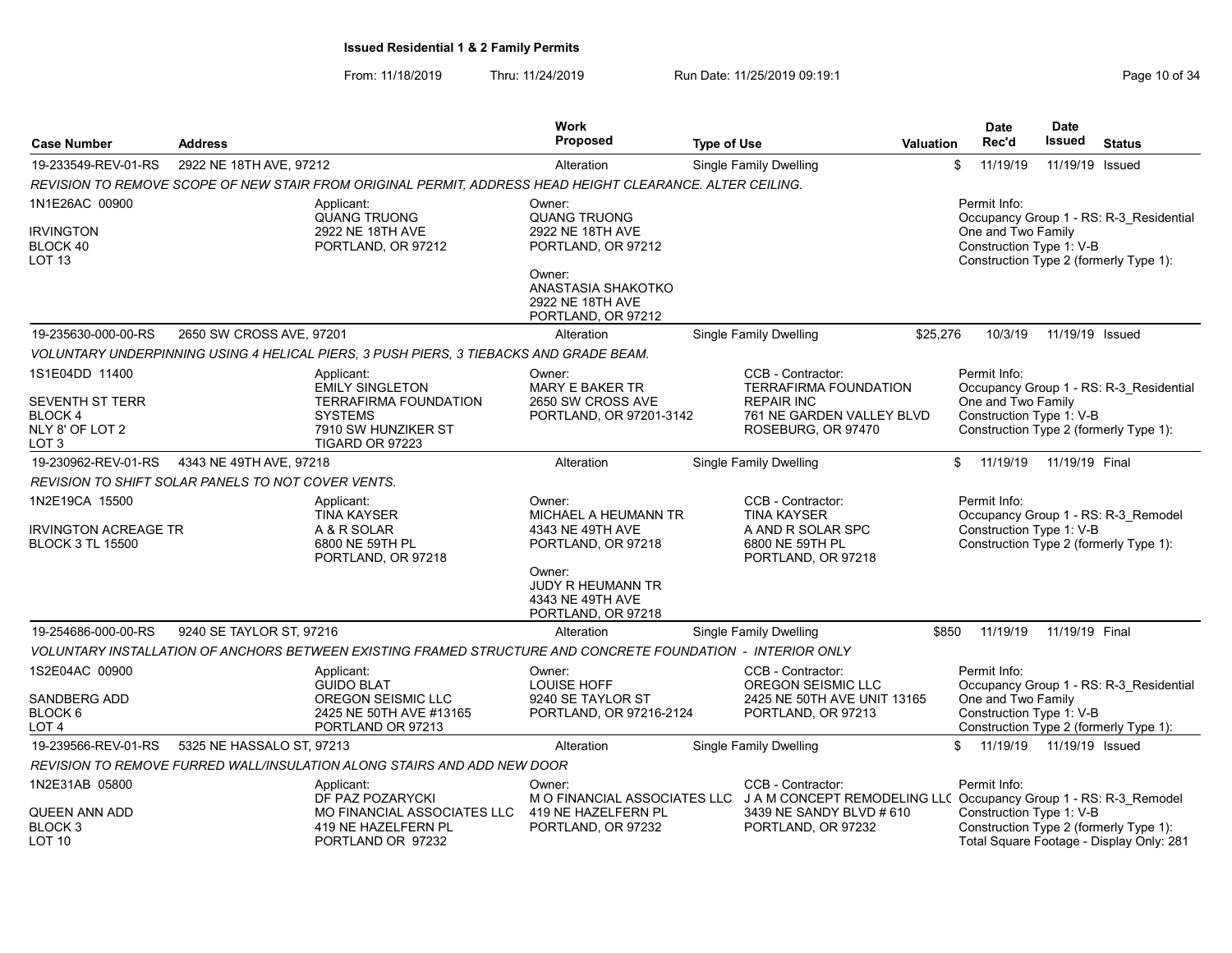From: 11/18/2019 Thru: 11/24/2019 Run Date: 11/25/2019 09:19:1 Company Page 10 of 34

|                                                                                       |                                                    |                                                                                                                                  | <b>Work</b>                                                                       |                                                                                                                    |           | <b>Date</b>                                                    | <b>Date</b>                |                                                                                    |
|---------------------------------------------------------------------------------------|----------------------------------------------------|----------------------------------------------------------------------------------------------------------------------------------|-----------------------------------------------------------------------------------|--------------------------------------------------------------------------------------------------------------------|-----------|----------------------------------------------------------------|----------------------------|------------------------------------------------------------------------------------|
| <b>Case Number</b>                                                                    | <b>Address</b>                                     |                                                                                                                                  | Proposed                                                                          | <b>Type of Use</b>                                                                                                 | Valuation | Rec'd                                                          | <b>Issued</b>              | <b>Status</b>                                                                      |
| 19-233549-REV-01-RS                                                                   | 2922 NE 18TH AVE, 97212                            |                                                                                                                                  | Alteration                                                                        | Single Family Dwelling                                                                                             |           | 11/19/19<br>\$                                                 | 11/19/19 Issued            |                                                                                    |
|                                                                                       |                                                    | REVISION TO REMOVE SCOPE OF NEW STAIR FROM ORIGINAL PERMIT. ADDRESS HEAD HEIGHT CLEARANCE. ALTER CEILING.                        |                                                                                   |                                                                                                                    |           |                                                                |                            |                                                                                    |
| 1N1E26AC 00900<br><b>IRVINGTON</b><br>BLOCK 40<br>LOT <sub>13</sub>                   |                                                    | Applicant:<br><b>QUANG TRUONG</b><br>2922 NE 18TH AVE<br>PORTLAND, OR 97212                                                      | Owner:<br><b>QUANG TRUONG</b><br>2922 NE 18TH AVE<br>PORTLAND, OR 97212<br>Owner: |                                                                                                                    |           | Permit Info:<br>One and Two Family<br>Construction Type 1: V-B |                            | Occupancy Group 1 - RS: R-3 Residential<br>Construction Type 2 (formerly Type 1):  |
|                                                                                       |                                                    |                                                                                                                                  | ANASTASIA SHAKOTKO<br>2922 NE 18TH AVE<br>PORTLAND, OR 97212                      |                                                                                                                    |           |                                                                |                            |                                                                                    |
| 19-235630-000-00-RS                                                                   | 2650 SW CROSS AVE, 97201                           |                                                                                                                                  | Alteration                                                                        | <b>Single Family Dwelling</b>                                                                                      | \$25,276  | 10/3/19                                                        | 11/19/19 Issued            |                                                                                    |
|                                                                                       |                                                    | VOLUNTARY UNDERPINNING USING 4 HELICAL PIERS, 3 PUSH PIERS, 3 TIEBACKS AND GRADE BEAM.                                           |                                                                                   |                                                                                                                    |           |                                                                |                            |                                                                                    |
| 1S1E04DD 11400<br><b>SEVENTH ST TERR</b><br><b>BLOCK4</b><br>NLY 8' OF LOT 2<br>LOT 3 |                                                    | Applicant:<br><b>EMILY SINGLETON</b><br><b>TERRAFIRMA FOUNDATION</b><br><b>SYSTEMS</b><br>7910 SW HUNZIKER ST<br>TIGARD OR 97223 | Owner:<br>MARY E BAKER TR<br>2650 SW CROSS AVE<br>PORTLAND, OR 97201-3142         | CCB - Contractor:<br>TERRAFIRMA FOUNDATION<br><b>REPAIR INC</b><br>761 NE GARDEN VALLEY BLVD<br>ROSEBURG, OR 97470 |           | Permit Info:<br>One and Two Family<br>Construction Type 1: V-B |                            | Occupancy Group 1 - RS: R-3 Residential<br>Construction Type 2 (formerly Type 1):  |
| 19-230962-REV-01-RS                                                                   | 4343 NE 49TH AVE, 97218                            |                                                                                                                                  | Alteration                                                                        | <b>Single Family Dwelling</b>                                                                                      |           | 11/19/19<br>\$                                                 | 11/19/19 Final             |                                                                                    |
|                                                                                       | REVISION TO SHIFT SOLAR PANELS TO NOT COVER VENTS. |                                                                                                                                  |                                                                                   |                                                                                                                    |           |                                                                |                            |                                                                                    |
| 1N2E19CA 15500<br><b>IRVINGTON ACREAGE TR</b><br><b>BLOCK 3 TL 15500</b>              |                                                    | Applicant:<br><b>TINA KAYSER</b><br>A & R SOLAR<br>6800 NE 59TH PL<br>PORTLAND, OR 97218                                         | Owner:<br>MICHAEL A HEUMANN TR<br>4343 NE 49TH AVE<br>PORTLAND, OR 97218          | CCB - Contractor:<br><b>TINA KAYSER</b><br>A AND R SOLAR SPC<br>6800 NE 59TH PL<br>PORTLAND, OR 97218              |           | Permit Info:<br>Construction Type 1: V-B                       |                            | Occupancy Group 1 - RS: R-3_Remodel<br>Construction Type 2 (formerly Type 1):      |
|                                                                                       |                                                    |                                                                                                                                  | Owner:<br><b>JUDY R HEUMANN TR</b><br>4343 NE 49TH AVE<br>PORTLAND, OR 97218      |                                                                                                                    |           |                                                                |                            |                                                                                    |
| 19-254686-000-00-RS                                                                   | 9240 SE TAYLOR ST, 97216                           |                                                                                                                                  | Alteration                                                                        | Single Family Dwelling                                                                                             | \$850     | 11/19/19                                                       | 11/19/19 Final             |                                                                                    |
|                                                                                       |                                                    | VOLUNTARY INSTALLATION OF ANCHORS BETWEEN EXISTING FRAMED STRUCTURE AND CONCRETE FOUNDATION - INTERIOR ONLY                      |                                                                                   |                                                                                                                    |           |                                                                |                            |                                                                                    |
| 1S2E04AC 00900                                                                        |                                                    | Applicant:<br><b>GUIDO BLAT</b>                                                                                                  | Owner:<br><b>LOUISE HOFF</b>                                                      | CCB - Contractor:<br>OREGON SEISMIC LLC                                                                            |           | Permit Info:                                                   |                            | Occupancy Group 1 - RS: R-3 Residential                                            |
| <b>SANDBERG ADD</b><br>BLOCK 6<br>LOT <sub>4</sub>                                    |                                                    | OREGON SEISMIC LLC<br>2425 NE 50TH AVE #13165<br>PORTLAND OR 97213                                                               | 9240 SE TAYLOR ST<br>PORTLAND, OR 97216-2124                                      | 2425 NE 50TH AVE UNIT 13165<br>PORTLAND, OR 97213                                                                  |           | One and Two Family<br>Construction Type 1: V-B                 |                            | Construction Type 2 (formerly Type 1):                                             |
| 19-239566-REV-01-RS                                                                   | 5325 NE HASSALO ST, 97213                          |                                                                                                                                  | Alteration                                                                        | Single Family Dwelling                                                                                             |           | \$                                                             | 11/19/19  11/19/19  Issued |                                                                                    |
|                                                                                       |                                                    | REVISION TO REMOVE FURRED WALL/INSULATION ALONG STAIRS AND ADD NEW DOOR                                                          |                                                                                   |                                                                                                                    |           |                                                                |                            |                                                                                    |
| 1N2E31AB 05800                                                                        |                                                    | Applicant:<br>DF PAZ POZARYCKI                                                                                                   | Owner:                                                                            | CCB - Contractor:<br>M O FINANCIAL ASSOCIATES LLC J A M CONCEPT REMODELING LLC Occupancy Group 1 - RS: R-3 Remodel |           | Permit Info:                                                   |                            |                                                                                    |
| <b>QUEEN ANN ADD</b><br>BLOCK 3<br>LOT 10                                             |                                                    | <b>MO FINANCIAL ASSOCIATES LLC</b><br>419 NE HAZELFERN PL<br>PORTLAND OR 97232                                                   | 419 NE HAZELFERN PL<br>PORTLAND, OR 97232                                         | 3439 NE SANDY BLVD # 610<br>PORTLAND, OR 97232                                                                     |           | Construction Type 1: V-B                                       |                            | Construction Type 2 (formerly Type 1):<br>Total Square Footage - Display Only: 281 |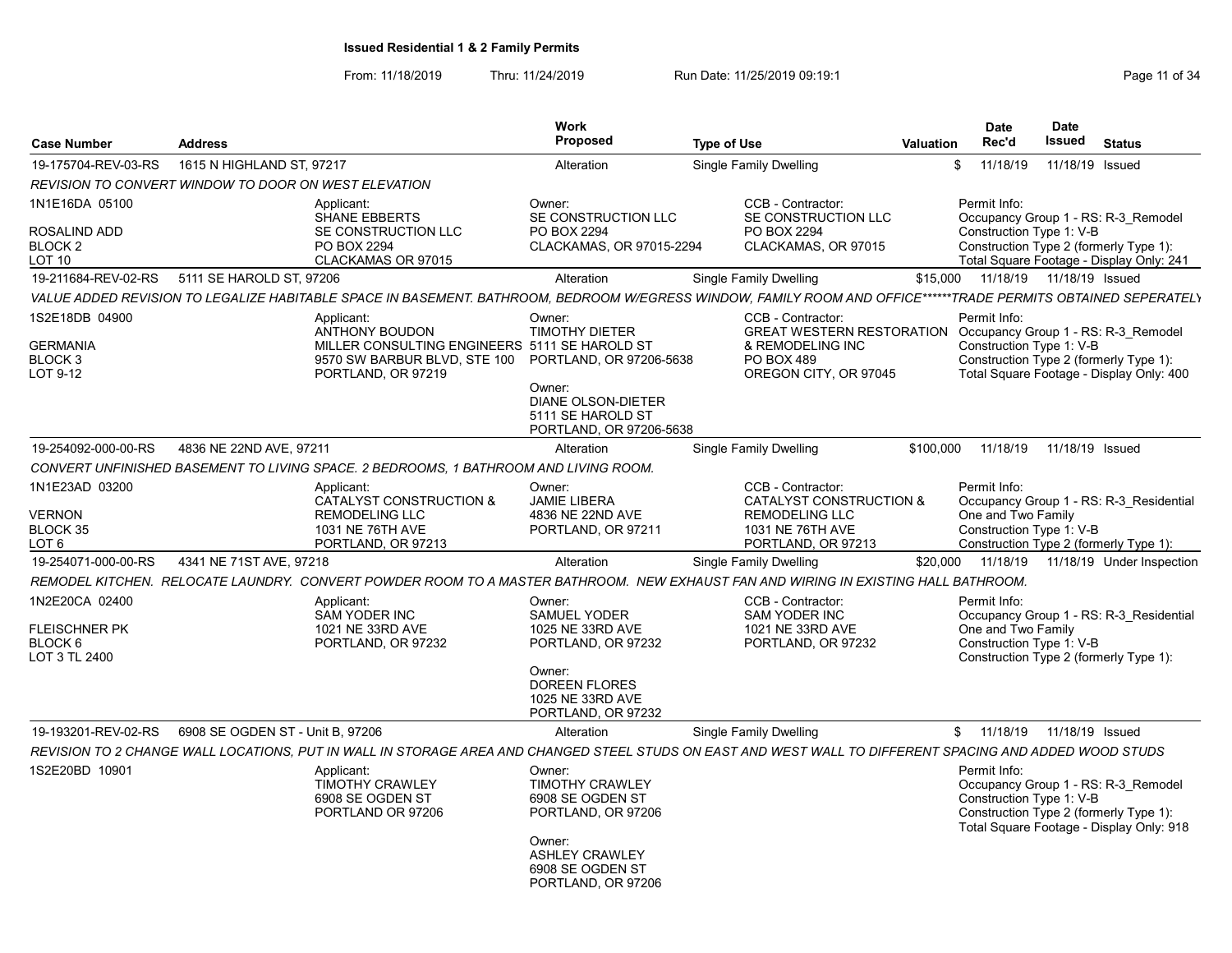From: 11/18/2019 Thru: 11/24/2019 Run Date: 11/25/2019 09:19:1 Company Page 11 of 34

| <b>Case Number</b>                                             | <b>Address</b>                   |                                                                                                                                                                    | <b>Work</b><br><b>Proposed</b>                                                                                                                          | <b>Type of Use</b> |                                                                                                                            | Valuation | <b>Date</b><br>Rec'd                                                                                     | <b>Date</b><br><b>Issued</b> | <b>Status</b>                                                                   |
|----------------------------------------------------------------|----------------------------------|--------------------------------------------------------------------------------------------------------------------------------------------------------------------|---------------------------------------------------------------------------------------------------------------------------------------------------------|--------------------|----------------------------------------------------------------------------------------------------------------------------|-----------|----------------------------------------------------------------------------------------------------------|------------------------------|---------------------------------------------------------------------------------|
| 19-175704-REV-03-RS                                            | 1615 N HIGHLAND ST, 97217        |                                                                                                                                                                    | Alteration                                                                                                                                              |                    | <b>Single Family Dwelling</b>                                                                                              |           | \$<br>11/18/19                                                                                           | 11/18/19                     | Issued                                                                          |
| REVISION TO CONVERT WINDOW TO DOOR ON WEST ELEVATION           |                                  |                                                                                                                                                                    |                                                                                                                                                         |                    |                                                                                                                            |           |                                                                                                          |                              |                                                                                 |
| 1N1E16DA 05100<br>ROSALIND ADD<br>BLOCK <sub>2</sub><br>LOT 10 |                                  | Applicant:<br><b>SHANE EBBERTS</b><br>SE CONSTRUCTION LLC<br>PO BOX 2294<br>CLACKAMAS OR 97015                                                                     | Owner:<br>SE CONSTRUCTION LLC<br>PO BOX 2294<br>CLACKAMAS, OR 97015-2294                                                                                |                    | CCB - Contractor:<br>SE CONSTRUCTION LLC<br>PO BOX 2294<br>CLACKAMAS, OR 97015                                             |           | Permit Info:<br>Construction Type 1: V-B<br>Construction Type 2 (formerly Type 1):                       |                              | Occupancy Group 1 - RS: R-3 Remodel<br>Total Square Footage - Display Only: 241 |
| 19-211684-REV-02-RS                                            | 5111 SE HAROLD ST, 97206         |                                                                                                                                                                    | Alteration                                                                                                                                              |                    | <b>Single Family Dwelling</b>                                                                                              | \$15,000  | 11/18/19  11/18/19  Issued                                                                               |                              |                                                                                 |
|                                                                |                                  | VALUE ADDED REVISION TO LEGALIZE HABITABLE SPACE IN BASEMENT. BATHROOM, BEDROOM W/EGRESS WINDOW, FAMILY ROOM AND OFFICE******TRADE PERMITS OBTAINED SEPERATELY     |                                                                                                                                                         |                    |                                                                                                                            |           |                                                                                                          |                              |                                                                                 |
| 1S2E18DB 04900<br><b>GERMANIA</b><br>BLOCK 3<br>LOT 9-12       |                                  | Applicant:<br><b>ANTHONY BOUDON</b><br>MILLER CONSULTING ENGINEERS 5111 SE HAROLD ST<br>9570 SW BARBUR BLVD, STE 100 PORTLAND, OR 97206-5638<br>PORTLAND, OR 97219 | Owner:<br><b>TIMOTHY DIETER</b><br>Owner:<br><b>DIANE OLSON-DIETER</b><br>5111 SE HAROLD ST<br>PORTLAND, OR 97206-5638                                  |                    | CCB - Contractor:<br><b>GREAT WESTERN RESTORATION</b><br>& REMODELING INC<br>PO BOX 489<br>OREGON CITY, OR 97045           |           | Permit Info:<br>Construction Type 1: V-B<br>Construction Type 2 (formerly Type 1):                       |                              | Occupancy Group 1 - RS: R-3 Remodel<br>Total Square Footage - Display Only: 400 |
| 19-254092-000-00-RS                                            | 4836 NE 22ND AVE, 97211          |                                                                                                                                                                    | Alteration                                                                                                                                              |                    | <b>Single Family Dwelling</b>                                                                                              | \$100,000 | 11/18/19                                                                                                 | 11/18/19 Issued              |                                                                                 |
|                                                                |                                  | CONVERT UNFINISHED BASEMENT TO LIVING SPACE. 2 BEDROOMS, 1 BATHROOM AND LIVING ROOM.                                                                               |                                                                                                                                                         |                    |                                                                                                                            |           |                                                                                                          |                              |                                                                                 |
| 1N1E23AD 03200<br><b>VERNON</b><br>BLOCK 35<br>LOT 6           |                                  | Applicant:<br><b>CATALYST CONSTRUCTION &amp;</b><br><b>REMODELING LLC</b><br>1031 NE 76TH AVE<br>PORTLAND, OR 97213                                                | Owner:<br><b>JAMIE LIBERA</b><br>4836 NE 22ND AVE<br>PORTLAND, OR 97211                                                                                 |                    | CCB - Contractor:<br><b>CATALYST CONSTRUCTION &amp;</b><br><b>REMODELING LLC</b><br>1031 NE 76TH AVE<br>PORTLAND, OR 97213 |           | Permit Info:<br>One and Two Family<br>Construction Type 1: V-B<br>Construction Type 2 (formerly Type 1): |                              | Occupancy Group 1 - RS: R-3 Residential                                         |
| 19-254071-000-00-RS                                            | 4341 NE 71ST AVE, 97218          |                                                                                                                                                                    | Alteration                                                                                                                                              |                    | <b>Single Family Dwelling</b>                                                                                              | \$20,000  | 11/18/19                                                                                                 |                              | 11/18/19 Under Inspection                                                       |
|                                                                |                                  | REMODEL KITCHEN. RELOCATE LAUNDRY. CONVERT POWDER ROOM TO A MASTER BATHROOM. NEW EXHAUST FAN AND WIRING IN EXISTING HALL BATHROOM.                                 |                                                                                                                                                         |                    |                                                                                                                            |           |                                                                                                          |                              |                                                                                 |
| 1N2E20CA 02400<br>FLEISCHNER PK<br>BLOCK 6<br>LOT 3 TL 2400    |                                  | Applicant:<br><b>SAM YODER INC</b><br>1021 NE 33RD AVE<br>PORTLAND, OR 97232                                                                                       | Owner:<br><b>SAMUEL YODER</b><br>1025 NE 33RD AVE<br>PORTLAND, OR 97232<br>Owner:<br><b>DOREEN FLORES</b><br>1025 NE 33RD AVE<br>PORTLAND, OR 97232     |                    | CCB - Contractor:<br>SAM YODER INC<br>1021 NE 33RD AVE<br>PORTLAND, OR 97232                                               |           | Permit Info:<br>One and Two Family<br>Construction Type 1: V-B<br>Construction Type 2 (formerly Type 1): |                              | Occupancy Group 1 - RS: R-3 Residential                                         |
| 19-193201-REV-02-RS                                            | 6908 SE OGDEN ST - Unit B, 97206 |                                                                                                                                                                    | Alteration                                                                                                                                              |                    | Single Family Dwelling                                                                                                     |           | \$11/18/19                                                                                               | 11/18/19 Issued              |                                                                                 |
|                                                                |                                  | REVISION TO 2 CHANGE WALL LOCATIONS. PUT IN WALL IN STORAGE AREA AND CHANGED STEEL STUDS ON EAST AND WEST WALL TO DIFFERENT SPACING AND ADDED WOOD STUDS           |                                                                                                                                                         |                    |                                                                                                                            |           |                                                                                                          |                              |                                                                                 |
| 1S2E20BD 10901                                                 |                                  | Applicant:<br><b>TIMOTHY CRAWLEY</b><br>6908 SE OGDEN ST<br>PORTLAND OR 97206                                                                                      | Owner:<br><b>TIMOTHY CRAWLEY</b><br>6908 SE OGDEN ST<br>PORTLAND, OR 97206<br>Owner:<br><b>ASHLEY CRAWLEY</b><br>6908 SE OGDEN ST<br>PORTLAND, OR 97206 |                    |                                                                                                                            |           | Permit Info:<br>Construction Type 1: V-B<br>Construction Type 2 (formerly Type 1):                       |                              | Occupancy Group 1 - RS: R-3 Remodel<br>Total Square Footage - Display Only: 918 |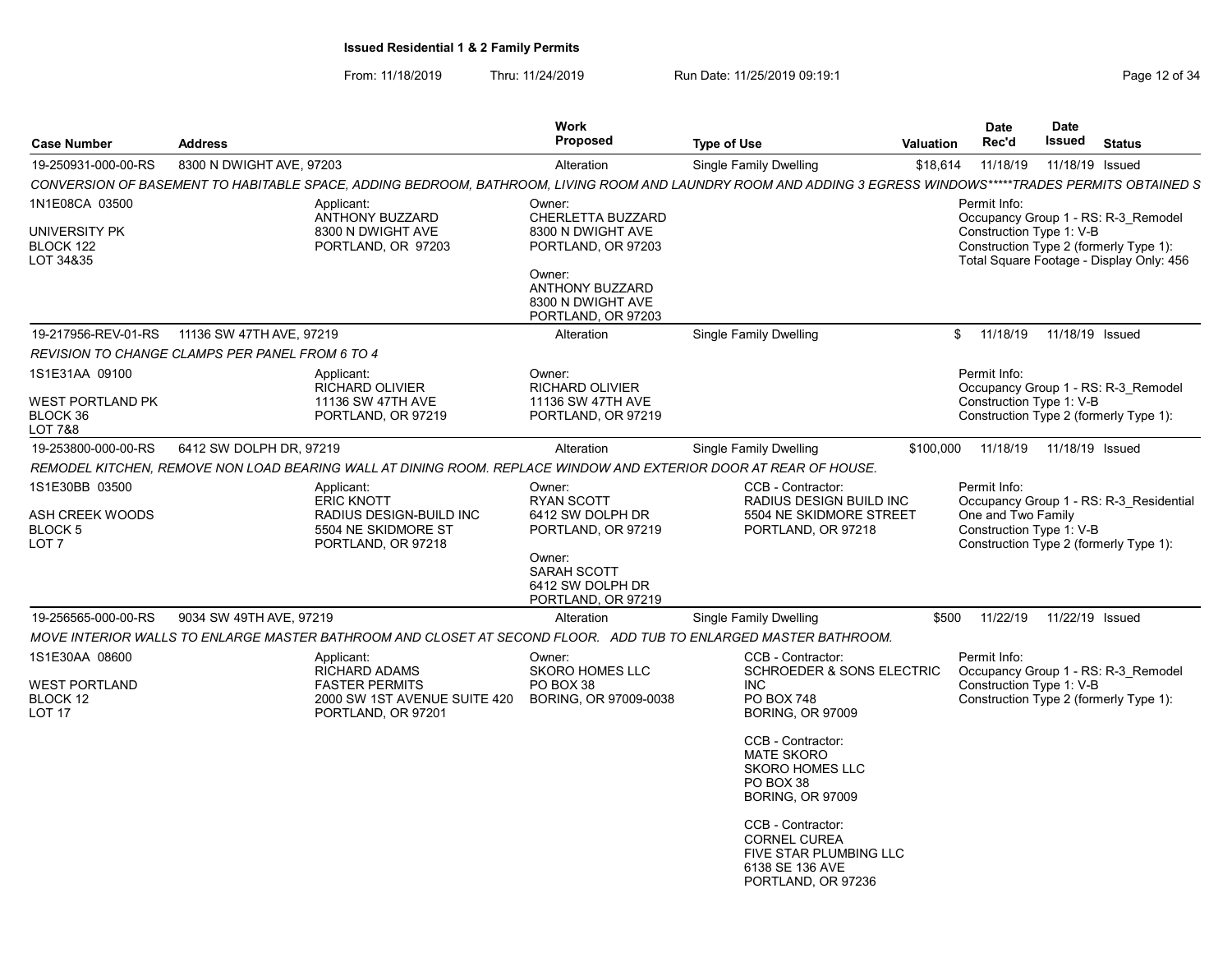From: 11/18/2019 Thru: 11/24/2019 Run Date: 11/25/2019 09:19:1 Company Page 12 of 34

| <b>Case Number</b>                                        | <b>Address</b>                                                                                                                                              | Work<br>Proposed                                                                                                                                      | <b>Type of Use</b><br>Valuation                                                                                                                                                                                                                                                                                            |           | Date<br>Rec'd                                                  | Date<br>Issued  | <b>Status</b>                                                                                                             |
|-----------------------------------------------------------|-------------------------------------------------------------------------------------------------------------------------------------------------------------|-------------------------------------------------------------------------------------------------------------------------------------------------------|----------------------------------------------------------------------------------------------------------------------------------------------------------------------------------------------------------------------------------------------------------------------------------------------------------------------------|-----------|----------------------------------------------------------------|-----------------|---------------------------------------------------------------------------------------------------------------------------|
| 19-250931-000-00-RS                                       | 8300 N DWIGHT AVE, 97203                                                                                                                                    | Alteration                                                                                                                                            | Single Family Dwelling                                                                                                                                                                                                                                                                                                     | \$18,614  | 11/18/19                                                       | 11/18/19 Issued |                                                                                                                           |
|                                                           | CONVERSION OF BASEMENT TO HABITABLE SPACE, ADDING BEDROOM, BATHROOM, LIVING ROOM AND LAUNDRY ROOM AND ADDING 3 EGRESS WINDOWS*****TRADES PERMITS OBTAINED S |                                                                                                                                                       |                                                                                                                                                                                                                                                                                                                            |           |                                                                |                 |                                                                                                                           |
| 1N1E08CA 03500<br>UNIVERSITY PK<br>BLOCK 122<br>LOT 34&35 | Applicant:<br>ANTHONY BUZZARD<br>8300 N DWIGHT AVE<br>PORTLAND, OR 97203                                                                                    | Owner:<br>CHERLETTA BUZZARD<br>8300 N DWIGHT AVE<br>PORTLAND, OR 97203<br>Owner:<br><b>ANTHONY BUZZARD</b><br>8300 N DWIGHT AVE<br>PORTLAND, OR 97203 |                                                                                                                                                                                                                                                                                                                            |           | Permit Info:<br>Construction Type 1: V-B                       |                 | Occupancy Group 1 - RS: R-3_Remodel<br>Construction Type 2 (formerly Type 1):<br>Total Square Footage - Display Only: 456 |
| 19-217956-REV-01-RS                                       | 11136 SW 47TH AVE, 97219                                                                                                                                    | Alteration                                                                                                                                            | Single Family Dwelling                                                                                                                                                                                                                                                                                                     | \$        | 11/18/19                                                       | 11/18/19 Issued |                                                                                                                           |
|                                                           | <b>REVISION TO CHANGE CLAMPS PER PANEL FROM 6 TO 4</b>                                                                                                      |                                                                                                                                                       |                                                                                                                                                                                                                                                                                                                            |           |                                                                |                 |                                                                                                                           |
| 1S1E31AA 09100<br>WEST PORTLAND PK<br>BLOCK 36<br>LOT 7&8 | Applicant:<br><b>RICHARD OLIVIER</b><br>11136 SW 47TH AVE<br>PORTLAND, OR 97219                                                                             | Owner:<br>RICHARD OLIVIER<br>11136 SW 47TH AVE<br>PORTLAND, OR 97219                                                                                  |                                                                                                                                                                                                                                                                                                                            |           | Permit Info:<br>Construction Type 1: V-B                       |                 | Occupancy Group 1 - RS: R-3 Remodel<br>Construction Type 2 (formerly Type 1):                                             |
| 19-253800-000-00-RS                                       | 6412 SW DOLPH DR, 97219                                                                                                                                     | Alteration                                                                                                                                            | Single Family Dwelling                                                                                                                                                                                                                                                                                                     | \$100,000 | 11/18/19                                                       | 11/18/19 Issued |                                                                                                                           |
|                                                           | REMODEL KITCHEN, REMOVE NON LOAD BEARING WALL AT DINING ROOM. REPLACE WINDOW AND EXTERIOR DOOR AT REAR OF HOUSE.                                            |                                                                                                                                                       |                                                                                                                                                                                                                                                                                                                            |           |                                                                |                 |                                                                                                                           |
| 1S1E30BB 03500<br>ASH CREEK WOODS<br>BLOCK 5<br>LOT 7     | Applicant:<br><b>ERIC KNOTT</b><br>RADIUS DESIGN-BUILD INC<br>5504 NE SKIDMORE ST<br>PORTLAND, OR 97218                                                     | Owner:<br><b>RYAN SCOTT</b><br>6412 SW DOLPH DR<br>PORTLAND, OR 97219<br>Owner:<br>SARAH SCOTT<br>6412 SW DOLPH DR<br>PORTLAND, OR 97219              | CCB - Contractor:<br>RADIUS DESIGN BUILD INC<br>5504 NE SKIDMORE STREET<br>PORTLAND, OR 97218                                                                                                                                                                                                                              |           | Permit Info:<br>One and Two Family<br>Construction Type 1: V-B |                 | Occupancy Group 1 - RS: R-3 Residential<br>Construction Type 2 (formerly Type 1):                                         |
| 19-256565-000-00-RS                                       | 9034 SW 49TH AVE, 97219                                                                                                                                     | Alteration                                                                                                                                            | <b>Single Family Dwelling</b>                                                                                                                                                                                                                                                                                              | \$500     | 11/22/19                                                       | 11/22/19 Issued |                                                                                                                           |
|                                                           | MOVE INTERIOR WALLS TO ENLARGE MASTER BATHROOM AND CLOSET AT SECOND FLOOR. ADD TUB TO ENLARGED MASTER BATHROOM.                                             |                                                                                                                                                       |                                                                                                                                                                                                                                                                                                                            |           |                                                                |                 |                                                                                                                           |
| 1S1E30AA 08600<br>WEST PORTLAND<br>BLOCK 12<br>LOT 17     | Applicant:<br>RICHARD ADAMS<br><b>FASTER PERMITS</b><br>2000 SW 1ST AVENUE SUITE 420<br>PORTLAND, OR 97201                                                  | Owner:<br><b>SKORO HOMES LLC</b><br>PO BOX 38<br>BORING, OR 97009-0038                                                                                | CCB - Contractor:<br>SCHROEDER & SONS ELECTRIC<br>INC.<br>PO BOX 748<br><b>BORING, OR 97009</b><br>CCB - Contractor:<br><b>MATE SKORO</b><br><b>SKORO HOMES LLC</b><br>PO BOX 38<br><b>BORING, OR 97009</b><br>CCB - Contractor:<br><b>CORNEL CUREA</b><br>FIVE STAR PLUMBING LLC<br>6138 SE 136 AVE<br>PORTLAND, OR 97236 |           | Permit Info:<br>Construction Type 1: V-B                       |                 | Occupancy Group 1 - RS: R-3 Remodel<br>Construction Type 2 (formerly Type 1):                                             |
|                                                           |                                                                                                                                                             |                                                                                                                                                       |                                                                                                                                                                                                                                                                                                                            |           |                                                                |                 |                                                                                                                           |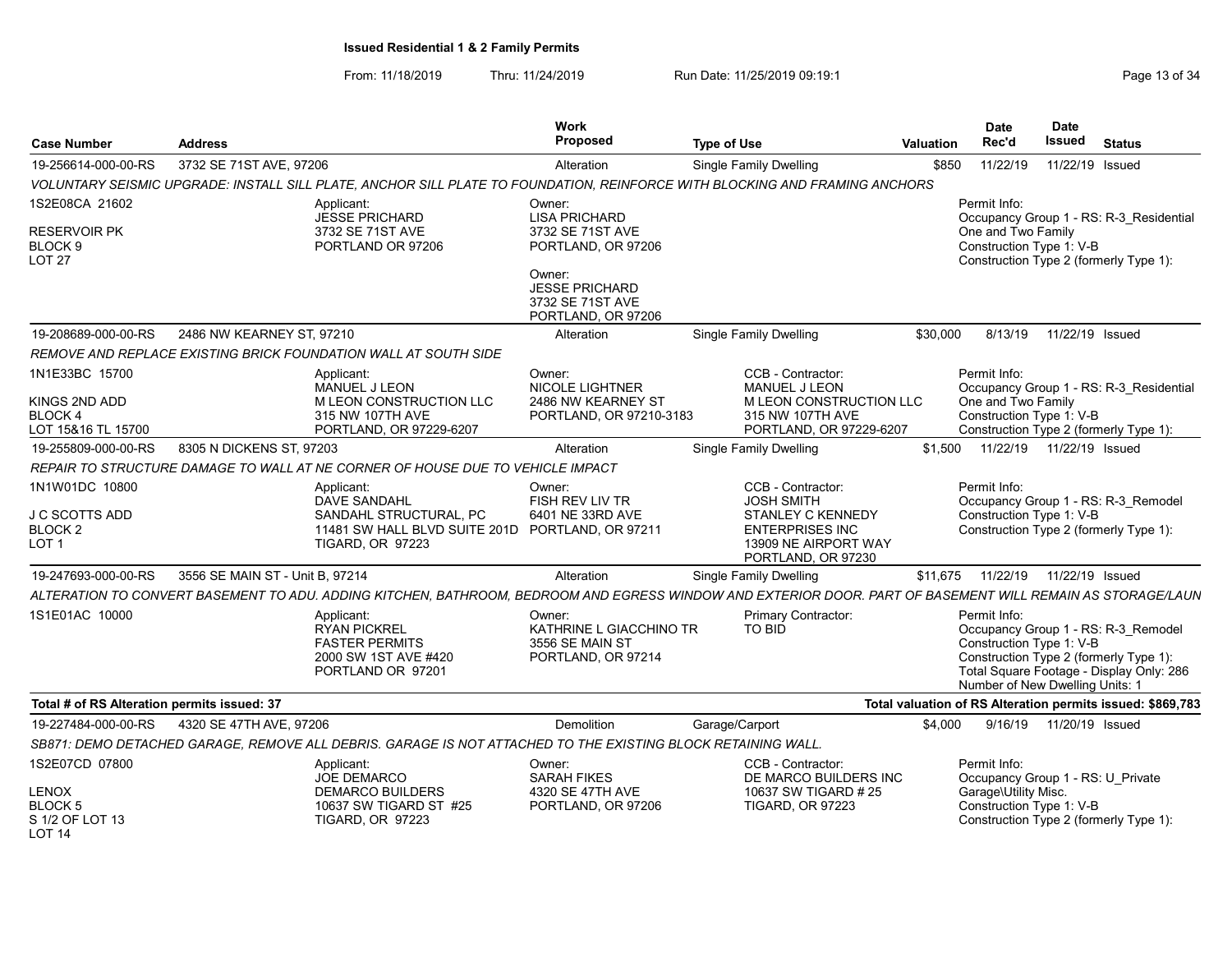From: 11/18/2019 Thru: 11/24/2019 Run Date: 11/25/2019 09:19:1 Company Page 13 of 34

| 3732 SE 71ST AVE, 97206<br>19-256614-000-00-RS<br>Alteration<br>Single Family Dwelling<br>\$850<br>11/22/19<br>11/22/19 Issued<br>VOLUNTARY SEISMIC UPGRADE: INSTALL SILL PLATE, ANCHOR SILL PLATE TO FOUNDATION, REINFORCE WITH BLOCKING AND FRAMING ANCHORS<br>1S2E08CA 21602<br>Permit Info:<br>Applicant:<br>Owner:<br>JESSE PRICHARD<br><b>LISA PRICHARD</b><br>Occupancy Group 1 - RS: R-3 Residential<br><b>RESERVOIR PK</b><br>3732 SE 71ST AVE<br>3732 SE 71ST AVE<br>One and Two Family<br>Construction Type 1: V-B<br>BLOCK <sub>9</sub><br>PORTLAND OR 97206<br>PORTLAND, OR 97206<br>LOT 27<br>Construction Type 2 (formerly Type 1):<br>Owner:<br><b>JESSE PRICHARD</b><br>3732 SE 71ST AVE<br>PORTLAND, OR 97206<br>19-208689-000-00-RS<br>2486 NW KEARNEY ST, 97210<br><b>Single Family Dwelling</b><br>\$30,000<br>8/13/19<br>11/22/19 Issued<br>Alteration |
|------------------------------------------------------------------------------------------------------------------------------------------------------------------------------------------------------------------------------------------------------------------------------------------------------------------------------------------------------------------------------------------------------------------------------------------------------------------------------------------------------------------------------------------------------------------------------------------------------------------------------------------------------------------------------------------------------------------------------------------------------------------------------------------------------------------------------------------------------------------------------|
|                                                                                                                                                                                                                                                                                                                                                                                                                                                                                                                                                                                                                                                                                                                                                                                                                                                                              |
|                                                                                                                                                                                                                                                                                                                                                                                                                                                                                                                                                                                                                                                                                                                                                                                                                                                                              |
|                                                                                                                                                                                                                                                                                                                                                                                                                                                                                                                                                                                                                                                                                                                                                                                                                                                                              |
|                                                                                                                                                                                                                                                                                                                                                                                                                                                                                                                                                                                                                                                                                                                                                                                                                                                                              |
|                                                                                                                                                                                                                                                                                                                                                                                                                                                                                                                                                                                                                                                                                                                                                                                                                                                                              |
|                                                                                                                                                                                                                                                                                                                                                                                                                                                                                                                                                                                                                                                                                                                                                                                                                                                                              |
| REMOVE AND REPLACE EXISTING BRICK FOUNDATION WALL AT SOUTH SIDE                                                                                                                                                                                                                                                                                                                                                                                                                                                                                                                                                                                                                                                                                                                                                                                                              |
| 1N1E33BC 15700<br>Owner:<br>CCB - Contractor:<br>Permit Info:<br>Applicant:<br><b>NICOLE LIGHTNER</b><br>MANUEL J LEON<br><b>MANUEL J LEON</b><br>Occupancy Group 1 - RS: R-3 Residential                                                                                                                                                                                                                                                                                                                                                                                                                                                                                                                                                                                                                                                                                    |
| M LEON CONSTRUCTION LLC<br>M LEON CONSTRUCTION LLC<br>One and Two Family<br>KINGS 2ND ADD<br>2486 NW KEARNEY ST<br>Construction Type 1: V-B<br>BLOCK 4<br>315 NW 107TH AVE<br>PORTLAND, OR 97210-3183<br>315 NW 107TH AVE<br>LOT 15&16 TL 15700<br>PORTLAND, OR 97229-6207<br>Construction Type 2 (formerly Type 1):<br>PORTLAND, OR 97229-6207                                                                                                                                                                                                                                                                                                                                                                                                                                                                                                                              |
| 8305 N DICKENS ST, 97203<br>\$1.500<br>11/22/19  11/22/19  Issued<br>19-255809-000-00-RS<br>Single Family Dwelling<br>Alteration                                                                                                                                                                                                                                                                                                                                                                                                                                                                                                                                                                                                                                                                                                                                             |
| REPAIR TO STRUCTURE DAMAGE TO WALL AT NE CORNER OF HOUSE DUE TO VEHICLE IMPACT                                                                                                                                                                                                                                                                                                                                                                                                                                                                                                                                                                                                                                                                                                                                                                                               |
| 1N1W01DC 10800<br>CCB - Contractor:<br>Permit Info:<br>Applicant:<br>Owner:                                                                                                                                                                                                                                                                                                                                                                                                                                                                                                                                                                                                                                                                                                                                                                                                  |
| Occupancy Group 1 - RS: R-3 Remodel<br><b>DAVE SANDAHL</b><br>FISH REV LIV TR<br><b>JOSH SMITH</b>                                                                                                                                                                                                                                                                                                                                                                                                                                                                                                                                                                                                                                                                                                                                                                           |
| J C SCOTTS ADD<br>SANDAHL STRUCTURAL, PC<br>6401 NE 33RD AVE<br>STANLEY C KENNEDY<br>Construction Type 1: V-B<br><b>ENTERPRISES INC</b><br>Construction Type 2 (formerly Type 1):<br>BLOCK <sub>2</sub><br>11481 SW HALL BLVD SUITE 201D PORTLAND, OR 97211                                                                                                                                                                                                                                                                                                                                                                                                                                                                                                                                                                                                                  |
| LOT 1<br><b>TIGARD, OR 97223</b><br>13909 NE AIRPORT WAY<br>PORTLAND, OR 97230                                                                                                                                                                                                                                                                                                                                                                                                                                                                                                                                                                                                                                                                                                                                                                                               |
| 19-247693-000-00-RS<br>3556 SE MAIN ST - Unit B. 97214<br>Single Family Dwelling<br>11/22/19  11/22/19  Issued<br>Alteration<br>\$11.675                                                                                                                                                                                                                                                                                                                                                                                                                                                                                                                                                                                                                                                                                                                                     |
| ALTERATION TO CONVERT BASEMENT TO ADU. ADDING KITCHEN. BATHROOM. BEDROOM AND EGRESS WINDOW AND EXTERIOR DOOR. PART OF BASEMENT WILL REMAIN AS STORAGE/LAUN                                                                                                                                                                                                                                                                                                                                                                                                                                                                                                                                                                                                                                                                                                                   |
| 1S1E01AC 10000<br>Primary Contractor:<br>Permit Info:<br>Applicant:<br>Owner:<br><b>RYAN PICKREL</b><br>KATHRINE L GIACCHINO TR<br>TO BID<br>Occupancy Group 1 - RS: R-3 Remodel<br>Construction Type 1: V-B<br><b>FASTER PERMITS</b><br>3556 SE MAIN ST<br>Construction Type 2 (formerly Type 1):<br>2000 SW 1ST AVE #420<br>PORTLAND, OR 97214<br>Total Square Footage - Display Only: 286<br>PORTLAND OR 97201<br>Number of New Dwelling Units: 1                                                                                                                                                                                                                                                                                                                                                                                                                         |
| Total # of RS Alteration permits issued: 37<br>Total valuation of RS Alteration permits issued: \$869,783                                                                                                                                                                                                                                                                                                                                                                                                                                                                                                                                                                                                                                                                                                                                                                    |
| 19-227484-000-00-RS<br>4320 SE 47TH AVE, 97206<br>Demolition<br>Garage/Carport<br>\$4.000<br>9/16/19  11/20/19  Issued                                                                                                                                                                                                                                                                                                                                                                                                                                                                                                                                                                                                                                                                                                                                                       |
| SB871: DEMO DETACHED GARAGE. REMOVE ALL DEBRIS. GARAGE IS NOT ATTACHED TO THE EXISTING BLOCK RETAINING WALL.                                                                                                                                                                                                                                                                                                                                                                                                                                                                                                                                                                                                                                                                                                                                                                 |
| 1S2E07CD 07800<br>CCB - Contractor:<br>Permit Info:<br>Applicant:<br>Owner:<br>JOE DEMARCO<br><b>SARAH FIKES</b><br>DE MARCO BUILDERS INC<br>Occupancy Group 1 - RS: U Private                                                                                                                                                                                                                                                                                                                                                                                                                                                                                                                                                                                                                                                                                               |
| Garage\Utility Misc.<br><b>LENOX</b><br><b>DEMARCO BUILDERS</b><br>4320 SE 47TH AVE<br>10637 SW TIGARD # 25<br>BLOCK <sub>5</sub><br>Construction Type 1: V-B<br>10637 SW TIGARD ST #25<br>PORTLAND, OR 97206<br><b>TIGARD, OR 97223</b><br>S 1/2 OF LOT 13<br><b>TIGARD, OR 97223</b><br>Construction Type 2 (formerly Type 1):<br>LOT 14                                                                                                                                                                                                                                                                                                                                                                                                                                                                                                                                   |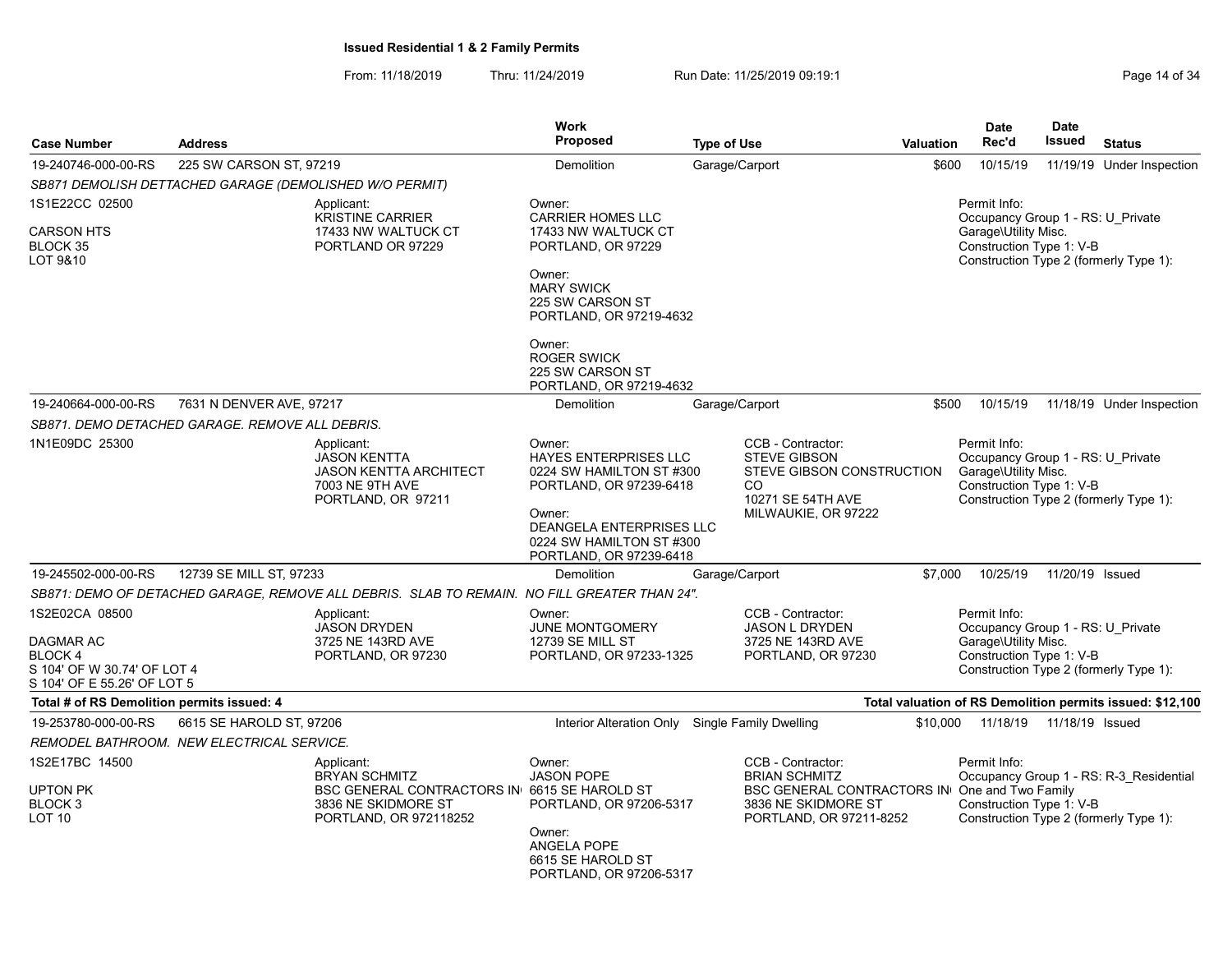From: 11/18/2019 Thru: 11/24/2019 Run Date: 11/25/2019 09:19:1 Company Page 14 of 34

| <b>Case Number</b>                                                                                         | <b>Address</b>                                  |                                                                                                                                     | <b>Work</b><br>Proposed                                                                                                                                                                    | <b>Type of Use</b> |                                                                                                                                    | <b>Valuation</b> | <b>Date</b><br>Rec'd                                                                                  | <b>Date</b><br><b>Issued</b> | <b>Status</b>                                                                     |
|------------------------------------------------------------------------------------------------------------|-------------------------------------------------|-------------------------------------------------------------------------------------------------------------------------------------|--------------------------------------------------------------------------------------------------------------------------------------------------------------------------------------------|--------------------|------------------------------------------------------------------------------------------------------------------------------------|------------------|-------------------------------------------------------------------------------------------------------|------------------------------|-----------------------------------------------------------------------------------|
| 19-240746-000-00-RS                                                                                        | 225 SW CARSON ST, 97219                         |                                                                                                                                     | Demolition                                                                                                                                                                                 | Garage/Carport     |                                                                                                                                    | \$600            | 10/15/19                                                                                              |                              | 11/19/19 Under Inspection                                                         |
|                                                                                                            |                                                 | SB871 DEMOLISH DETTACHED GARAGE (DEMOLISHED W/O PERMIT)                                                                             |                                                                                                                                                                                            |                    |                                                                                                                                    |                  |                                                                                                       |                              |                                                                                   |
| 1S1E22CC 02500<br><b>CARSON HTS</b><br>BLOCK 35<br>LOT 9&10                                                |                                                 | Applicant:<br><b>KRISTINE CARRIER</b><br>17433 NW WALTUCK CT<br>PORTLAND OR 97229                                                   | Owner:<br><b>CARRIER HOMES LLC</b><br>17433 NW WALTUCK CT<br>PORTLAND, OR 97229<br>Owner:<br><b>MARY SWICK</b><br>225 SW CARSON ST<br>PORTLAND, OR 97219-4632                              |                    |                                                                                                                                    |                  | Permit Info:<br>Occupancy Group 1 - RS: U Private<br>Garage\Utility Misc.<br>Construction Type 1: V-B |                              | Construction Type 2 (formerly Type 1):                                            |
|                                                                                                            |                                                 |                                                                                                                                     | Owner:<br><b>ROGER SWICK</b><br>225 SW CARSON ST<br>PORTLAND, OR 97219-4632                                                                                                                |                    |                                                                                                                                    |                  |                                                                                                       |                              |                                                                                   |
| 19-240664-000-00-RS                                                                                        | 7631 N DENVER AVE, 97217                        |                                                                                                                                     | Demolition                                                                                                                                                                                 | Garage/Carport     |                                                                                                                                    | \$500            | 10/15/19                                                                                              |                              | 11/18/19 Under Inspection                                                         |
|                                                                                                            | SB871. DEMO DETACHED GARAGE. REMOVE ALL DEBRIS. |                                                                                                                                     |                                                                                                                                                                                            |                    |                                                                                                                                    |                  |                                                                                                       |                              |                                                                                   |
| 1N1E09DC 25300                                                                                             |                                                 | Applicant:<br><b>JASON KENTTA</b><br>JASON KENTTA ARCHITECT<br>7003 NE 9TH AVE<br>PORTLAND, OR 97211                                | Owner:<br>HAYES ENTERPRISES LLC<br>0224 SW HAMILTON ST #300<br>PORTLAND, OR 97239-6418<br>Owner:<br><b>DEANGELA ENTERPRISES LLC</b><br>0224 SW HAMILTON ST #300<br>PORTLAND, OR 97239-6418 |                    | CCB - Contractor:<br><b>STEVE GIBSON</b><br>STEVE GIBSON CONSTRUCTION<br><sub>CO</sub><br>10271 SE 54TH AVE<br>MILWAUKIE, OR 97222 |                  | Permit Info:<br>Occupancy Group 1 - RS: U_Private<br>Garage\Utility Misc.<br>Construction Type 1: V-B |                              | Construction Type 2 (formerly Type 1):                                            |
| 19-245502-000-00-RS                                                                                        | 12739 SE MILL ST, 97233                         |                                                                                                                                     | Demolition                                                                                                                                                                                 | Garage/Carport     |                                                                                                                                    | \$7.000          | 10/25/19                                                                                              | 11/20/19 Issued              |                                                                                   |
|                                                                                                            |                                                 | SB871: DEMO OF DETACHED GARAGE, REMOVE ALL DEBRIS. SLAB TO REMAIN. NO FILL GREATER THAN 24".                                        |                                                                                                                                                                                            |                    |                                                                                                                                    |                  |                                                                                                       |                              |                                                                                   |
| 1S2E02CA 08500<br>DAGMAR AC<br><b>BLOCK4</b><br>S 104' OF W 30.74' OF LOT 4<br>S 104' OF E 55.26' OF LOT 5 |                                                 | Applicant:<br>JASON DRYDEN<br>3725 NE 143RD AVE<br>PORTLAND, OR 97230                                                               | Owner:<br>JUNE MONTGOMERY<br><b>12739 SE MILL ST</b><br>PORTLAND, OR 97233-1325                                                                                                            |                    | CCB - Contractor:<br><b>JASON L DRYDEN</b><br>3725 NE 143RD AVE<br>PORTLAND, OR 97230                                              |                  | Permit Info:<br>Occupancy Group 1 - RS: U Private<br>Garage\Utility Misc.<br>Construction Type 1: V-B |                              | Construction Type 2 (formerly Type 1):                                            |
| Total # of RS Demolition permits issued: 4                                                                 |                                                 |                                                                                                                                     |                                                                                                                                                                                            |                    |                                                                                                                                    |                  |                                                                                                       |                              | Total valuation of RS Demolition permits issued: \$12,100                         |
| 19-253780-000-00-RS                                                                                        | 6615 SE HAROLD ST, 97206                        |                                                                                                                                     | Interior Alteration Only Single Family Dwelling                                                                                                                                            |                    |                                                                                                                                    | \$10,000         | 11/18/19                                                                                              | 11/18/19 Issued              |                                                                                   |
|                                                                                                            | REMODEL BATHROOM.  NEW ELECTRICAL SERVICE.      |                                                                                                                                     |                                                                                                                                                                                            |                    |                                                                                                                                    |                  |                                                                                                       |                              |                                                                                   |
| 1S2E17BC 14500<br>UPTON PK<br>BLOCK 3<br><b>LOT 10</b>                                                     |                                                 | Applicant:<br><b>BRYAN SCHMITZ</b><br>BSC GENERAL CONTRACTORS IN 6615 SE HAROLD ST<br>3836 NE SKIDMORE ST<br>PORTLAND, OR 972118252 | Owner:<br><b>JASON POPE</b><br>PORTLAND, OR 97206-5317<br>Owner:<br>ANGELA POPE<br>6615 SE HAROLD ST<br>PORTLAND, OR 97206-5317                                                            |                    | CCB - Contractor:<br><b>BRIAN SCHMITZ</b><br><b>BSC GENERAL CONTRACTORS IN</b><br>3836 NE SKIDMORE ST<br>PORTLAND, OR 97211-8252   |                  | Permit Info:<br>One and Two Family<br>Construction Type 1: V-B                                        |                              | Occupancy Group 1 - RS: R-3 Residential<br>Construction Type 2 (formerly Type 1): |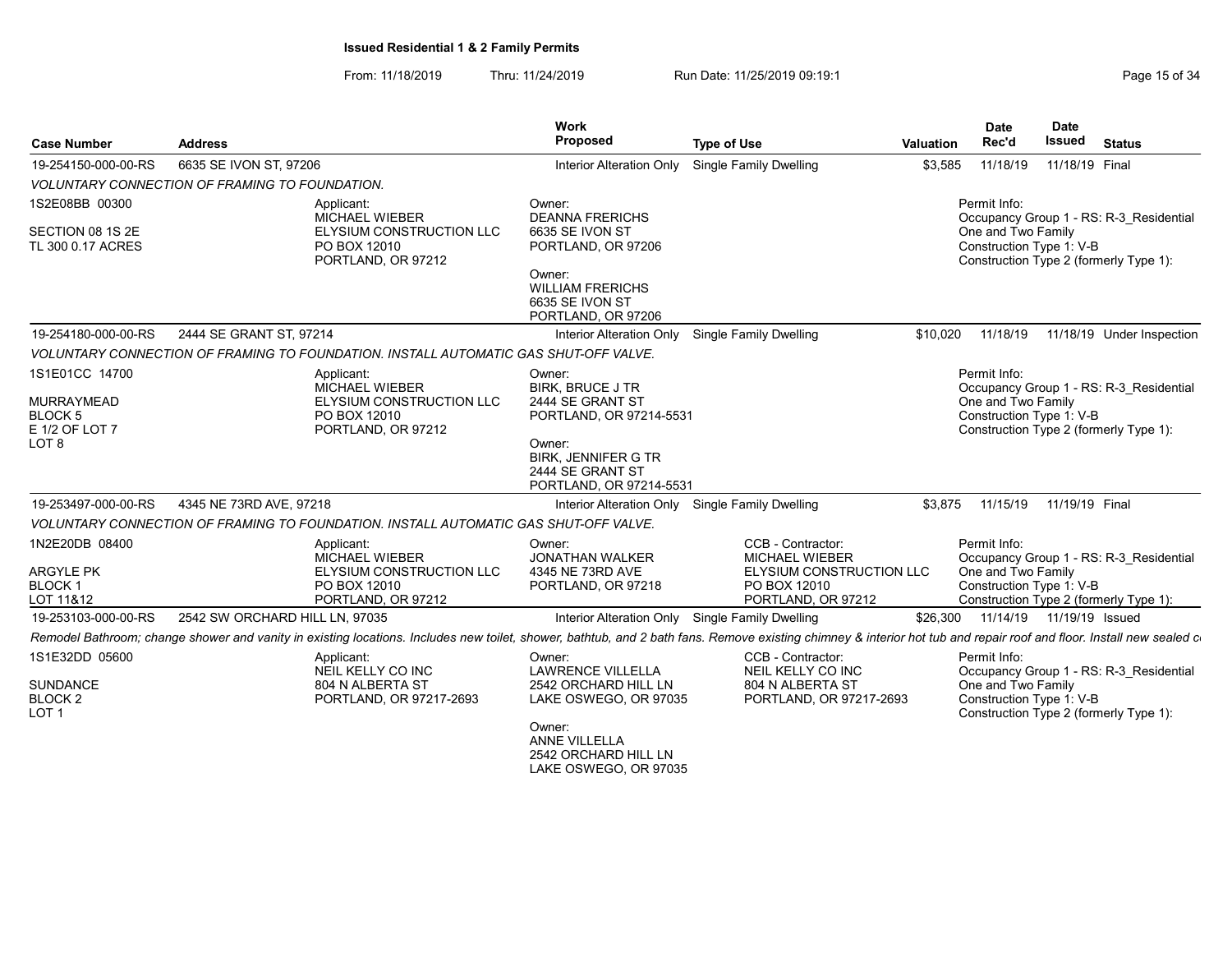From: 11/18/2019 Thru: 11/24/2019 Run Date: 11/25/2019 09:19:1 Company Page 15 of 34

| <b>Case Number</b>                                                                   | <b>Address</b>                                                                                                                                                                                                            | Work<br><b>Proposed</b>                                                                                                                      | <b>Type of Use</b>                                                                                                  | <b>Valuation</b> | <b>Date</b><br>Rec'd                                           | <b>Date</b><br>Issued      | <b>Status</b>                                                                     |
|--------------------------------------------------------------------------------------|---------------------------------------------------------------------------------------------------------------------------------------------------------------------------------------------------------------------------|----------------------------------------------------------------------------------------------------------------------------------------------|---------------------------------------------------------------------------------------------------------------------|------------------|----------------------------------------------------------------|----------------------------|-----------------------------------------------------------------------------------|
| 19-254150-000-00-RS                                                                  | 6635 SE IVON ST, 97206                                                                                                                                                                                                    | Interior Alteration Only                                                                                                                     | Single Family Dwelling                                                                                              | \$3,585          | 11/18/19                                                       | 11/18/19 Final             |                                                                                   |
|                                                                                      | VOLUNTARY CONNECTION OF FRAMING TO FOUNDATION.                                                                                                                                                                            |                                                                                                                                              |                                                                                                                     |                  |                                                                |                            |                                                                                   |
| 1S2E08BB 00300<br>SECTION 08 1S 2E<br>TL 300 0.17 ACRES                              | Applicant:<br><b>MICHAEL WIEBER</b><br>ELYSIUM CONSTRUCTION LLC<br>PO BOX 12010<br>PORTLAND, OR 97212                                                                                                                     | Owner:<br><b>DEANNA FRERICHS</b><br>6635 SE IVON ST<br>PORTLAND, OR 97206                                                                    |                                                                                                                     |                  | Permit Info:<br>One and Two Family<br>Construction Type 1: V-B |                            | Occupancy Group 1 - RS: R-3 Residential<br>Construction Type 2 (formerly Type 1): |
|                                                                                      |                                                                                                                                                                                                                           | Owner:<br><b>WILLIAM FRERICHS</b><br>6635 SE IVON ST<br>PORTLAND, OR 97206                                                                   |                                                                                                                     |                  |                                                                |                            |                                                                                   |
| 19-254180-000-00-RS                                                                  | 2444 SE GRANT ST. 97214                                                                                                                                                                                                   | Interior Alteration Only                                                                                                                     | Single Family Dwelling                                                                                              | \$10,020         | 11/18/19                                                       |                            | 11/18/19 Under Inspection                                                         |
|                                                                                      | VOLUNTARY CONNECTION OF FRAMING TO FOUNDATION. INSTALL AUTOMATIC GAS SHUT-OFF VALVE.                                                                                                                                      |                                                                                                                                              |                                                                                                                     |                  |                                                                |                            |                                                                                   |
| 1S1E01CC 14700<br>MURRAYMEAD<br><b>BLOCK 5</b><br>E 1/2 OF LOT 7<br>LOT <sub>8</sub> | Applicant:<br><b>MICHAEL WIEBER</b><br><b>ELYSIUM CONSTRUCTION LLC</b><br>PO BOX 12010<br>PORTLAND, OR 97212                                                                                                              | Owner:<br><b>BIRK, BRUCE J TR</b><br>2444 SE GRANT ST<br>PORTLAND, OR 97214-5531<br>Owner:<br><b>BIRK, JENNIFER G TR</b><br>2444 SE GRANT ST |                                                                                                                     |                  | Permit Info:<br>One and Two Family<br>Construction Type 1: V-B |                            | Occupancy Group 1 - RS: R-3 Residential<br>Construction Type 2 (formerly Type 1): |
|                                                                                      |                                                                                                                                                                                                                           | PORTLAND, OR 97214-5531                                                                                                                      |                                                                                                                     |                  |                                                                |                            |                                                                                   |
| 19-253497-000-00-RS                                                                  | 4345 NE 73RD AVE, 97218                                                                                                                                                                                                   | Interior Alteration Only                                                                                                                     | Single Family Dwelling                                                                                              | \$3.875          | 11/15/19                                                       | 11/19/19 Final             |                                                                                   |
|                                                                                      | VOLUNTARY CONNECTION OF FRAMING TO FOUNDATION. INSTALL AUTOMATIC GAS SHUT-OFF VALVE.                                                                                                                                      |                                                                                                                                              |                                                                                                                     |                  |                                                                |                            |                                                                                   |
| 1N2E20DB 08400<br><b>ARGYLE PK</b><br><b>BLOCK1</b><br>LOT 11&12                     | Applicant:<br><b>MICHAEL WIEBER</b><br>ELYSIUM CONSTRUCTION LLC<br>PO BOX 12010<br>PORTLAND, OR 97212                                                                                                                     | Owner:<br><b>JONATHAN WALKER</b><br>4345 NE 73RD AVE<br>PORTLAND, OR 97218                                                                   | CCB - Contractor:<br><b>MICHAEL WIEBER</b><br><b>ELYSIUM CONSTRUCTION LLC</b><br>PO BOX 12010<br>PORTLAND, OR 97212 |                  | Permit Info:<br>One and Two Family<br>Construction Type 1: V-B |                            | Occupancy Group 1 - RS: R-3 Residential<br>Construction Type 2 (formerly Type 1): |
| 19-253103-000-00-RS                                                                  | 2542 SW ORCHARD HILL LN. 97035                                                                                                                                                                                            |                                                                                                                                              | Interior Alteration Only Single Family Dwelling                                                                     | \$26,300         |                                                                | 11/14/19  11/19/19  Issued |                                                                                   |
|                                                                                      | Remodel Bathroom; change shower and vanity in existing locations. Includes new toilet, shower, bathtub, and 2 bath fans. Remove existing chimney & interior hot tub and repair roof and floor. Install new sealed counter |                                                                                                                                              |                                                                                                                     |                  |                                                                |                            |                                                                                   |
| 1S1E32DD 05600                                                                       | Applicant:<br>NEIL KELLY CO INC                                                                                                                                                                                           | Owner:<br><b>LAWRENCE VILLELLA</b>                                                                                                           | CCB - Contractor:<br>NEIL KELLY CO INC                                                                              |                  | Permit Info:                                                   |                            | Occupancy Group 1 - RS: R-3 Residential                                           |
| <b>SUNDANCE</b><br>BLOCK <sub>2</sub><br>LOT <sub>1</sub>                            | 804 N ALBERTA ST<br>PORTLAND, OR 97217-2693                                                                                                                                                                               | 2542 ORCHARD HILL LN<br>LAKE OSWEGO, OR 97035<br>Owner:                                                                                      | 804 N ALBERTA ST<br>PORTLAND, OR 97217-2693                                                                         |                  | One and Two Family<br>Construction Type 1: V-B                 |                            | Construction Type 2 (formerly Type 1):                                            |
|                                                                                      |                                                                                                                                                                                                                           | <b>ANNE VILLELLA</b><br>2542 ORCHARD HILL LN<br>LAKE OSWEGO, OR 97035                                                                        |                                                                                                                     |                  |                                                                |                            |                                                                                   |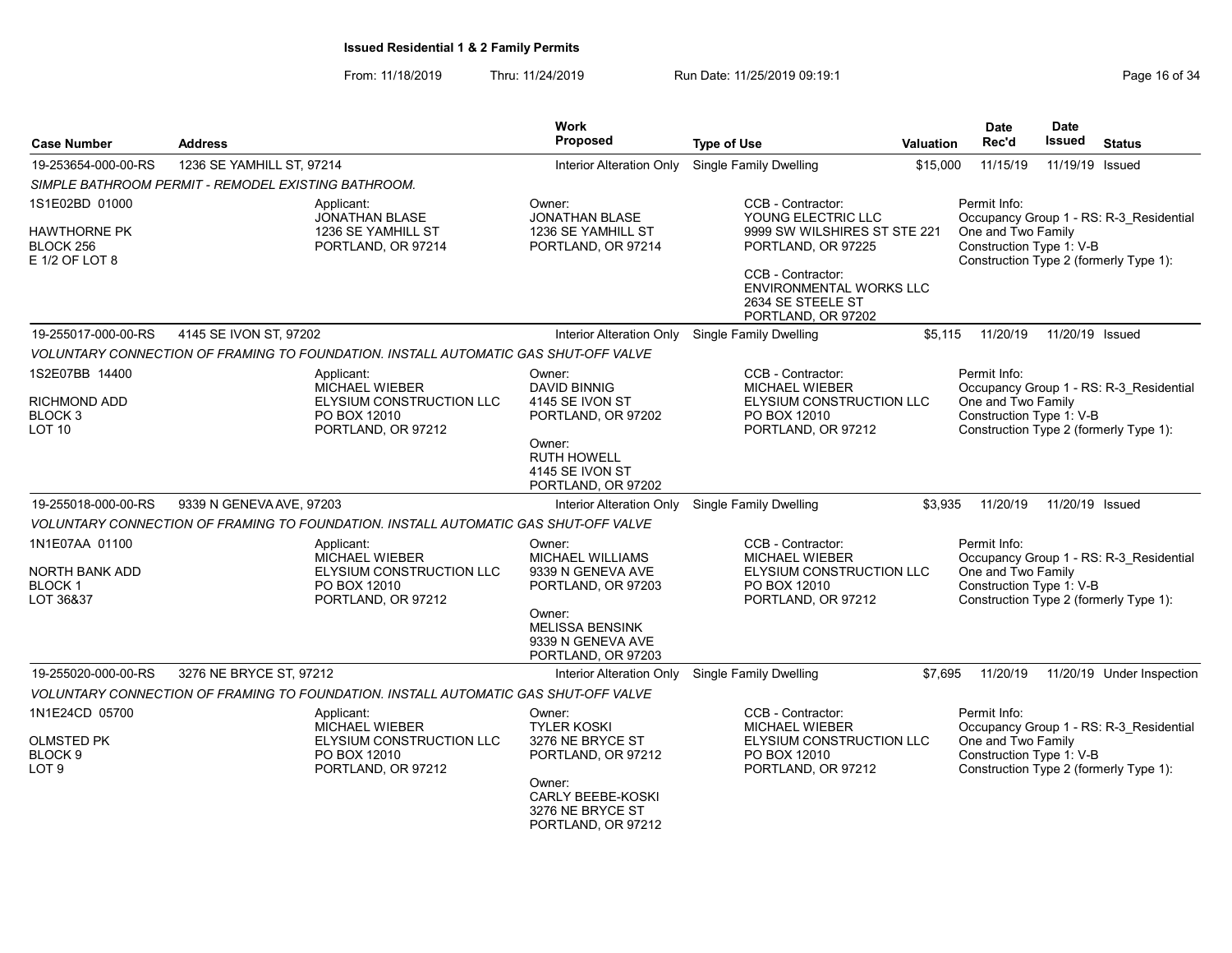From: 11/18/2019 Thru: 11/24/2019 Run Date: 11/25/2019 09:19:1

| <b>Case Number</b>                                          | <b>Address</b>                                      |                                                                                        | <b>Work</b><br>Proposed                                                     | <b>Type of Use</b>                                                                            | <b>Valuation</b>               | <b>Date</b><br>Rec'd                                                                     | <b>Date</b><br><b>Issued</b> | <b>Status</b>                           |  |
|-------------------------------------------------------------|-----------------------------------------------------|----------------------------------------------------------------------------------------|-----------------------------------------------------------------------------|-----------------------------------------------------------------------------------------------|--------------------------------|------------------------------------------------------------------------------------------|------------------------------|-----------------------------------------|--|
| 19-253654-000-00-RS                                         | 1236 SE YAMHILL ST, 97214                           |                                                                                        | Interior Alteration Only                                                    | <b>Single Family Dwelling</b>                                                                 | \$15,000                       | 11/15/19                                                                                 | 11/19/19 Issued              |                                         |  |
|                                                             | SIMPLE BATHROOM PERMIT - REMODEL EXISTING BATHROOM. |                                                                                        |                                                                             |                                                                                               |                                |                                                                                          |                              |                                         |  |
| 1S1E02BD 01000                                              |                                                     | Applicant:<br><b>JONATHAN BLASE</b>                                                    | Owner:<br><b>JONATHAN BLASE</b>                                             | CCB - Contractor:<br>YOUNG ELECTRIC LLC                                                       |                                | Permit Info:<br>Occupancy Group 1 - RS: R-3_Residential                                  |                              |                                         |  |
| <b>HAWTHORNE PK</b><br>BLOCK 256<br>E 1/2 OF LOT 8          |                                                     | 1236 SE YAMHILL ST<br>PORTLAND, OR 97214                                               | 1236 SE YAMHILL ST<br>PORTLAND, OR 97214                                    | 9999 SW WILSHIRES ST STE 221<br>PORTLAND, OR 97225                                            |                                | One and Two Family<br>Construction Type 1: V-B<br>Construction Type 2 (formerly Type 1): |                              |                                         |  |
|                                                             |                                                     |                                                                                        |                                                                             | CCB - Contractor:<br>2634 SE STEELE ST<br>PORTLAND, OR 97202                                  | <b>ENVIRONMENTAL WORKS LLC</b> |                                                                                          |                              |                                         |  |
| 19-255017-000-00-RS                                         | 4145 SE IVON ST, 97202                              |                                                                                        | Interior Alteration Only                                                    | Single Family Dwelling                                                                        | \$5,115                        | 11/20/19                                                                                 | 11/20/19 Issued              |                                         |  |
|                                                             |                                                     | VOLUNTARY CONNECTION OF FRAMING TO FOUNDATION. INSTALL AUTOMATIC GAS SHUT-OFF VALVE    |                                                                             |                                                                                               |                                |                                                                                          |                              |                                         |  |
| 1S2E07BB 14400<br><b>RICHMOND ADD</b><br>BLOCK <sub>3</sub> |                                                     | Applicant:<br><b>MICHAEL WIEBER</b><br><b>ELYSIUM CONSTRUCTION LLC</b><br>PO BOX 12010 | Owner:<br><b>DAVID BINNIG</b><br>4145 SE IVON ST<br>PORTLAND, OR 97202      | CCB - Contractor:<br><b>MICHAEL WIEBER</b><br><b>ELYSIUM CONSTRUCTION LLC</b><br>PO BOX 12010 |                                | Permit Info:<br>One and Two Family<br>Construction Type 1: V-B                           |                              | Occupancy Group 1 - RS: R-3 Residential |  |
| <b>LOT 10</b>                                               |                                                     | PORTLAND, OR 97212                                                                     | Owner:<br><b>RUTH HOWELL</b><br>4145 SE IVON ST<br>PORTLAND, OR 97202       | PORTLAND, OR 97212                                                                            |                                | Construction Type 2 (formerly Type 1):                                                   |                              |                                         |  |
| 19-255018-000-00-RS                                         | 9339 N GENEVA AVE, 97203                            |                                                                                        | Interior Alteration Only                                                    | <b>Single Family Dwelling</b>                                                                 | \$3,935                        | 11/20/19                                                                                 | 11/20/19 Issued              |                                         |  |
|                                                             |                                                     | VOLUNTARY CONNECTION OF FRAMING TO FOUNDATION. INSTALL AUTOMATIC GAS SHUT-OFF VALVE    |                                                                             |                                                                                               |                                |                                                                                          |                              |                                         |  |
| 1N1E07AA 01100<br>NORTH BANK ADD                            |                                                     | Applicant:<br><b>MICHAEL WIEBER</b><br>ELYSIUM CONSTRUCTION LLC                        | Owner:<br><b>MICHAEL WILLIAMS</b><br>9339 N GENEVA AVE                      | CCB - Contractor:<br><b>MICHAEL WIEBER</b><br>ELYSIUM CONSTRUCTION LLC                        |                                | Permit Info:<br>One and Two Family                                                       |                              | Occupancy Group 1 - RS: R-3 Residential |  |
| <b>BLOCK1</b><br>LOT 36&37                                  |                                                     | PO BOX 12010<br>PORTLAND, OR 97212                                                     | PORTLAND, OR 97203                                                          | PO BOX 12010<br>PORTLAND, OR 97212                                                            |                                | Construction Type 1: V-B<br>Construction Type 2 (formerly Type 1):                       |                              |                                         |  |
|                                                             |                                                     |                                                                                        | Owner:<br><b>MELISSA BENSINK</b><br>9339 N GENEVA AVE<br>PORTLAND, OR 97203 |                                                                                               |                                |                                                                                          |                              |                                         |  |
| 19-255020-000-00-RS                                         | 3276 NE BRYCE ST, 97212                             |                                                                                        | Interior Alteration Only                                                    | Single Family Dwelling                                                                        | \$7.695                        | 11/20/19                                                                                 |                              | 11/20/19 Under Inspection               |  |
|                                                             |                                                     | VOLUNTARY CONNECTION OF FRAMING TO FOUNDATION. INSTALL AUTOMATIC GAS SHUT-OFF VALVE    |                                                                             |                                                                                               |                                |                                                                                          |                              |                                         |  |
| 1N1E24CD 05700                                              |                                                     | Applicant:<br><b>MICHAEL WIEBER</b>                                                    | Owner:<br><b>TYLER KOSKI</b>                                                | CCB - Contractor:<br>MICHAEL WIEBER                                                           |                                | Permit Info:                                                                             |                              | Occupancy Group 1 - RS: R-3_Residential |  |
| <b>OLMSTED PK</b><br>BLOCK <sub>9</sub><br>LOT 9            |                                                     | <b>ELYSIUM CONSTRUCTION LLC</b><br>PO BOX 12010<br>PORTLAND, OR 97212                  | 3276 NE BRYCE ST<br>PORTLAND, OR 97212                                      | ELYSIUM CONSTRUCTION LLC<br>PO BOX 12010<br>PORTLAND, OR 97212                                |                                | One and Two Family<br>Construction Type 1: V-B<br>Construction Type 2 (formerly Type 1): |                              |                                         |  |
|                                                             |                                                     |                                                                                        | Owner:<br>CARLY BEEBE-KOSKI<br>3276 NE BRYCE ST<br>PORTLAND, OR 97212       |                                                                                               |                                |                                                                                          |                              |                                         |  |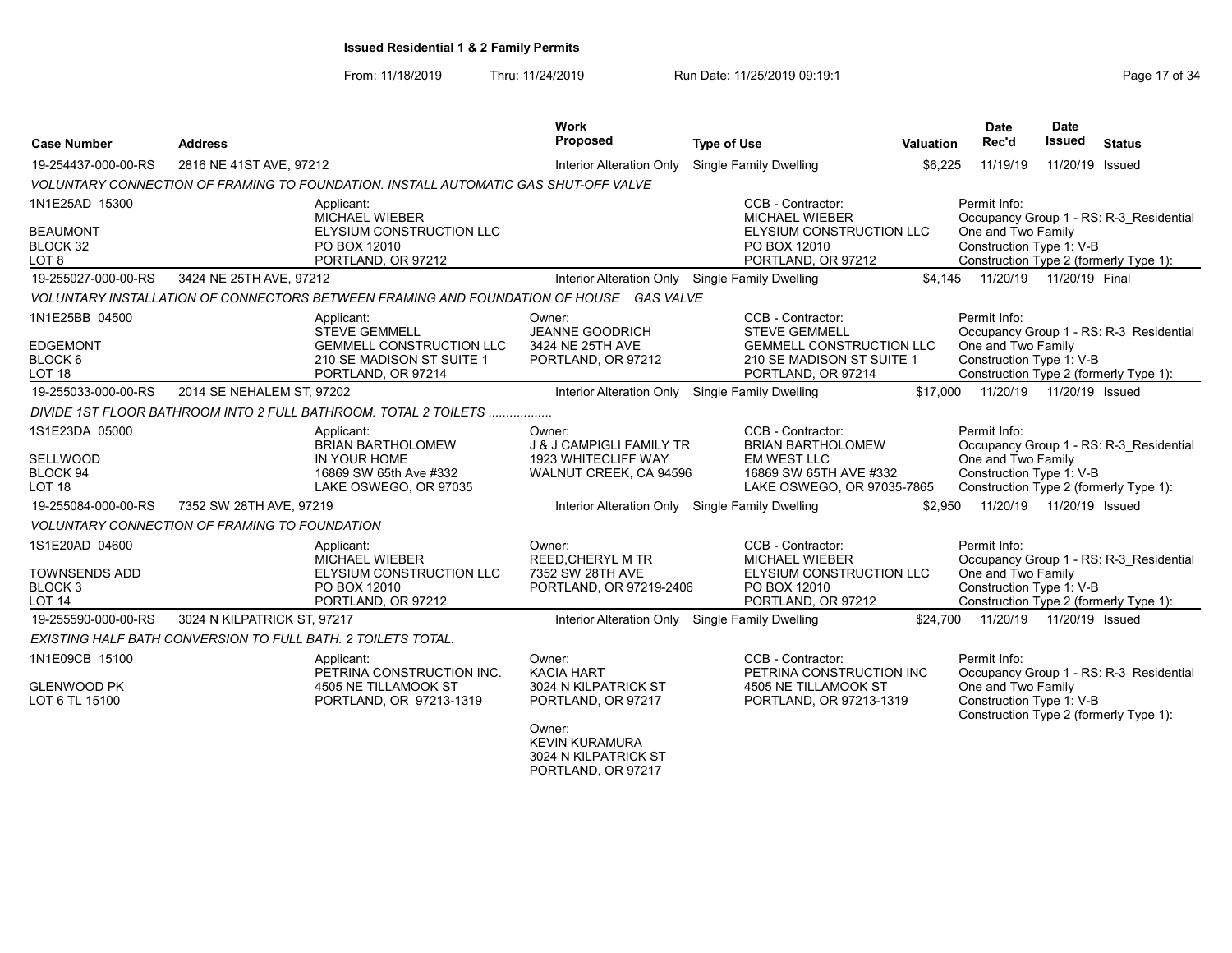# From: 11/18/2019 Thru: 11/24/2019 Run Date: 11/25/2019 09:19:1 Company Page 17 of 34

| <b>Case Number</b>                                                | <b>Address</b>                                                                         |                                                                                    | <b>Work</b><br>Proposed                                                                        | <b>Type of Use</b>                                                                                                              | Valuation | <b>Date</b><br>Rec'd                                                                                     | <b>Date</b><br>Issued | <b>Status</b>                                                                     |
|-------------------------------------------------------------------|----------------------------------------------------------------------------------------|------------------------------------------------------------------------------------|------------------------------------------------------------------------------------------------|---------------------------------------------------------------------------------------------------------------------------------|-----------|----------------------------------------------------------------------------------------------------------|-----------------------|-----------------------------------------------------------------------------------|
| 19-254437-000-00-RS                                               | 2816 NE 41ST AVE, 97212                                                                |                                                                                    | Interior Alteration Only                                                                       | <b>Single Family Dwelling</b>                                                                                                   | \$6,225   | 11/19/19                                                                                                 | 11/20/19              | Issued                                                                            |
|                                                                   | VOLUNTARY CONNECTION OF FRAMING TO FOUNDATION. INSTALL AUTOMATIC GAS SHUT-OFF VALVE    |                                                                                    |                                                                                                |                                                                                                                                 |           |                                                                                                          |                       |                                                                                   |
| 1N1E25AD 15300                                                    | Applicant:                                                                             |                                                                                    |                                                                                                | CCB - Contractor:                                                                                                               |           | Permit Info:                                                                                             |                       |                                                                                   |
| <b>BEAUMONT</b><br>BLOCK 32<br>LOT 8                              | PO BOX 12010                                                                           | MICHAEL WIEBER<br><b>ELYSIUM CONSTRUCTION LLC</b><br>PORTLAND, OR 97212            |                                                                                                | MICHAEL WIEBER<br>ELYSIUM CONSTRUCTION LLC<br>PO BOX 12010<br>PORTLAND, OR 97212                                                |           | One and Two Family<br>Construction Type 1: V-B                                                           |                       | Occupancy Group 1 - RS: R-3 Residential<br>Construction Type 2 (formerly Type 1): |
| 19-255027-000-00-RS                                               | 3424 NE 25TH AVE, 97212                                                                |                                                                                    | Interior Alteration Only Single Family Dwelling                                                |                                                                                                                                 | \$4.145   | 11/20/19  11/20/19  Final                                                                                |                       |                                                                                   |
|                                                                   | VOLUNTARY INSTALLATION OF CONNECTORS BETWEEN FRAMING AND FOUNDATION OF HOUSE GAS VALVE |                                                                                    |                                                                                                |                                                                                                                                 |           |                                                                                                          |                       |                                                                                   |
| 1N1E25BB 04500<br><b>EDGEMONT</b><br>BLOCK 6<br>LOT <sub>18</sub> | Applicant:<br><b>STEVE GEMMELL</b>                                                     | <b>GEMMELL CONSTRUCTION LLC</b><br>210 SE MADISON ST SUITE 1<br>PORTLAND, OR 97214 | Owner:<br><b>JEANNE GOODRICH</b><br>3424 NE 25TH AVE<br>PORTLAND, OR 97212                     | CCB - Contractor:<br><b>STEVE GEMMELL</b><br><b>GEMMELL CONSTRUCTION LLC</b><br>210 SE MADISON ST SUITE 1<br>PORTLAND, OR 97214 |           | Permit Info:<br>One and Two Family<br>Construction Type 1: V-B                                           |                       | Occupancy Group 1 - RS: R-3 Residential<br>Construction Type 2 (formerly Type 1): |
| 19-255033-000-00-RS                                               | 2014 SE NEHALEM ST, 97202                                                              |                                                                                    | Interior Alteration Only Single Family Dwelling                                                |                                                                                                                                 | \$17,000  | 11/20/19  11/20/19  Issued                                                                               |                       |                                                                                   |
|                                                                   | DIVIDE 1ST FLOOR BATHROOM INTO 2 FULL BATHROOM. TOTAL 2 TOILETS                        |                                                                                    |                                                                                                |                                                                                                                                 |           |                                                                                                          |                       |                                                                                   |
| 1S1E23DA 05000<br>SELLWOOD<br>BLOCK 94<br>LOT 18                  | Applicant:<br>IN YOUR HOME                                                             | <b>BRIAN BARTHOLOMEW</b><br>16869 SW 65th Ave #332<br>LAKE OSWEGO, OR 97035        | Owner:<br><b>J &amp; J CAMPIGLI FAMILY TR</b><br>1923 WHITECLIFF WAY<br>WALNUT CREEK, CA 94596 | CCB - Contractor:<br><b>BRIAN BARTHOLOMEW</b><br><b>EM WEST LLC</b><br>16869 SW 65TH AVE #332<br>LAKE OSWEGO, OR 97035-7865     |           | Permit Info:<br>One and Two Family<br>Construction Type 1: V-B                                           |                       | Occupancy Group 1 - RS: R-3 Residential<br>Construction Type 2 (formerly Type 1): |
| 19-255084-000-00-RS                                               | 7352 SW 28TH AVE, 97219                                                                |                                                                                    | Interior Alteration Only Single Family Dwelling                                                |                                                                                                                                 | \$2.950   | 11/20/19  11/20/19  Issued                                                                               |                       |                                                                                   |
|                                                                   | <b>VOLUNTARY CONNECTION OF FRAMING TO FOUNDATION</b>                                   |                                                                                    |                                                                                                |                                                                                                                                 |           |                                                                                                          |                       |                                                                                   |
| 1S1E20AD 04600<br>TOWNSENDS ADD<br>BLOCK 3<br>LOT 14              | Applicant:<br>PO BOX 12010                                                             | <b>MICHAEL WIEBER</b><br><b>ELYSIUM CONSTRUCTION LLC</b><br>PORTLAND, OR 97212     | Owner:<br><b>REED.CHERYL M TR</b><br>7352 SW 28TH AVE<br>PORTLAND, OR 97219-2406               | CCB - Contractor:<br><b>MICHAEL WIEBER</b><br>ELYSIUM CONSTRUCTION LLC<br>PO BOX 12010<br>PORTLAND, OR 97212                    |           | Permit Info:<br>One and Two Family<br>Construction Type 1: V-B<br>Construction Type 2 (formerly Type 1): |                       | Occupancy Group 1 - RS: R-3 Residential                                           |
| 19-255590-000-00-RS                                               | 3024 N KILPATRICK ST, 97217                                                            |                                                                                    | Interior Alteration Only Single Family Dwelling                                                |                                                                                                                                 | \$24,700  | 11/20/19  11/20/19  Issued                                                                               |                       |                                                                                   |
|                                                                   | EXISTING HALF BATH CONVERSION TO FULL BATH. 2 TOILETS TOTAL.                           |                                                                                    |                                                                                                |                                                                                                                                 |           |                                                                                                          |                       |                                                                                   |
| 1N1E09CB 15100<br>GLENWOOD PK<br>LOT 6 TL 15100                   | Applicant:                                                                             | PETRINA CONSTRUCTION INC.<br>4505 NE TILLAMOOK ST<br>PORTLAND, OR 97213-1319       | Owner:<br><b>KACIA HART</b><br>3024 N KILPATRICK ST<br>PORTLAND, OR 97217                      | CCB - Contractor:<br>PETRINA CONSTRUCTION INC<br>4505 NE TILLAMOOK ST<br>PORTLAND, OR 97213-1319                                |           | Permit Info:<br>One and Two Family<br>Construction Type 1: V-B<br>Construction Type 2 (formerly Type 1): |                       | Occupancy Group 1 - RS: R-3 Residential                                           |
|                                                                   |                                                                                        |                                                                                    | Owner:<br><b>KEVIN KURAMURA</b><br>3024 N KILPATRICK ST<br>PORTLAND, OR 97217                  |                                                                                                                                 |           |                                                                                                          |                       |                                                                                   |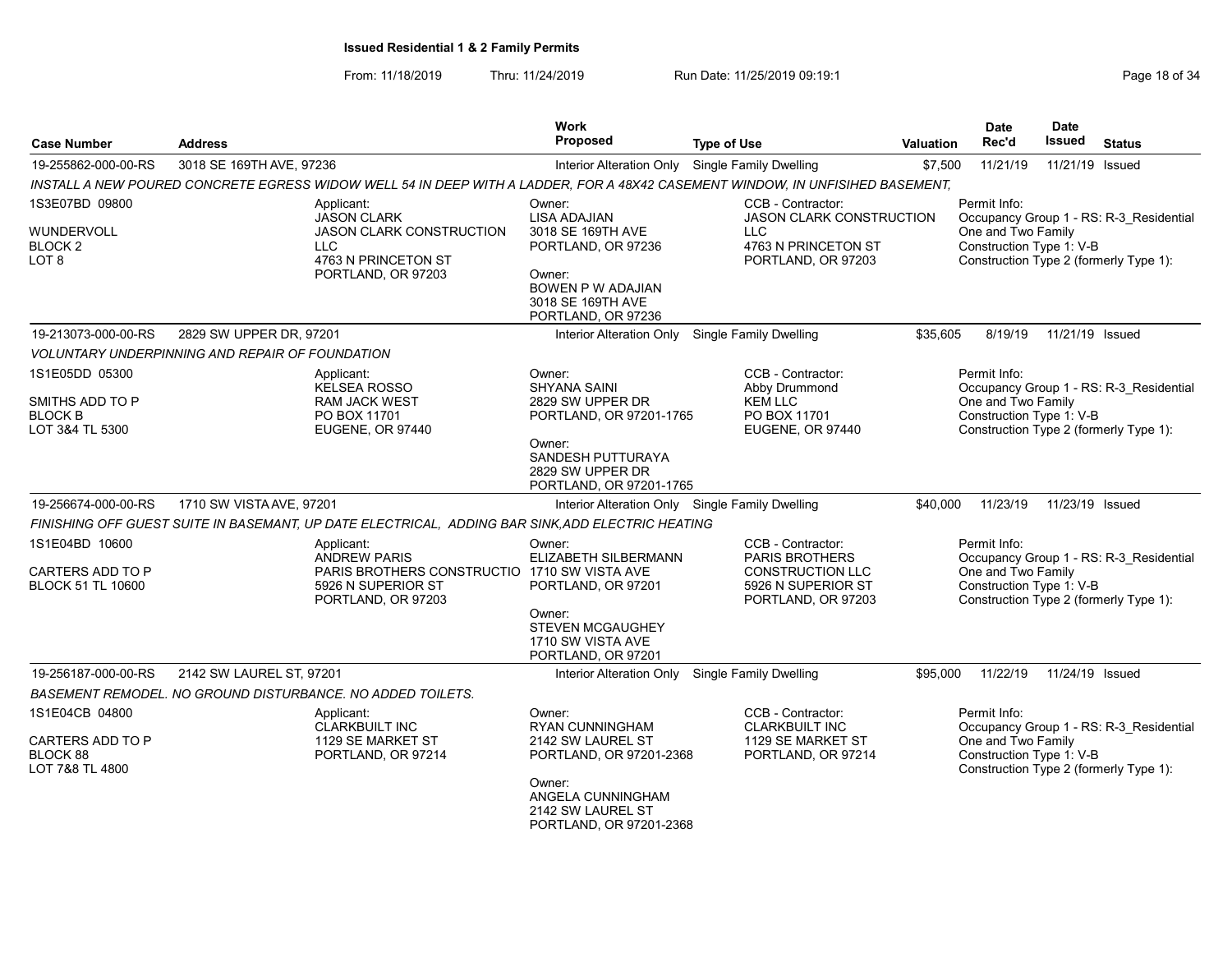From: 11/18/2019 Thru: 11/24/2019 Run Date: 11/25/2019 09:19:1 Company Page 18 of 34

| <b>Case Number</b>                                                     | <b>Address</b>                                             |                                                                                                                                | Work<br><b>Proposed</b>                                                            | <b>Type of Use</b>                                                                                                            | <b>Valuation</b> | <b>Date</b><br>Rec'd                                           | <b>Date</b><br><b>Issued</b> | <b>Status</b>                                                                     |
|------------------------------------------------------------------------|------------------------------------------------------------|--------------------------------------------------------------------------------------------------------------------------------|------------------------------------------------------------------------------------|-------------------------------------------------------------------------------------------------------------------------------|------------------|----------------------------------------------------------------|------------------------------|-----------------------------------------------------------------------------------|
| 19-255862-000-00-RS                                                    | 3018 SE 169TH AVE, 97236                                   |                                                                                                                                | Interior Alteration Only Single Family Dwelling                                    |                                                                                                                               | \$7,500          | 11/21/19                                                       | 11/21/19 Issued              |                                                                                   |
|                                                                        |                                                            |                                                                                                                                |                                                                                    | INSTALL A NEW POURED CONCRETE EGRESS WIDOW WELL 54 IN DEEP WITH A LADDER, FOR A 48X42 CASEMENT WINDOW, IN UNFISIHED BASEMENT, |                  |                                                                |                              |                                                                                   |
| 1S3E07BD 09800<br>WUNDERVOLL<br>BLOCK <sub>2</sub><br>LOT 8            |                                                            | Applicant:<br><b>JASON CLARK</b><br><b>JASON CLARK CONSTRUCTION</b><br><b>LLC</b><br>4763 N PRINCETON ST<br>PORTLAND, OR 97203 | Owner:<br><b>LISA ADAJIAN</b><br>3018 SE 169TH AVE<br>PORTLAND, OR 97236<br>Owner: | CCB - Contractor:<br><b>JASON CLARK CONSTRUCTION</b><br><b>LLC</b><br>4763 N PRINCETON ST<br>PORTLAND, OR 97203               |                  | Permit Info:<br>One and Two Family<br>Construction Type 1: V-B |                              | Occupancy Group 1 - RS: R-3 Residential<br>Construction Type 2 (formerly Type 1): |
|                                                                        |                                                            |                                                                                                                                | <b>BOWEN P W ADAJIAN</b><br>3018 SE 169TH AVE<br>PORTLAND, OR 97236                |                                                                                                                               |                  |                                                                |                              |                                                                                   |
| 19-213073-000-00-RS                                                    | 2829 SW UPPER DR, 97201                                    |                                                                                                                                | Interior Alteration Only                                                           | <b>Single Family Dwelling</b>                                                                                                 | \$35,605         | 8/19/19                                                        | 11/21/19 Issued              |                                                                                   |
|                                                                        | <b>VOLUNTARY UNDERPINNING AND REPAIR OF FOUNDATION</b>     |                                                                                                                                |                                                                                    |                                                                                                                               |                  |                                                                |                              |                                                                                   |
| 1S1E05DD 05300<br>SMITHS ADD TO P<br><b>BLOCK B</b><br>LOT 3&4 TL 5300 |                                                            | Applicant:<br><b>KELSEA ROSSO</b><br><b>RAM JACK WEST</b><br>PO BOX 11701<br>EUGENE, OR 97440                                  | Owner:<br><b>SHYANA SAINI</b><br>2829 SW UPPER DR<br>PORTLAND, OR 97201-1765       | CCB - Contractor:<br>Abby Drummond<br><b>KEM LLC</b><br>PO BOX 11701<br>EUGENE, OR 97440                                      |                  | Permit Info:<br>One and Two Family<br>Construction Type 1: V-B |                              | Occupancy Group 1 - RS: R-3 Residential<br>Construction Type 2 (formerly Type 1): |
|                                                                        |                                                            |                                                                                                                                | Owner:<br>SANDESH PUTTURAYA<br>2829 SW UPPER DR<br>PORTLAND, OR 97201-1765         |                                                                                                                               |                  |                                                                |                              |                                                                                   |
| 19-256674-000-00-RS                                                    | 1710 SW VISTA AVE, 97201                                   |                                                                                                                                | Interior Alteration Only Single Family Dwelling                                    |                                                                                                                               | \$40,000         | 11/23/19                                                       | 11/23/19 Issued              |                                                                                   |
|                                                                        |                                                            | FINISHING OFF GUEST SUITE IN BASEMANT, UP DATE ELECTRICAL, ADDING BAR SINK, ADD ELECTRIC HEATING                               |                                                                                    |                                                                                                                               |                  |                                                                |                              |                                                                                   |
| 1S1E04BD 10600                                                         |                                                            | Applicant:<br><b>ANDREW PARIS</b>                                                                                              | Owner:<br>ELIZABETH SILBERMANN                                                     | CCB - Contractor:<br>PARIS BROTHERS                                                                                           |                  | Permit Info:                                                   |                              | Occupancy Group 1 - RS: R-3 Residential                                           |
| CARTERS ADD TO P<br><b>BLOCK 51 TL 10600</b>                           |                                                            | PARIS BROTHERS CONSTRUCTIO 1710 SW VISTA AVE<br>5926 N SUPERIOR ST<br>PORTLAND, OR 97203                                       | PORTLAND, OR 97201                                                                 | <b>CONSTRUCTION LLC</b><br>5926 N SUPERIOR ST<br>PORTLAND, OR 97203                                                           |                  | One and Two Family<br>Construction Type 1: V-B                 |                              | Construction Type 2 (formerly Type 1):                                            |
|                                                                        |                                                            |                                                                                                                                | Owner:<br><b>STEVEN MCGAUGHEY</b><br>1710 SW VISTA AVE<br>PORTLAND, OR 97201       |                                                                                                                               |                  |                                                                |                              |                                                                                   |
| 19-256187-000-00-RS                                                    | 2142 SW LAUREL ST, 97201                                   |                                                                                                                                | Interior Alteration Only                                                           | <b>Single Family Dwelling</b>                                                                                                 | \$95,000         | 11/22/19                                                       | 11/24/19 Issued              |                                                                                   |
|                                                                        | BASEMENT REMODEL. NO GROUND DISTURBANCE. NO ADDED TOILETS. |                                                                                                                                |                                                                                    |                                                                                                                               |                  |                                                                |                              |                                                                                   |
| 1S1E04CB 04800<br>CARTERS ADD TO P<br>BLOCK 88<br>LOT 7&8 TL 4800      |                                                            | Applicant:<br><b>CLARKBUILT INC</b><br>1129 SE MARKET ST<br>PORTLAND, OR 97214                                                 | Owner:<br><b>RYAN CUNNINGHAM</b><br>2142 SW LAUREL ST<br>PORTLAND, OR 97201-2368   | CCB - Contractor:<br><b>CLARKBUILT INC</b><br>1129 SE MARKET ST<br>PORTLAND, OR 97214                                         |                  | Permit Info:<br>One and Two Family<br>Construction Type 1: V-B |                              | Occupancy Group 1 - RS: R-3 Residential<br>Construction Type 2 (formerly Type 1): |
|                                                                        |                                                            |                                                                                                                                | Owner:<br>ANGELA CUNNINGHAM<br>2142 SW LAUREL ST<br>PORTLAND, OR 97201-2368        |                                                                                                                               |                  |                                                                |                              |                                                                                   |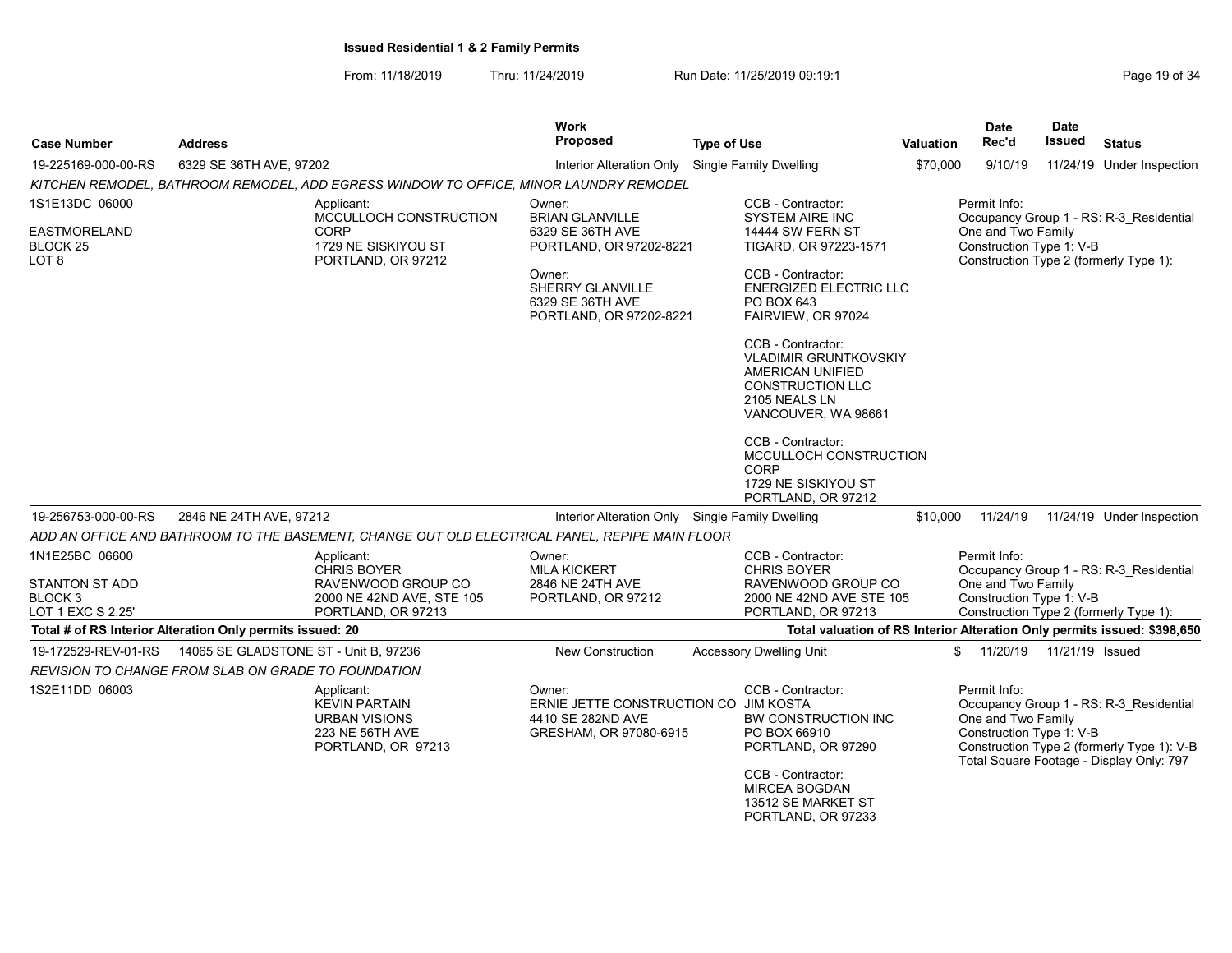From: 11/18/2019 Thru: 11/24/2019 Run Date: 11/25/2019 09:19:1 Company Page 19 of 34

|                                                            |                                       |                                                                                                            | <b>Work</b><br><b>Proposed</b><br><b>Type of Use</b>                                           |  |                                                                                                                                                                         |           | <b>Date</b><br>Rec'd                                               | Date<br><b>Issued</b> | <b>Status</b>                                                                                                                     |
|------------------------------------------------------------|---------------------------------------|------------------------------------------------------------------------------------------------------------|------------------------------------------------------------------------------------------------|--|-------------------------------------------------------------------------------------------------------------------------------------------------------------------------|-----------|--------------------------------------------------------------------|-----------------------|-----------------------------------------------------------------------------------------------------------------------------------|
| <b>Case Number</b>                                         | <b>Address</b>                        |                                                                                                            |                                                                                                |  |                                                                                                                                                                         | Valuation |                                                                    |                       |                                                                                                                                   |
| 19-225169-000-00-RS                                        | 6329 SE 36TH AVE, 97202               |                                                                                                            | Interior Alteration Only                                                                       |  | Single Family Dwelling                                                                                                                                                  | \$70,000  | 9/10/19                                                            |                       | 11/24/19 Under Inspection                                                                                                         |
|                                                            |                                       | KITCHEN REMODEL, BATHROOM REMODEL, ADD EGRESS WINDOW TO OFFICE, MINOR LAUNDRY REMODEL                      |                                                                                                |  |                                                                                                                                                                         |           |                                                                    |                       |                                                                                                                                   |
| 1S1E13DC 06000                                             |                                       | Applicant:<br>MCCULLOCH CONSTRUCTION                                                                       | Owner:                                                                                         |  | CCB - Contractor:<br><b>SYSTEM AIRE INC</b>                                                                                                                             |           | Permit Info:                                                       |                       |                                                                                                                                   |
| <b>EASTMORELAND</b>                                        |                                       | CORP                                                                                                       | <b>BRIAN GLANVILLE</b><br>6329 SE 36TH AVE                                                     |  | <b>14444 SW FERN ST</b>                                                                                                                                                 |           | One and Two Family                                                 |                       | Occupancy Group 1 - RS: R-3 Residential                                                                                           |
| <b>BLOCK 25</b><br>LOT 8                                   |                                       | 1729 NE SISKIYOU ST<br>PORTLAND, OR 97212                                                                  | PORTLAND, OR 97202-8221                                                                        |  | TIGARD, OR 97223-1571                                                                                                                                                   |           | Construction Type 1: V-B<br>Construction Type 2 (formerly Type 1): |                       |                                                                                                                                   |
|                                                            |                                       |                                                                                                            | Owner:<br>SHERRY GLANVILLE<br>6329 SE 36TH AVE                                                 |  | CCB - Contractor:<br><b>ENERGIZED ELECTRIC LLC</b><br>PO BOX 643                                                                                                        |           |                                                                    |                       |                                                                                                                                   |
|                                                            |                                       |                                                                                                            | PORTLAND, OR 97202-8221                                                                        |  | FAIRVIEW, OR 97024                                                                                                                                                      |           |                                                                    |                       |                                                                                                                                   |
|                                                            |                                       |                                                                                                            |                                                                                                |  | CCB - Contractor:<br><b>VLADIMIR GRUNTKOVSKIY</b><br>AMERICAN UNIFIED<br><b>CONSTRUCTION LLC</b><br>2105 NEALS LN<br>VANCOUVER, WA 98661                                |           |                                                                    |                       |                                                                                                                                   |
|                                                            |                                       |                                                                                                            |                                                                                                |  | CCB - Contractor:<br>MCCULLOCH CONSTRUCTION<br>CORP<br>1729 NE SISKIYOU ST<br>PORTLAND, OR 97212                                                                        |           |                                                                    |                       |                                                                                                                                   |
| 19-256753-000-00-RS                                        | 2846 NE 24TH AVE, 97212               |                                                                                                            | Interior Alteration Only Single Family Dwelling                                                |  |                                                                                                                                                                         | \$10,000  | 11/24/19                                                           |                       | 11/24/19 Under Inspection                                                                                                         |
|                                                            |                                       | ADD AN OFFICE AND BATHROOM TO THE BASEMENT, CHANGE OUT OLD ELECTRICAL PANEL, REPIPE MAIN FLOOR             |                                                                                                |  |                                                                                                                                                                         |           |                                                                    |                       |                                                                                                                                   |
| 1N1E25BC 06600                                             |                                       | Applicant:                                                                                                 | Owner:                                                                                         |  | CCB - Contractor:                                                                                                                                                       |           | Permit Info:                                                       |                       |                                                                                                                                   |
| <b>STANTON ST ADD</b>                                      |                                       | <b>CHRIS BOYER</b><br>RAVENWOOD GROUP CO                                                                   | <b>MILA KICKERT</b><br>2846 NE 24TH AVE                                                        |  | <b>CHRIS BOYER</b><br>RAVENWOOD GROUP CO                                                                                                                                |           | One and Two Family                                                 |                       | Occupancy Group 1 - RS: R-3 Residential                                                                                           |
| BLOCK <sub>3</sub>                                         |                                       | 2000 NE 42ND AVE, STE 105                                                                                  | PORTLAND, OR 97212                                                                             |  | 2000 NE 42ND AVE STE 105                                                                                                                                                |           | Construction Type 1: V-B                                           |                       |                                                                                                                                   |
| LOT 1 EXC S 2.25'                                          |                                       | PORTLAND, OR 97213                                                                                         |                                                                                                |  | PORTLAND, OR 97213                                                                                                                                                      |           | Construction Type 2 (formerly Type 1):                             |                       |                                                                                                                                   |
| Total # of RS Interior Alteration Only permits issued: 20  |                                       |                                                                                                            |                                                                                                |  | Total valuation of RS Interior Alteration Only permits issued: \$398,650                                                                                                |           |                                                                    |                       |                                                                                                                                   |
| 19-172529-REV-01-RS                                        | 14065 SE GLADSTONE ST - Unit B, 97236 |                                                                                                            | New Construction                                                                               |  | <b>Accessory Dwelling Unit</b>                                                                                                                                          |           | \$11/20/19                                                         | 11/21/19 Issued       |                                                                                                                                   |
| <b>REVISION TO CHANGE FROM SLAB ON GRADE TO FOUNDATION</b> |                                       |                                                                                                            |                                                                                                |  |                                                                                                                                                                         |           |                                                                    |                       |                                                                                                                                   |
| 1S2E11DD 06003                                             |                                       | Applicant:<br><b>KEVIN PARTAIN</b><br><b>URBAN VISIONS</b><br><b>223 NE 56TH AVE</b><br>PORTLAND, OR 97213 | Owner:<br>ERNIE JETTE CONSTRUCTION CO JIM KOSTA<br>4410 SE 282ND AVE<br>GRESHAM, OR 97080-6915 |  | CCB - Contractor:<br>BW CONSTRUCTION INC<br>PO BOX 66910<br>PORTLAND, OR 97290<br>CCB - Contractor:<br><b>MIRCEA BOGDAN</b><br>13512 SE MARKET ST<br>PORTLAND, OR 97233 |           | Permit Info:<br>One and Two Family<br>Construction Type 1: V-B     |                       | Occupancy Group 1 - RS: R-3 Residential<br>Construction Type 2 (formerly Type 1): V-B<br>Total Square Footage - Display Only: 797 |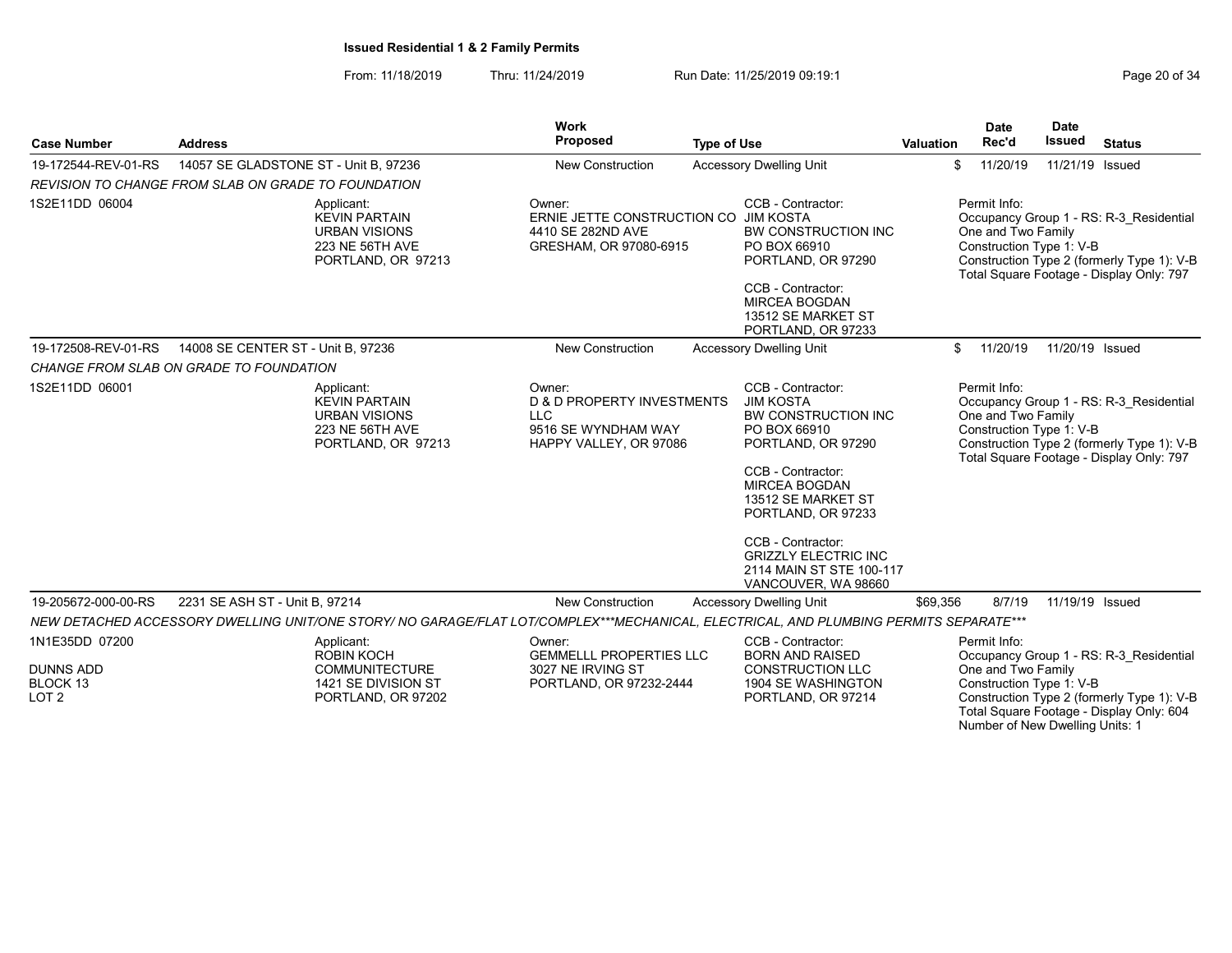From: 11/18/2019 Thru: 11/24/2019 Run Date: 11/25/2019 09:19:1 Company Page 20 of 34

Number of New Dwelling Units: 1

| <b>Case Number</b>                               | <b>Address</b>                                                                                                                        | Work<br>Proposed                                                                                               | <b>Type of Use</b>                                                                                                                                                                                                                                                                                        | <b>Valuation</b>                                                                                                                                                                                    | <b>Date</b><br>Rec'd                                           | <b>Date</b><br><b>Issued</b> | <b>Status</b>                                                                                                                     |
|--------------------------------------------------|---------------------------------------------------------------------------------------------------------------------------------------|----------------------------------------------------------------------------------------------------------------|-----------------------------------------------------------------------------------------------------------------------------------------------------------------------------------------------------------------------------------------------------------------------------------------------------------|-----------------------------------------------------------------------------------------------------------------------------------------------------------------------------------------------------|----------------------------------------------------------------|------------------------------|-----------------------------------------------------------------------------------------------------------------------------------|
| 19-172544-REV-01-RS                              | 14057 SE GLADSTONE ST - Unit B, 97236                                                                                                 | New Construction                                                                                               | <b>Accessory Dwelling Unit</b>                                                                                                                                                                                                                                                                            | \$                                                                                                                                                                                                  | 11/20/19                                                       | 11/21/19 Issued              |                                                                                                                                   |
|                                                  | <b>REVISION TO CHANGE FROM SLAB ON GRADE TO FOUNDATION</b>                                                                            |                                                                                                                |                                                                                                                                                                                                                                                                                                           |                                                                                                                                                                                                     |                                                                |                              |                                                                                                                                   |
| 1S2E11DD 06004                                   | Applicant:<br><b>KEVIN PARTAIN</b><br><b>URBAN VISIONS</b><br>223 NE 56TH AVE<br>PORTLAND, OR 97213                                   | Owner:<br>ERNIE JETTE CONSTRUCTION CO JIM KOSTA<br>4410 SE 282ND AVE<br>GRESHAM, OR 97080-6915                 | CCB - Contractor:<br>BW CONSTRUCTION INC<br>PO BOX 66910<br>PORTLAND, OR 97290<br>CCB - Contractor:                                                                                                                                                                                                       | Permit Info:<br>Occupancy Group 1 - RS: R-3_Residential<br>One and Two Family<br>Construction Type 1: V-B<br>Construction Type 2 (formerly Type 1): V-B<br>Total Square Footage - Display Only: 797 |                                                                |                              |                                                                                                                                   |
|                                                  |                                                                                                                                       |                                                                                                                | <b>MIRCEA BOGDAN</b><br>13512 SE MARKET ST<br>PORTLAND, OR 97233                                                                                                                                                                                                                                          |                                                                                                                                                                                                     |                                                                |                              |                                                                                                                                   |
| 19-172508-REV-01-RS                              | 14008 SE CENTER ST - Unit B, 97236                                                                                                    | New Construction                                                                                               | <b>Accessory Dwelling Unit</b>                                                                                                                                                                                                                                                                            | \$                                                                                                                                                                                                  | 11/20/19                                                       | 11/20/19 Issued              |                                                                                                                                   |
|                                                  | CHANGE FROM SLAB ON GRADE TO FOUNDATION                                                                                               |                                                                                                                |                                                                                                                                                                                                                                                                                                           |                                                                                                                                                                                                     |                                                                |                              |                                                                                                                                   |
| 1S2E11DD 06001                                   | Applicant:<br><b>KEVIN PARTAIN</b><br><b>URBAN VISIONS</b><br>223 NE 56TH AVE<br>PORTLAND, OR 97213                                   | Owner:<br><b>D &amp; D PROPERTY INVESTMENTS</b><br><b>LLC</b><br>9516 SE WYNDHAM WAY<br>HAPPY VALLEY, OR 97086 | CCB - Contractor:<br><b>JIM KOSTA</b><br><b>BW CONSTRUCTION INC</b><br>PO BOX 66910<br>PORTLAND, OR 97290<br>CCB - Contractor:<br><b>MIRCEA BOGDAN</b><br>13512 SE MARKET ST<br>PORTLAND, OR 97233<br>CCB - Contractor:<br><b>GRIZZLY ELECTRIC INC</b><br>2114 MAIN ST STE 100-117<br>VANCOUVER, WA 98660 |                                                                                                                                                                                                     | Permit Info:<br>One and Two Family<br>Construction Type 1: V-B |                              | Occupancy Group 1 - RS: R-3_Residential<br>Construction Type 2 (formerly Type 1): V-B<br>Total Square Footage - Display Only: 797 |
| 19-205672-000-00-RS                              | 2231 SE ASH ST - Unit B, 97214                                                                                                        | <b>New Construction</b>                                                                                        | <b>Accessory Dwelling Unit</b>                                                                                                                                                                                                                                                                            | \$69,356                                                                                                                                                                                            | 8/7/19                                                         | 11/19/19 Issued              |                                                                                                                                   |
|                                                  | NEW DETACHED ACCESSORY DWELLING UNIT/ONE STORY/ NO GARAGE/FLAT LOT/COMPLEX***MECHANICAL, ELECTRICAL, AND PLUMBING PERMITS SEPARATE*** |                                                                                                                |                                                                                                                                                                                                                                                                                                           |                                                                                                                                                                                                     |                                                                |                              |                                                                                                                                   |
| 1N1E35DD 07200                                   | Applicant:<br><b>ROBIN KOCH</b>                                                                                                       | Owner:<br><b>GEMMELLL PROPERTIES LLC</b>                                                                       | CCB - Contractor:<br><b>BORN AND RAISED</b>                                                                                                                                                                                                                                                               |                                                                                                                                                                                                     | Permit Info:                                                   |                              | Occupancy Group 1 - RS: R-3 Residential                                                                                           |
| <b>DUNNS ADD</b><br>BLOCK 13<br>LOT <sub>2</sub> | <b>COMMUNITECTURE</b><br>1421 SE DIVISION ST<br>PORTLAND, OR 97202                                                                    | 3027 NE IRVING ST<br>PORTLAND, OR 97232-2444                                                                   | <b>CONSTRUCTION LLC</b><br><b>1904 SE WASHINGTON</b><br>PORTLAND, OR 97214                                                                                                                                                                                                                                |                                                                                                                                                                                                     | One and Two Family<br>Construction Type 1: V-B                 |                              | Construction Type 2 (formerly Type 1): V-B<br>Total Square Footage - Display Only: 604                                            |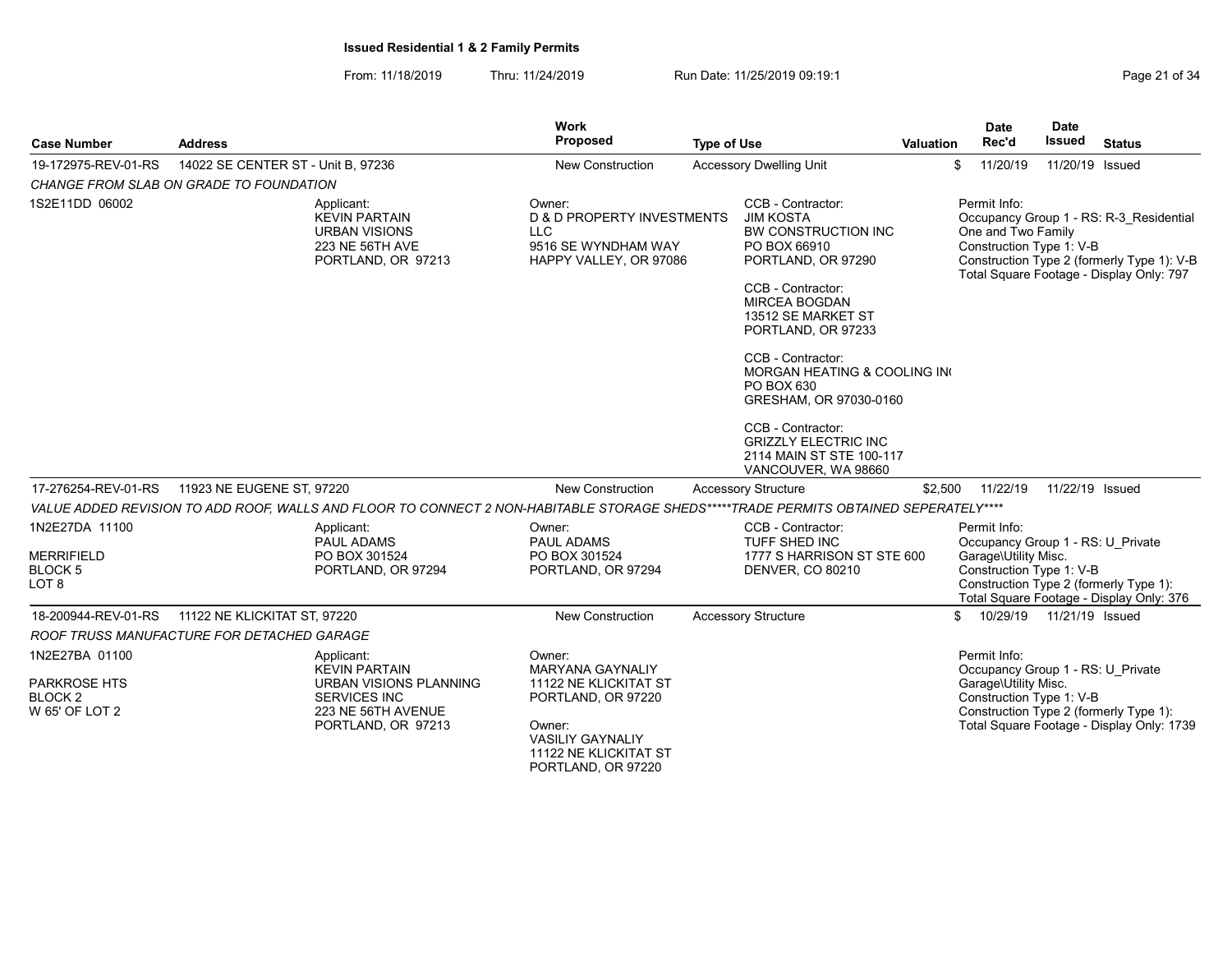From: 11/18/2019 Thru: 11/24/2019 Run Date: 11/25/2019 09:19:1

| <b>Case Number</b>                                                            | <b>Address</b>                                                                                                                       | Work<br>Proposed                                                                                                                                                     | <b>Type of Use</b>                                                     |                                                                                                                                                                                                                                                                                                                                             | <b>Valuation</b>     | <b>Date</b><br>Rec'd                                                                                  | <b>Date</b><br>Issued                                                                                                                               | <b>Status</b>                                                                                                                     |
|-------------------------------------------------------------------------------|--------------------------------------------------------------------------------------------------------------------------------------|----------------------------------------------------------------------------------------------------------------------------------------------------------------------|------------------------------------------------------------------------|---------------------------------------------------------------------------------------------------------------------------------------------------------------------------------------------------------------------------------------------------------------------------------------------------------------------------------------------|----------------------|-------------------------------------------------------------------------------------------------------|-----------------------------------------------------------------------------------------------------------------------------------------------------|-----------------------------------------------------------------------------------------------------------------------------------|
| 19-172975-REV-01-RS                                                           | 14022 SE CENTER ST - Unit B, 97236                                                                                                   | <b>New Construction</b>                                                                                                                                              |                                                                        | <b>Accessory Dwelling Unit</b>                                                                                                                                                                                                                                                                                                              |                      | 11/20/19<br>\$                                                                                        | 11/20/19 Issued                                                                                                                                     |                                                                                                                                   |
|                                                                               | CHANGE FROM SLAB ON GRADE TO FOUNDATION                                                                                              |                                                                                                                                                                      |                                                                        |                                                                                                                                                                                                                                                                                                                                             |                      |                                                                                                       |                                                                                                                                                     |                                                                                                                                   |
| 1S2E11DD 06002                                                                | Applicant:<br><b>KEVIN PARTAIN</b><br><b>URBAN VISIONS</b><br>223 NE 56TH AVE<br>PORTLAND, OR 97213                                  | Owner:<br><b>D &amp; D PROPERTY INVESTMENTS</b><br><b>LLC</b><br>9516 SE WYNDHAM WAY<br>HAPPY VALLEY, OR 97086                                                       |                                                                        | CCB - Contractor:<br><b>JIM KOSTA</b><br>BW CONSTRUCTION INC<br>PO BOX 66910<br>PORTLAND, OR 97290<br>CCB - Contractor:<br><b>MIRCEA BOGDAN</b><br>13512 SE MARKET ST<br>PORTLAND, OR 97233<br>CCB - Contractor:<br>MORGAN HEATING & COOLING IN<br>PO BOX 630<br>GRESHAM, OR 97030-0160<br>CCB - Contractor:<br><b>GRIZZLY ELECTRIC INC</b> |                      | Permit Info:<br>One and Two Family<br>Construction Type 1: V-B                                        |                                                                                                                                                     | Occupancy Group 1 - RS: R-3 Residential<br>Construction Type 2 (formerly Type 1): V-B<br>Total Square Footage - Display Only: 797 |
|                                                                               |                                                                                                                                      |                                                                                                                                                                      |                                                                        | 2114 MAIN ST STE 100-117<br>VANCOUVER, WA 98660                                                                                                                                                                                                                                                                                             |                      |                                                                                                       |                                                                                                                                                     |                                                                                                                                   |
| 17-276254-REV-01-RS                                                           | 11923 NE EUGENE ST, 97220                                                                                                            | <b>New Construction</b>                                                                                                                                              | <b>Accessory Structure</b>                                             |                                                                                                                                                                                                                                                                                                                                             | \$2,500              | 11/22/19                                                                                              | 11/22/19 Issued                                                                                                                                     |                                                                                                                                   |
|                                                                               | VALUE ADDED REVISION TO ADD ROOF, WALLS AND FLOOR TO CONNECT 2 NON-HABITABLE STORAGE SHEDS*****TRADE PERMITS OBTAINED SEPERATELY**** |                                                                                                                                                                      |                                                                        |                                                                                                                                                                                                                                                                                                                                             |                      |                                                                                                       |                                                                                                                                                     |                                                                                                                                   |
| 1N2E27DA 11100                                                                | Applicant:<br><b>PAUL ADAMS</b>                                                                                                      | Owner:<br>PAUL ADAMS                                                                                                                                                 |                                                                        | CCB - Contractor:                                                                                                                                                                                                                                                                                                                           |                      | Permit Info:                                                                                          |                                                                                                                                                     |                                                                                                                                   |
| <b>MERRIFIELD</b><br>BLOCK <sub>5</sub><br>LOT <sub>8</sub>                   | PO BOX 301524<br>PORTLAND, OR 97294                                                                                                  | PO BOX 301524<br>PORTLAND, OR 97294                                                                                                                                  | TUFF SHED INC<br>1777 S HARRISON ST STE 600<br><b>DENVER, CO 80210</b> |                                                                                                                                                                                                                                                                                                                                             | Garage\Utility Misc. |                                                                                                       | Occupancy Group 1 - RS: U Private<br>Construction Type 1: V-B<br>Construction Type 2 (formerly Type 1):<br>Total Square Footage - Display Only: 376 |                                                                                                                                   |
| 18-200944-REV-01-RS                                                           | 11122 NE KLICKITAT ST, 97220                                                                                                         | New Construction                                                                                                                                                     | <b>Accessory Structure</b>                                             |                                                                                                                                                                                                                                                                                                                                             |                      | 10/29/19<br>$\mathbb{S}$                                                                              | 11/21/19 Issued                                                                                                                                     |                                                                                                                                   |
|                                                                               | ROOF TRUSS MANUFACTURE FOR DETACHED GARAGE                                                                                           |                                                                                                                                                                      |                                                                        |                                                                                                                                                                                                                                                                                                                                             |                      |                                                                                                       |                                                                                                                                                     |                                                                                                                                   |
| 1N2E27BA 01100<br><b>PARKROSE HTS</b><br>BLOCK <sub>2</sub><br>W 65' OF LOT 2 | Applicant:<br><b>KEVIN PARTAIN</b><br>URBAN VISIONS PLANNING<br><b>SERVICES INC</b><br>223 NE 56TH AVENUE<br>PORTLAND, OR 97213      | Owner:<br><b>MARYANA GAYNALIY</b><br>11122 NE KLICKITAT ST<br>PORTLAND, OR 97220<br>Owner:<br><b>VASILIY GAYNALIY</b><br>11122 NE KLICKITAT ST<br>PORTLAND, OR 97220 |                                                                        |                                                                                                                                                                                                                                                                                                                                             |                      | Permit Info:<br>Occupancy Group 1 - RS: U Private<br>Garage\Utility Misc.<br>Construction Type 1: V-B |                                                                                                                                                     | Construction Type 2 (formerly Type 1):<br>Total Square Footage - Display Only: 1739                                               |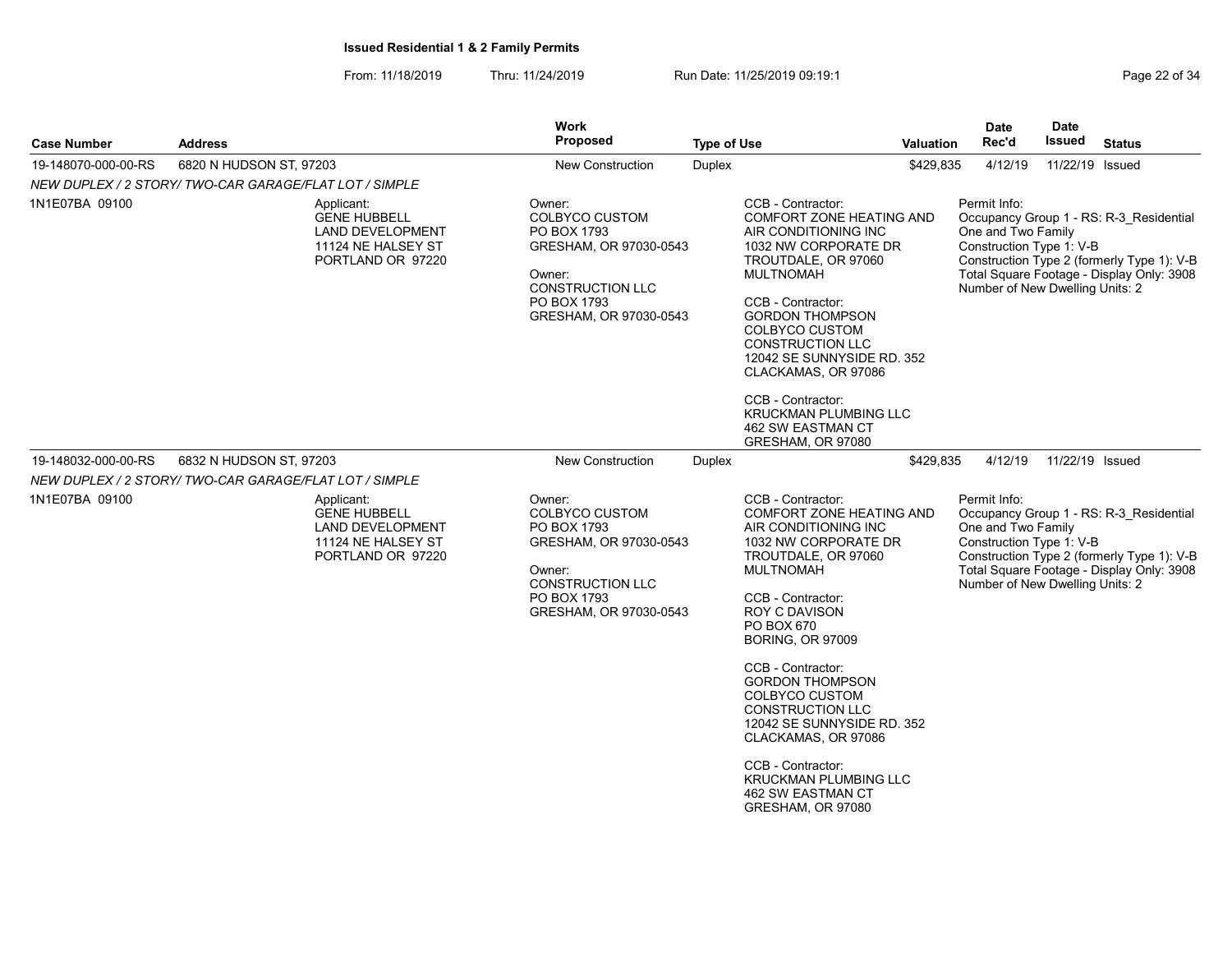From: 11/18/2019 Thru: 11/24/2019 Run Date: 11/25/2019 09:19:1 Company Page 22 of 34

|                                                        |                         |                                                                                                         | <b>Work</b>                                                                                                                                            |                    |                                                                                                                                                                                                                                                                                                                                                                                                                                                                                       |           | <b>Date</b>                                                                                       | <b>Date</b>     |                                                                                                                                    |
|--------------------------------------------------------|-------------------------|---------------------------------------------------------------------------------------------------------|--------------------------------------------------------------------------------------------------------------------------------------------------------|--------------------|---------------------------------------------------------------------------------------------------------------------------------------------------------------------------------------------------------------------------------------------------------------------------------------------------------------------------------------------------------------------------------------------------------------------------------------------------------------------------------------|-----------|---------------------------------------------------------------------------------------------------|-----------------|------------------------------------------------------------------------------------------------------------------------------------|
| <b>Case Number</b>                                     | <b>Address</b>          |                                                                                                         | <b>Proposed</b>                                                                                                                                        | <b>Type of Use</b> |                                                                                                                                                                                                                                                                                                                                                                                                                                                                                       | Valuation | Rec'd                                                                                             | Issued          | <b>Status</b>                                                                                                                      |
| 19-148070-000-00-RS                                    | 6820 N HUDSON ST, 97203 |                                                                                                         | <b>New Construction</b>                                                                                                                                | <b>Duplex</b>      |                                                                                                                                                                                                                                                                                                                                                                                                                                                                                       | \$429,835 | 4/12/19                                                                                           | 11/22/19 Issued |                                                                                                                                    |
| NEW DUPLEX / 2 STORY/ TWO-CAR GARAGE/FLAT LOT / SIMPLE |                         |                                                                                                         |                                                                                                                                                        |                    |                                                                                                                                                                                                                                                                                                                                                                                                                                                                                       |           |                                                                                                   |                 |                                                                                                                                    |
| 1N1E07BA 09100                                         |                         | Applicant:<br><b>GENE HUBBELL</b><br><b>LAND DEVELOPMENT</b><br>11124 NE HALSEY ST<br>PORTLAND OR 97220 | Owner:<br><b>COLBYCO CUSTOM</b><br>PO BOX 1793<br>GRESHAM, OR 97030-0543<br>Owner:<br><b>CONSTRUCTION LLC</b><br>PO BOX 1793<br>GRESHAM, OR 97030-0543 |                    | CCB - Contractor:<br><b>COMFORT ZONE HEATING AND</b><br>AIR CONDITIONING INC<br>1032 NW CORPORATE DR<br>TROUTDALE, OR 97060<br><b>MULTNOMAH</b><br>CCB - Contractor:<br><b>GORDON THOMPSON</b><br>COLBYCO CUSTOM<br><b>CONSTRUCTION LLC</b><br>12042 SE SUNNYSIDE RD. 352<br>CLACKAMAS, OR 97086<br>CCB - Contractor:<br><b>KRUCKMAN PLUMBING LLC</b><br>462 SW EASTMAN CT<br>GRESHAM, OR 97080                                                                                       |           | Permit Info:<br>One and Two Family<br>Construction Type 1: V-B<br>Number of New Dwelling Units: 2 |                 | Occupancy Group 1 - RS: R-3 Residential<br>Construction Type 2 (formerly Type 1): V-B<br>Total Square Footage - Display Only: 3908 |
| 19-148032-000-00-RS                                    | 6832 N HUDSON ST, 97203 |                                                                                                         | <b>New Construction</b>                                                                                                                                | Duplex             |                                                                                                                                                                                                                                                                                                                                                                                                                                                                                       | \$429,835 | 4/12/19                                                                                           | 11/22/19 Issued |                                                                                                                                    |
| NEW DUPLEX / 2 STORY/ TWO-CAR GARAGE/FLAT LOT / SIMPLE |                         |                                                                                                         |                                                                                                                                                        |                    |                                                                                                                                                                                                                                                                                                                                                                                                                                                                                       |           |                                                                                                   |                 |                                                                                                                                    |
| 1N1E07BA 09100                                         |                         | Applicant:<br><b>GENE HUBBELL</b><br><b>LAND DEVELOPMENT</b><br>11124 NE HALSEY ST<br>PORTLAND OR 97220 | Owner:<br><b>COLBYCO CUSTOM</b><br>PO BOX 1793<br>GRESHAM, OR 97030-0543<br>Owner:<br><b>CONSTRUCTION LLC</b><br>PO BOX 1793<br>GRESHAM, OR 97030-0543 |                    | CCB - Contractor:<br><b>COMFORT ZONE HEATING AND</b><br>AIR CONDITIONING INC<br>1032 NW CORPORATE DR<br>TROUTDALE, OR 97060<br><b>MULTNOMAH</b><br>CCB - Contractor:<br><b>ROY C DAVISON</b><br>PO BOX 670<br><b>BORING, OR 97009</b><br>CCB - Contractor:<br><b>GORDON THOMPSON</b><br>COLBYCO CUSTOM<br><b>CONSTRUCTION LLC</b><br>12042 SE SUNNYSIDE RD. 352<br>CLACKAMAS, OR 97086<br>CCB - Contractor:<br><b>KRUCKMAN PLUMBING LLC</b><br>462 SW EASTMAN CT<br>GRESHAM, OR 97080 |           | Permit Info:<br>One and Two Family<br>Construction Type 1: V-B<br>Number of New Dwelling Units: 2 |                 | Occupancy Group 1 - RS: R-3 Residential<br>Construction Type 2 (formerly Type 1): V-B<br>Total Square Footage - Display Only: 3908 |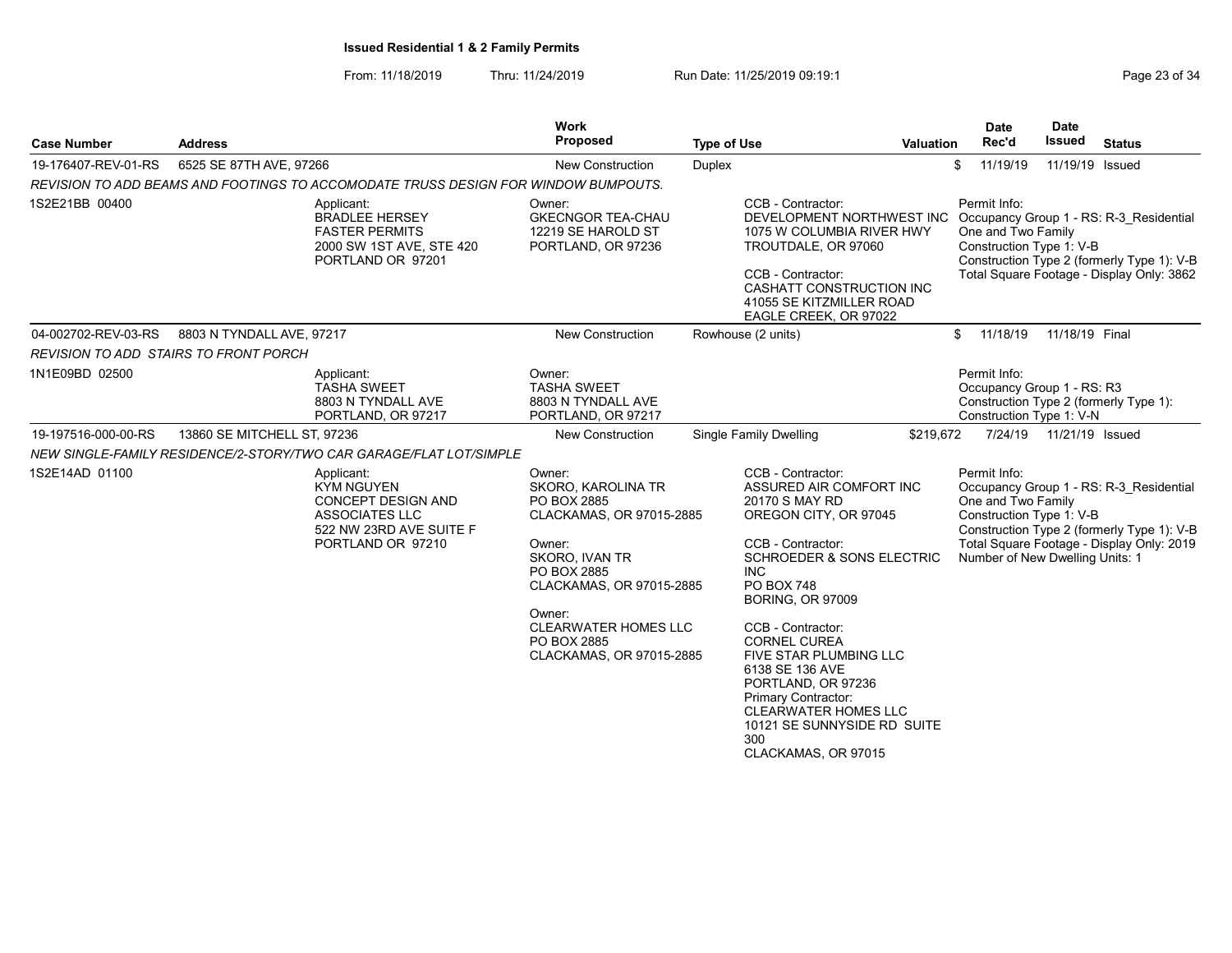From: 11/18/2019 Thru: 11/24/2019 Run Date: 11/25/2019 09:19:1 Company Page 23 of 34

| <b>Case Number</b>                           | <b>Address</b>              |                                                                                                                         | Work<br>Proposed                                                                                                                                                                                                                   | <b>Type of Use</b> |                                                                                                                                                                                                                                                                                                                                                                                                                                                      | Valuation | <b>Date</b><br>Rec'd                                                                              | <b>Date</b><br>Issued | <b>Status</b>                                                                                                                      |
|----------------------------------------------|-----------------------------|-------------------------------------------------------------------------------------------------------------------------|------------------------------------------------------------------------------------------------------------------------------------------------------------------------------------------------------------------------------------|--------------------|------------------------------------------------------------------------------------------------------------------------------------------------------------------------------------------------------------------------------------------------------------------------------------------------------------------------------------------------------------------------------------------------------------------------------------------------------|-----------|---------------------------------------------------------------------------------------------------|-----------------------|------------------------------------------------------------------------------------------------------------------------------------|
| 19-176407-REV-01-RS                          | 6525 SE 87TH AVE, 97266     |                                                                                                                         | <b>New Construction</b>                                                                                                                                                                                                            | Duplex             |                                                                                                                                                                                                                                                                                                                                                                                                                                                      |           | 11/19/19<br>\$                                                                                    | 11/19/19 Issued       |                                                                                                                                    |
|                                              |                             | REVISION TO ADD BEAMS AND FOOTINGS TO ACCOMODATE TRUSS DESIGN FOR WINDOW BUMPOUTS.                                      |                                                                                                                                                                                                                                    |                    |                                                                                                                                                                                                                                                                                                                                                                                                                                                      |           |                                                                                                   |                       |                                                                                                                                    |
| 1S2E21BB 00400                               |                             | Applicant:<br><b>BRADLEE HERSEY</b><br><b>FASTER PERMITS</b><br>2000 SW 1ST AVE, STE 420<br>PORTLAND OR 97201           | Owner:<br><b>GKECNGOR TEA-CHAU</b><br>12219 SE HAROLD ST<br>PORTLAND, OR 97236                                                                                                                                                     |                    | CCB - Contractor:<br>DEVELOPMENT NORTHWEST INC<br>1075 W COLUMBIA RIVER HWY<br>TROUTDALE, OR 97060<br>CCB - Contractor:<br>CASHATT CONSTRUCTION INC<br>41055 SE KITZMILLER ROAD<br>EAGLE CREEK, OR 97022                                                                                                                                                                                                                                             |           | Permit Info:<br>One and Two Family<br>Construction Type 1: V-B                                    |                       | Occupancy Group 1 - RS: R-3 Residential<br>Construction Type 2 (formerly Type 1): V-B<br>Total Square Footage - Display Only: 3862 |
| 04-002702-REV-03-RS                          | 8803 N TYNDALL AVE, 97217   |                                                                                                                         | <b>New Construction</b>                                                                                                                                                                                                            |                    | Rowhouse (2 units)                                                                                                                                                                                                                                                                                                                                                                                                                                   |           | 11/18/19<br>\$                                                                                    | 11/18/19 Final        |                                                                                                                                    |
| <b>REVISION TO ADD STAIRS TO FRONT PORCH</b> |                             |                                                                                                                         |                                                                                                                                                                                                                                    |                    |                                                                                                                                                                                                                                                                                                                                                                                                                                                      |           |                                                                                                   |                       |                                                                                                                                    |
| 1N1E09BD 02500                               |                             | Applicant:<br><b>TASHA SWEET</b><br>8803 N TYNDALL AVE<br>PORTLAND, OR 97217                                            | Owner:<br><b>TASHA SWEET</b><br>8803 N TYNDALL AVE<br>PORTLAND, OR 97217                                                                                                                                                           |                    |                                                                                                                                                                                                                                                                                                                                                                                                                                                      |           | Permit Info:<br>Occupancy Group 1 - RS: R3<br>Construction Type 1: V-N                            |                       | Construction Type 2 (formerly Type 1):                                                                                             |
| 19-197516-000-00-RS                          | 13860 SE MITCHELL ST, 97236 |                                                                                                                         | <b>New Construction</b>                                                                                                                                                                                                            |                    | <b>Single Family Dwelling</b>                                                                                                                                                                                                                                                                                                                                                                                                                        | \$219,672 | 7/24/19                                                                                           | 11/21/19 Issued       |                                                                                                                                    |
|                                              |                             | NEW SINGLE-FAMILY RESIDENCE/2-STORY/TWO CAR GARAGE/FLAT LOT/SIMPLE                                                      |                                                                                                                                                                                                                                    |                    |                                                                                                                                                                                                                                                                                                                                                                                                                                                      |           |                                                                                                   |                       |                                                                                                                                    |
| 1S2E14AD 01100                               |                             | Applicant:<br><b>KYM NGUYEN</b><br>CONCEPT DESIGN AND<br>ASSOCIATES LLC<br>522 NW 23RD AVE SUITE F<br>PORTLAND OR 97210 | Owner:<br><b>SKORO, KAROLINA TR</b><br>PO BOX 2885<br>CLACKAMAS, OR 97015-2885<br>Owner:<br>SKORO, IVAN TR<br>PO BOX 2885<br>CLACKAMAS, OR 97015-2885<br>Owner:<br>CLEARWATER HOMES LLC<br>PO BOX 2885<br>CLACKAMAS, OR 97015-2885 |                    | CCB - Contractor:<br>ASSURED AIR COMFORT INC<br>20170 S MAY RD<br>OREGON CITY, OR 97045<br>CCB - Contractor:<br><b>SCHROEDER &amp; SONS ELECTRIC</b><br><b>INC</b><br>PO BOX 748<br><b>BORING, OR 97009</b><br>CCB - Contractor:<br><b>CORNEL CUREA</b><br><b>FIVE STAR PLUMBING LLC</b><br>6138 SE 136 AVE<br>PORTLAND, OR 97236<br>Primary Contractor:<br><b>CLEARWATER HOMES LLC</b><br>10121 SE SUNNYSIDE RD SUITE<br>300<br>CLACKAMAS, OR 97015 |           | Permit Info:<br>One and Two Family<br>Construction Type 1: V-B<br>Number of New Dwelling Units: 1 |                       | Occupancy Group 1 - RS: R-3_Residential<br>Construction Type 2 (formerly Type 1): V-B<br>Total Square Footage - Display Only: 2019 |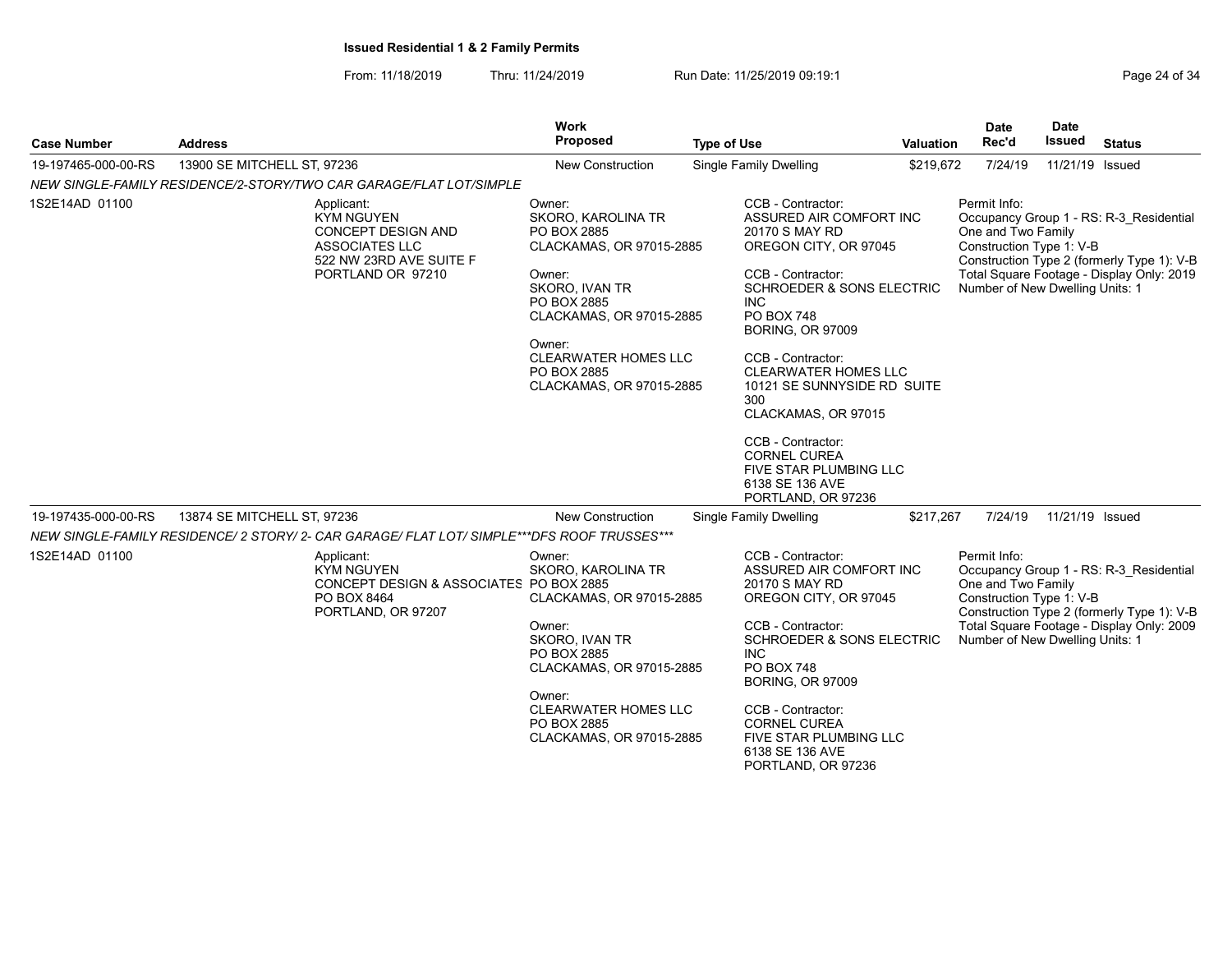From: 11/18/2019 Thru: 11/24/2019 Run Date: 11/25/2019 09:19:1

| <b>Case Number</b>  | <b>Address</b>              |                                                                                                                                       | <b>Work</b><br>Proposed                                                                                                                                                                                                            | <b>Type of Use</b> |                                                                                                                                                                                                                                                                                                                                                                                                                                             | <b>Valuation</b> | <b>Date</b><br>Rec'd                                                                              | <b>Date</b><br>Issued | <b>Status</b>                                                                                                                      |
|---------------------|-----------------------------|---------------------------------------------------------------------------------------------------------------------------------------|------------------------------------------------------------------------------------------------------------------------------------------------------------------------------------------------------------------------------------|--------------------|---------------------------------------------------------------------------------------------------------------------------------------------------------------------------------------------------------------------------------------------------------------------------------------------------------------------------------------------------------------------------------------------------------------------------------------------|------------------|---------------------------------------------------------------------------------------------------|-----------------------|------------------------------------------------------------------------------------------------------------------------------------|
| 19-197465-000-00-RS | 13900 SE MITCHELL ST, 97236 |                                                                                                                                       | New Construction                                                                                                                                                                                                                   |                    | <b>Single Family Dwelling</b>                                                                                                                                                                                                                                                                                                                                                                                                               | \$219,672        | 7/24/19                                                                                           | 11/21/19 Issued       |                                                                                                                                    |
|                     |                             | NEW SINGLE-FAMILY RESIDENCE/2-STORY/TWO CAR GARAGE/FLAT LOT/SIMPLE                                                                    |                                                                                                                                                                                                                                    |                    |                                                                                                                                                                                                                                                                                                                                                                                                                                             |                  |                                                                                                   |                       |                                                                                                                                    |
| 1S2E14AD 01100      |                             | Applicant:<br><b>KYM NGUYEN</b><br><b>CONCEPT DESIGN AND</b><br><b>ASSOCIATES LLC</b><br>522 NW 23RD AVE SUITE F<br>PORTLAND OR 97210 | Owner:<br>SKORO, KAROLINA TR<br>PO BOX 2885<br>CLACKAMAS, OR 97015-2885<br>Owner:<br>SKORO, IVAN TR<br>PO BOX 2885<br>CLACKAMAS, OR 97015-2885<br>Owner:<br><b>CLEARWATER HOMES LLC</b><br>PO BOX 2885<br>CLACKAMAS, OR 97015-2885 |                    | CCB - Contractor:<br>ASSURED AIR COMFORT INC<br>20170 S MAY RD<br>OREGON CITY, OR 97045<br>CCB - Contractor:<br><b>SCHROEDER &amp; SONS ELECTRIC</b><br><b>INC</b><br>PO BOX 748<br><b>BORING, OR 97009</b><br>CCB - Contractor:<br><b>CLEARWATER HOMES LLC</b><br>10121 SE SUNNYSIDE RD SUITE<br>300<br>CLACKAMAS, OR 97015<br>CCB - Contractor:<br><b>CORNEL CUREA</b><br>FIVE STAR PLUMBING LLC<br>6138 SE 136 AVE<br>PORTLAND, OR 97236 |                  | Permit Info:<br>One and Two Family<br>Construction Type 1: V-B<br>Number of New Dwelling Units: 1 |                       | Occupancy Group 1 - RS: R-3 Residential<br>Construction Type 2 (formerly Type 1): V-B<br>Total Square Footage - Display Only: 2019 |
| 19-197435-000-00-RS | 13874 SE MITCHELL ST, 97236 |                                                                                                                                       | <b>New Construction</b>                                                                                                                                                                                                            |                    | Single Family Dwelling                                                                                                                                                                                                                                                                                                                                                                                                                      | \$217,267        | 7/24/19                                                                                           | 11/21/19 Issued       |                                                                                                                                    |
|                     |                             | NEW SINGLE-FAMILY RESIDENCE/ 2 STORY/ 2- CAR GARAGE/ FLAT LOT/ SIMPLE***DFS ROOF TRUSSES***                                           |                                                                                                                                                                                                                                    |                    |                                                                                                                                                                                                                                                                                                                                                                                                                                             |                  |                                                                                                   |                       |                                                                                                                                    |
| 1S2E14AD 01100      |                             | Applicant:<br>KYM NGUYEN<br>CONCEPT DESIGN & ASSOCIATES PO BOX 2885<br>PO BOX 8464<br>PORTLAND, OR 97207                              | Owner:<br>SKORO, KAROLINA TR<br>CLACKAMAS, OR 97015-2885<br>Owner:<br>SKORO, IVAN TR<br>PO BOX 2885<br>CLACKAMAS, OR 97015-2885<br>Owner:<br><b>CLEARWATER HOMES LLC</b><br>PO BOX 2885<br>CLACKAMAS, OR 97015-2885                |                    | CCB - Contractor:<br>ASSURED AIR COMFORT INC<br>20170 S MAY RD<br>OREGON CITY, OR 97045<br>CCB - Contractor:<br>SCHROEDER & SONS ELECTRIC<br><b>INC</b><br>PO BOX 748<br><b>BORING, OR 97009</b><br>CCB - Contractor:<br><b>CORNEL CUREA</b><br>FIVE STAR PLUMBING LLC                                                                                                                                                                      |                  | Permit Info:<br>One and Two Family<br>Construction Type 1: V-B<br>Number of New Dwelling Units: 1 |                       | Occupancy Group 1 - RS: R-3 Residential<br>Construction Type 2 (formerly Type 1): V-B<br>Total Square Footage - Display Only: 2009 |
|                     |                             |                                                                                                                                       |                                                                                                                                                                                                                                    |                    | 6138 SE 136 AVE<br>PORTLAND, OR 97236                                                                                                                                                                                                                                                                                                                                                                                                       |                  |                                                                                                   |                       |                                                                                                                                    |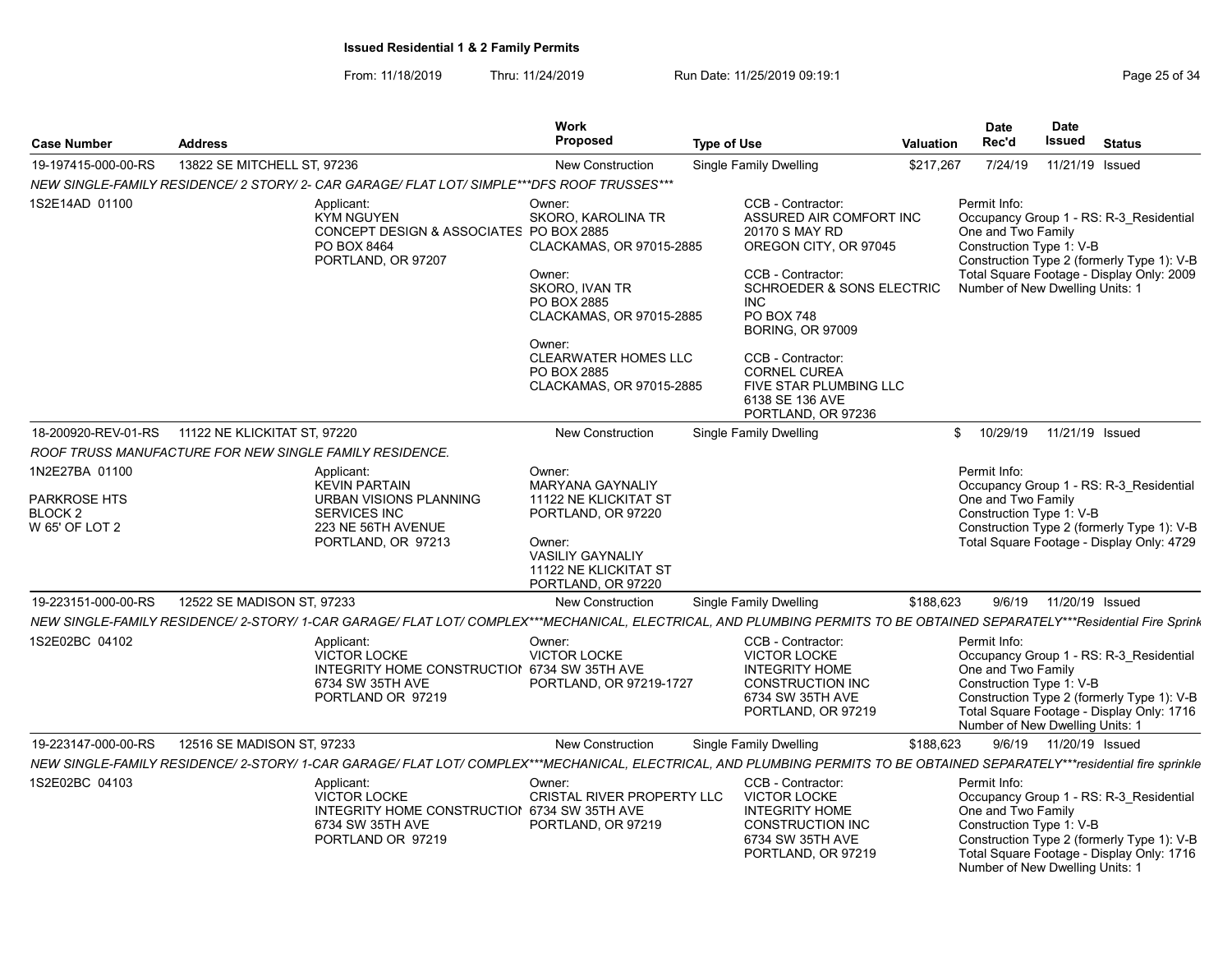From: 11/18/2019 Thru: 11/24/2019 Run Date: 11/25/2019 09:19:1 Company Page 25 of 34

| <b>Case Number</b>                                                     | <b>Address</b>                                                                                                                                                             | Work<br><b>Proposed</b>                                                                                                                                                                                                    | <b>Type of Use</b>                                                                                                                                                                                                                                                                                                   | <b>Valuation</b> | <b>Date</b><br>Rec'd               | <b>Date</b><br>Issued                                                             | <b>Status</b>                                                                                                                      |
|------------------------------------------------------------------------|----------------------------------------------------------------------------------------------------------------------------------------------------------------------------|----------------------------------------------------------------------------------------------------------------------------------------------------------------------------------------------------------------------------|----------------------------------------------------------------------------------------------------------------------------------------------------------------------------------------------------------------------------------------------------------------------------------------------------------------------|------------------|------------------------------------|-----------------------------------------------------------------------------------|------------------------------------------------------------------------------------------------------------------------------------|
| 19-197415-000-00-RS                                                    | 13822 SE MITCHELL ST, 97236                                                                                                                                                | <b>New Construction</b>                                                                                                                                                                                                    | <b>Single Family Dwelling</b>                                                                                                                                                                                                                                                                                        | \$217,267        | 7/24/19                            |                                                                                   | 11/21/19 Issued                                                                                                                    |
|                                                                        | NEW SINGLE-FAMILY RESIDENCE/ 2 STORY/ 2- CAR GARAGE/ FLAT LOT/ SIMPLE***DFS ROOF TRUSSES***                                                                                |                                                                                                                                                                                                                            |                                                                                                                                                                                                                                                                                                                      |                  |                                    |                                                                                   |                                                                                                                                    |
| 1S2E14AD 01100                                                         | Applicant:<br><b>KYM NGUYEN</b><br>CONCEPT DESIGN & ASSOCIATES PO BOX 2885<br>PO BOX 8464<br>PORTLAND, OR 97207                                                            | Owner:<br>SKORO, KAROLINA TR<br>CLACKAMAS, OR 97015-2885<br>Owner:<br>SKORO, IVAN TR<br><b>PO BOX 2885</b><br>CLACKAMAS, OR 97015-2885<br>Owner:<br><b>CLEARWATER HOMES LLC</b><br>PO BOX 2885<br>CLACKAMAS, OR 97015-2885 | CCB - Contractor:<br>ASSURED AIR COMFORT INC<br>20170 S MAY RD<br>OREGON CITY, OR 97045<br>CCB - Contractor:<br><b>SCHROEDER &amp; SONS ELECTRIC</b><br>INC.<br>PO BOX 748<br><b>BORING, OR 97009</b><br>CCB - Contractor:<br><b>CORNEL CUREA</b><br>FIVE STAR PLUMBING LLC<br>6138 SE 136 AVE<br>PORTLAND, OR 97236 |                  | Permit Info:<br>One and Two Family | Construction Type 1: V-B<br>Number of New Dwelling Units: 1                       | Occupancy Group 1 - RS: R-3 Residential<br>Construction Type 2 (formerly Type 1): V-B<br>Total Square Footage - Display Only: 2009 |
| 18-200920-REV-01-RS                                                    | 11122 NE KLICKITAT ST, 97220                                                                                                                                               | <b>New Construction</b>                                                                                                                                                                                                    | <b>Single Family Dwelling</b>                                                                                                                                                                                                                                                                                        |                  | 10/29/19<br>\$                     |                                                                                   | 11/21/19 Issued                                                                                                                    |
|                                                                        | ROOF TRUSS MANUFACTURE FOR NEW SINGLE FAMILY RESIDENCE.                                                                                                                    |                                                                                                                                                                                                                            |                                                                                                                                                                                                                                                                                                                      |                  |                                    |                                                                                   |                                                                                                                                    |
| 1N2E27BA 01100<br>PARKROSE HTS<br>BLOCK <sub>2</sub><br>W 65' OF LOT 2 | Applicant:<br><b>KEVIN PARTAIN</b><br>URBAN VISIONS PLANNING<br><b>SERVICES INC</b><br>223 NE 56TH AVENUE<br>PORTLAND, OR 97213                                            | Owner:<br>MARYANA GAYNALIY<br>11122 NE KLICKITAT ST<br>PORTLAND, OR 97220<br>Owner:<br><b>VASILIY GAYNALIY</b><br>11122 NE KLICKITAT ST<br>PORTLAND, OR 97220                                                              |                                                                                                                                                                                                                                                                                                                      |                  | Permit Info:<br>One and Two Family | Construction Type 1: V-B                                                          | Occupancy Group 1 - RS: R-3 Residential<br>Construction Type 2 (formerly Type 1): V-B<br>Total Square Footage - Display Only: 4729 |
| 19-223151-000-00-RS                                                    | 12522 SE MADISON ST, 97233                                                                                                                                                 | <b>New Construction</b>                                                                                                                                                                                                    | <b>Single Family Dwelling</b>                                                                                                                                                                                                                                                                                        | \$188,623        | 9/6/19                             | 11/20/19 Issued                                                                   |                                                                                                                                    |
|                                                                        | NEW SINGLE-FAMILY RESIDENCE/ 2-STORY/ 1-CAR GARAGE/ FLAT LOT/ COMPLEX***MECHANICAL, ELECTRICAL, AND PLUMBING PERMITS TO BE OBTAINED SEPARATELY***Residential Fire Sprink   |                                                                                                                                                                                                                            |                                                                                                                                                                                                                                                                                                                      |                  |                                    |                                                                                   |                                                                                                                                    |
| 1S2E02BC 04102                                                         | Applicant:<br><b>VICTOR LOCKE</b><br>INTEGRITY HOME CONSTRUCTION 6734 SW 35TH AVE<br>6734 SW 35TH AVE<br>PORTLAND OR 97219                                                 | Owner:<br><b>VICTOR LOCKE</b><br>PORTLAND, OR 97219-1727                                                                                                                                                                   | CCB - Contractor:<br><b>VICTOR LOCKE</b><br><b>INTEGRITY HOME</b><br><b>CONSTRUCTION INC</b><br>6734 SW 35TH AVE<br>PORTLAND, OR 97219                                                                                                                                                                               |                  | Permit Info:<br>One and Two Family | Construction Type 1: V-B<br>Number of New Dwelling Units: 1                       | Occupancy Group 1 - RS: R-3 Residential<br>Construction Type 2 (formerly Type 1): V-B<br>Total Square Footage - Display Only: 1716 |
| 19-223147-000-00-RS                                                    | 12516 SE MADISON ST, 97233                                                                                                                                                 | <b>New Construction</b>                                                                                                                                                                                                    | Single Family Dwelling                                                                                                                                                                                                                                                                                               | \$188,623        |                                    | 9/6/19  11/20/19  Issued                                                          |                                                                                                                                    |
|                                                                        | NEW SINGLE-FAMILY RESIDENCE/ 2-STORY/ 1-CAR GARAGE/ FLAT LOT/ COMPLEX***MECHANICAL, ELECTRICAL, AND PLUMBING PERMITS TO BE OBTAINED SEPARATELY***residential fire sprinkle |                                                                                                                                                                                                                            |                                                                                                                                                                                                                                                                                                                      |                  |                                    |                                                                                   |                                                                                                                                    |
| 1S2E02BC 04103                                                         | Applicant:<br><b>VICTOR LOCKE</b><br>INTEGRITY HOME CONSTRUCTION 6734 SW 35TH AVE<br>6734 SW 35TH AVE<br>PORTLAND OR 97219                                                 | Owner:<br>CRISTAL RIVER PROPERTY LLC<br>PORTLAND, OR 97219                                                                                                                                                                 | CCB - Contractor:<br><b>VICTOR LOCKE</b><br><b>INTEGRITY HOME</b><br><b>CONSTRUCTION INC</b><br>6734 SW 35TH AVE<br>PORTLAND, OR 97219                                                                                                                                                                               |                  | Permit Info:                       | One and Two Family<br>Construction Type 1: V-B<br>Number of New Dwelling Units: 1 | Occupancy Group 1 - RS: R-3 Residential<br>Construction Type 2 (formerly Type 1): V-B<br>Total Square Footage - Display Only: 1716 |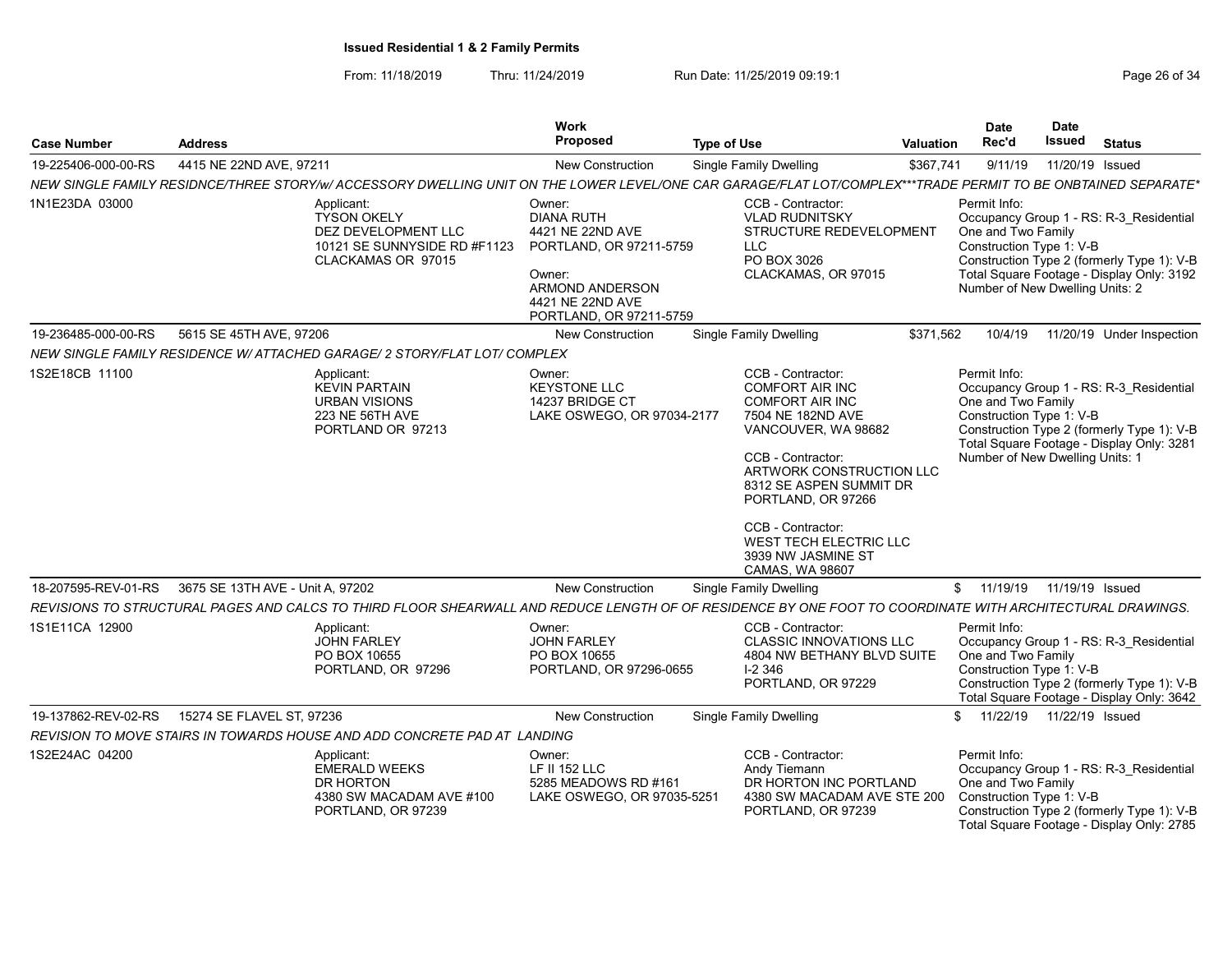From: 11/18/2019 Thru: 11/24/2019 Run Date: 11/25/2019 09:19:1 Company Page 26 of 34

| <b>Case Number</b>  | <b>Address</b>                                                                                                                                                | Work<br><b>Proposed</b>                                                                                                                                | <b>Type of Use</b>                                                                                                                                                                                                                                                                                                 | Valuation | <b>Date</b><br>Rec'd                                                                              | <b>Date</b><br><b>Issued</b> | <b>Status</b>                                                                                                                      |
|---------------------|---------------------------------------------------------------------------------------------------------------------------------------------------------------|--------------------------------------------------------------------------------------------------------------------------------------------------------|--------------------------------------------------------------------------------------------------------------------------------------------------------------------------------------------------------------------------------------------------------------------------------------------------------------------|-----------|---------------------------------------------------------------------------------------------------|------------------------------|------------------------------------------------------------------------------------------------------------------------------------|
| 19-225406-000-00-RS | 4415 NE 22ND AVE, 97211                                                                                                                                       | New Construction                                                                                                                                       | <b>Single Family Dwelling</b>                                                                                                                                                                                                                                                                                      | \$367,741 | 9/11/19                                                                                           | 11/20/19 Issued              |                                                                                                                                    |
|                     | NEW SINGLE FAMILY RESIDNCE/THREE STORY/w/ ACCESSORY DWELLING UNIT ON THE LOWER LEVEL/ONE CAR GARAGE/FLAT LOT/COMPLEX***TRADE PERMIT TO BE ONBTAINED SEPARATE* |                                                                                                                                                        |                                                                                                                                                                                                                                                                                                                    |           |                                                                                                   |                              |                                                                                                                                    |
| 1N1E23DA 03000      | Applicant:<br><b>TYSON OKELY</b><br>DEZ DEVELOPMENT LLC<br>10121 SE SUNNYSIDE RD #F1123<br>CLACKAMAS OR 97015                                                 | Owner:<br><b>DIANA RUTH</b><br>4421 NE 22ND AVE<br>PORTLAND, OR 97211-5759<br>Owner:<br>ARMOND ANDERSON<br>4421 NE 22ND AVE<br>PORTLAND, OR 97211-5759 | CCB - Contractor:<br><b>VLAD RUDNITSKY</b><br>STRUCTURE REDEVELOPMENT<br><b>LLC</b><br>PO BOX 3026<br>CLACKAMAS, OR 97015                                                                                                                                                                                          |           | Permit Info:<br>One and Two Family<br>Construction Type 1: V-B<br>Number of New Dwelling Units: 2 |                              | Occupancy Group 1 - RS: R-3 Residential<br>Construction Type 2 (formerly Type 1): V-B<br>Total Square Footage - Display Only: 3192 |
| 19-236485-000-00-RS | 5615 SE 45TH AVE, 97206                                                                                                                                       | New Construction                                                                                                                                       | Single Family Dwelling                                                                                                                                                                                                                                                                                             | \$371,562 | 10/4/19                                                                                           |                              | 11/20/19 Under Inspection                                                                                                          |
|                     | NEW SINGLE FAMILY RESIDENCE W/ ATTACHED GARAGE/ 2 STORY/FLAT LOT/ COMPLEX                                                                                     |                                                                                                                                                        |                                                                                                                                                                                                                                                                                                                    |           |                                                                                                   |                              |                                                                                                                                    |
| 1S2E18CB 11100      | Applicant:<br><b>KEVIN PARTAIN</b><br><b>URBAN VISIONS</b><br>223 NE 56TH AVE<br>PORTLAND OR 97213                                                            | Owner:<br><b>KEYSTONE LLC</b><br>14237 BRIDGE CT<br>LAKE OSWEGO, OR 97034-2177                                                                         | CCB - Contractor:<br><b>COMFORT AIR INC</b><br><b>COMFORT AIR INC</b><br>7504 NE 182ND AVE<br>VANCOUVER, WA 98682<br>CCB - Contractor:<br>ARTWORK CONSTRUCTION LLC<br>8312 SE ASPEN SUMMIT DR<br>PORTLAND, OR 97266<br>CCB - Contractor:<br>WEST TECH ELECTRIC LLC<br>3939 NW JASMINE ST<br><b>CAMAS, WA 98607</b> |           | Permit Info:<br>One and Two Family<br>Construction Type 1: V-B<br>Number of New Dwelling Units: 1 |                              | Occupancy Group 1 - RS: R-3 Residential<br>Construction Type 2 (formerly Type 1): V-B<br>Total Square Footage - Display Only: 3281 |
| 18-207595-REV-01-RS | 3675 SE 13TH AVE - Unit A, 97202                                                                                                                              | <b>New Construction</b>                                                                                                                                | Single Family Dwelling                                                                                                                                                                                                                                                                                             |           | \$11/19/19                                                                                        | 11/19/19 Issued              |                                                                                                                                    |
|                     | REVISIONS TO STRUCTURAL PAGES AND CALCS TO THIRD FLOOR SHEARWALL AND REDUCE LENGTH OF OF RESIDENCE BY ONE FOOT TO COORDINATE WITH ARCHITECTURAL DRAWINGS.     |                                                                                                                                                        |                                                                                                                                                                                                                                                                                                                    |           |                                                                                                   |                              |                                                                                                                                    |
| 1S1E11CA 12900      | Applicant:<br><b>JOHN FARLEY</b><br>PO BOX 10655<br>PORTLAND, OR 97296                                                                                        | Owner:<br><b>JOHN FARLEY</b><br>PO BOX 10655<br>PORTLAND, OR 97296-0655                                                                                | CCB - Contractor:<br><b>CLASSIC INNOVATIONS LLC</b><br>4804 NW BETHANY BLVD SUITE<br>$I - 2$ 346<br>PORTLAND, OR 97229                                                                                                                                                                                             |           | Permit Info:<br>One and Two Family<br>Construction Type 1: V-B                                    |                              | Occupancy Group 1 - RS: R-3 Residential<br>Construction Type 2 (formerly Type 1): V-B<br>Total Square Footage - Display Only: 3642 |
| 19-137862-REV-02-RS | 15274 SE FLAVEL ST, 97236                                                                                                                                     | <b>New Construction</b>                                                                                                                                | <b>Single Family Dwelling</b>                                                                                                                                                                                                                                                                                      |           | \$<br>11/22/19                                                                                    | 11/22/19 Issued              |                                                                                                                                    |
|                     | REVISION TO MOVE STAIRS IN TOWARDS HOUSE AND ADD CONCRETE PAD AT LANDING                                                                                      |                                                                                                                                                        |                                                                                                                                                                                                                                                                                                                    |           |                                                                                                   |                              |                                                                                                                                    |
| 1S2E24AC 04200      | Applicant:<br><b>EMERALD WEEKS</b><br>DR HORTON<br>4380 SW MACADAM AVE #100<br>PORTLAND, OR 97239                                                             | Owner:<br>LF II 152 LLC<br>5285 MEADOWS RD #161<br>LAKE OSWEGO, OR 97035-5251                                                                          | CCB - Contractor:<br>Andy Tiemann<br>DR HORTON INC PORTLAND<br>4380 SW MACADAM AVE STE 200<br>PORTLAND, OR 97239                                                                                                                                                                                                   |           | Permit Info:<br>One and Two Family<br>Construction Type 1: V-B                                    |                              | Occupancy Group 1 - RS: R-3 Residential<br>Construction Type 2 (formerly Type 1): V-B<br>Total Square Footage - Display Only: 2785 |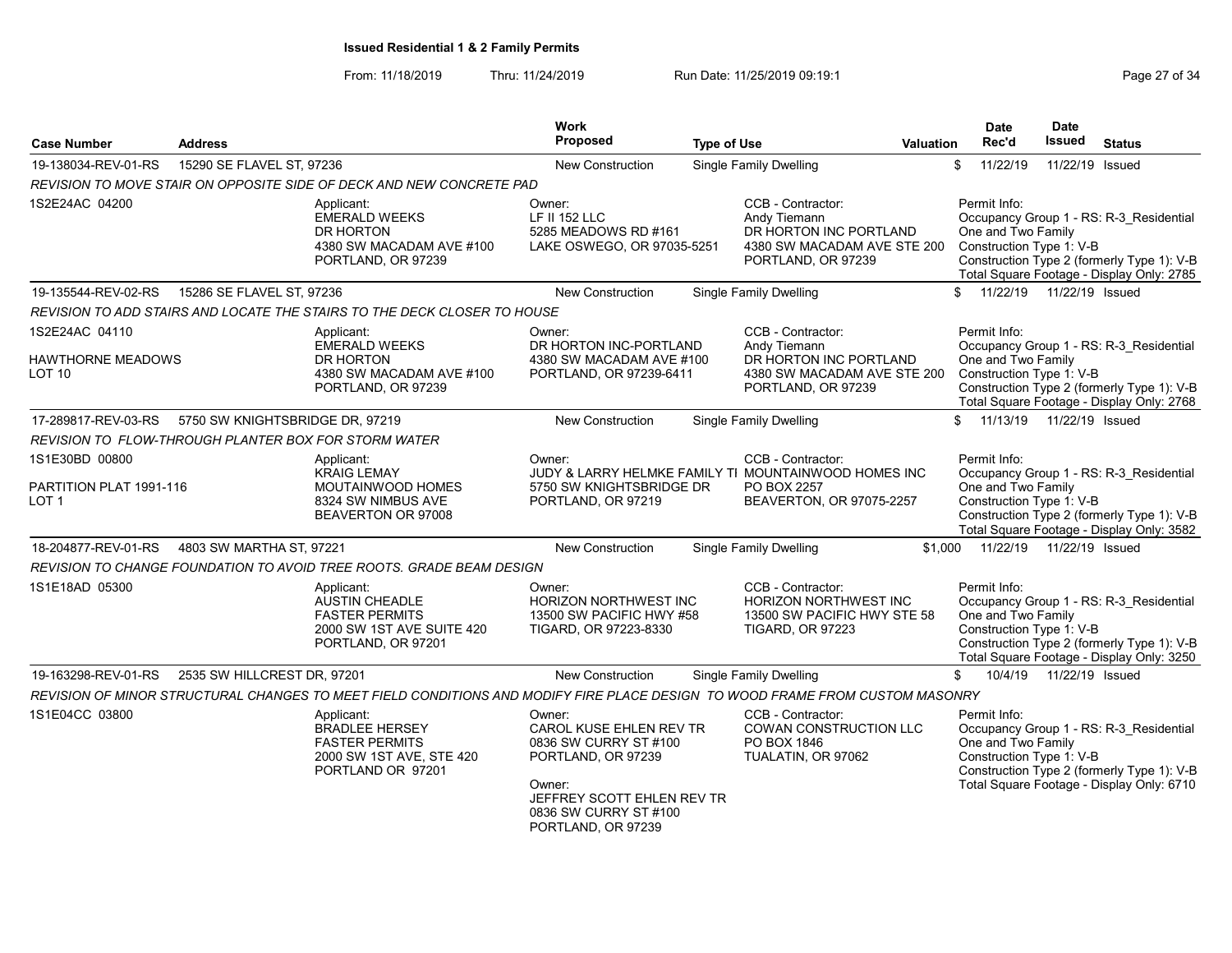From: 11/18/2019 Thru: 11/24/2019 Run Date: 11/25/2019 09:19:1 Company Page 27 of 34

| <b>Case Number</b>                                   | <b>Address</b>                  |                                                                                                                              | <b>Work</b><br><b>Proposed</b>                                                                                                                                          | <b>Type of Use</b> |                                                                                                                  | Valuation | <b>Date</b><br>Rec'd                                           | <b>Date</b><br><b>Issued</b> | <b>Status</b>                                                                                                                      |
|------------------------------------------------------|---------------------------------|------------------------------------------------------------------------------------------------------------------------------|-------------------------------------------------------------------------------------------------------------------------------------------------------------------------|--------------------|------------------------------------------------------------------------------------------------------------------|-----------|----------------------------------------------------------------|------------------------------|------------------------------------------------------------------------------------------------------------------------------------|
| 19-138034-REV-01-RS                                  | 15290 SE FLAVEL ST, 97236       |                                                                                                                              | <b>New Construction</b>                                                                                                                                                 |                    | <b>Single Family Dwelling</b>                                                                                    |           | 11/22/19<br>\$                                                 | 11/22/19 Issued              |                                                                                                                                    |
|                                                      |                                 | REVISION TO MOVE STAIR ON OPPOSITE SIDE OF DECK AND NEW CONCRETE PAD                                                         |                                                                                                                                                                         |                    |                                                                                                                  |           |                                                                |                              |                                                                                                                                    |
| 1S2E24AC 04200                                       |                                 | Applicant:<br><b>EMERALD WEEKS</b><br>DR HORTON<br>4380 SW MACADAM AVE #100<br>PORTLAND, OR 97239                            | Owner:<br>LF II 152 LLC<br>5285 MEADOWS RD #161<br>LAKE OSWEGO, OR 97035-5251                                                                                           |                    | CCB - Contractor:<br>Andy Tiemann<br>DR HORTON INC PORTLAND<br>4380 SW MACADAM AVE STE 200<br>PORTLAND, OR 97239 |           | Permit Info:<br>One and Two Family<br>Construction Type 1: V-B |                              | Occupancy Group 1 - RS: R-3 Residential<br>Construction Type 2 (formerly Type 1): V-B<br>Total Square Footage - Display Only: 2785 |
| 19-135544-REV-02-RS                                  | 15286 SE FLAVEL ST, 97236       |                                                                                                                              | <b>New Construction</b>                                                                                                                                                 |                    | <b>Single Family Dwelling</b>                                                                                    |           | \$11/22/19                                                     | 11/22/19 Issued              |                                                                                                                                    |
|                                                      |                                 | REVISION TO ADD STAIRS AND LOCATE THE STAIRS TO THE DECK CLOSER TO HOUSE                                                     |                                                                                                                                                                         |                    |                                                                                                                  |           |                                                                |                              |                                                                                                                                    |
| 1S2E24AC 04110                                       |                                 | Applicant:                                                                                                                   | Owner:                                                                                                                                                                  |                    | CCB - Contractor:                                                                                                |           | Permit Info:                                                   |                              |                                                                                                                                    |
| <b>HAWTHORNE MEADOWS</b><br>LOT 10                   |                                 | <b>EMERALD WEEKS</b><br>DR HORTON<br>4380 SW MACADAM AVE #100<br>PORTLAND, OR 97239                                          | DR HORTON INC-PORTLAND<br>4380 SW MACADAM AVE #100<br>PORTLAND, OR 97239-6411                                                                                           |                    | Andy Tiemann<br>DR HORTON INC PORTLAND<br>4380 SW MACADAM AVE STE 200<br>PORTLAND, OR 97239                      |           | One and Two Family<br>Construction Type 1: V-B                 |                              | Occupancy Group 1 - RS: R-3_Residential<br>Construction Type 2 (formerly Type 1): V-B<br>Total Square Footage - Display Only: 2768 |
| 17-289817-REV-03-RS                                  | 5750 SW KNIGHTSBRIDGE DR, 97219 |                                                                                                                              | New Construction                                                                                                                                                        |                    | <b>Single Family Dwelling</b>                                                                                    |           | 11/13/19<br>\$                                                 | 11/22/19 Issued              |                                                                                                                                    |
| REVISION TO FLOW-THROUGH PLANTER BOX FOR STORM WATER |                                 |                                                                                                                              |                                                                                                                                                                         |                    |                                                                                                                  |           |                                                                |                              |                                                                                                                                    |
| 1S1E30BD 00800                                       |                                 | Applicant:                                                                                                                   | Owner:                                                                                                                                                                  |                    | CCB - Contractor:                                                                                                |           | Permit Info:                                                   |                              |                                                                                                                                    |
| PARTITION PLAT 1991-116<br>LOT 1                     |                                 | <b>KRAIG LEMAY</b><br>MOUTAINWOOD HOMES<br>8324 SW NIMBUS AVE<br>BEAVERTON OR 97008                                          | 5750 SW KNIGHTSBRIDGE DR<br>PORTLAND, OR 97219                                                                                                                          |                    | JUDY & LARRY HELMKE FAMILY TI MOUNTAINWOOD HOMES INC<br>PO BOX 2257<br>BEAVERTON, OR 97075-2257                  |           | One and Two Family<br>Construction Type 1: V-B                 |                              | Occupancy Group 1 - RS: R-3 Residential<br>Construction Type 2 (formerly Type 1): V-B<br>Total Square Footage - Display Only: 3582 |
| 18-204877-REV-01-RS                                  | 4803 SW MARTHA ST, 97221        |                                                                                                                              | <b>New Construction</b>                                                                                                                                                 |                    | Single Family Dwelling                                                                                           | \$1.000   | 11/22/19                                                       | 11/22/19 Issued              |                                                                                                                                    |
|                                                      |                                 | REVISION TO CHANGE FOUNDATION TO AVOID TREE ROOTS. GRADE BEAM DESIGN                                                         |                                                                                                                                                                         |                    |                                                                                                                  |           |                                                                |                              |                                                                                                                                    |
| 1S1E18AD 05300                                       |                                 | Applicant:<br><b>AUSTIN CHEADLE</b><br><b>FASTER PERMITS</b><br>2000 SW 1ST AVE SUITE 420<br>PORTLAND, OR 97201              | Owner:<br>HORIZON NORTHWEST INC<br>13500 SW PACIFIC HWY #58<br>TIGARD, OR 97223-8330                                                                                    |                    | CCB - Contractor:<br>HORIZON NORTHWEST INC<br>13500 SW PACIFIC HWY STE 58<br><b>TIGARD, OR 97223</b>             |           | Permit Info:<br>One and Two Family<br>Construction Type 1: V-B |                              | Occupancy Group 1 - RS: R-3 Residential<br>Construction Type 2 (formerly Type 1): V-B<br>Total Square Footage - Display Only: 3250 |
| 19-163298-REV-01-RS                                  | 2535 SW HILLCREST DR, 97201     |                                                                                                                              | New Construction                                                                                                                                                        |                    | <b>Single Family Dwelling</b>                                                                                    |           | 10/4/19<br>\$                                                  | 11/22/19 Issued              |                                                                                                                                    |
|                                                      |                                 | REVISION OF MINOR STRUCTURAL CHANGES TO MEET FIELD CONDITIONS AND MODIFY FIRE PLACE DESIGN TO WOOD FRAME FROM CUSTOM MASONRY |                                                                                                                                                                         |                    |                                                                                                                  |           |                                                                |                              |                                                                                                                                    |
| 1S1E04CC 03800                                       |                                 | Applicant:<br><b>BRADLEE HERSEY</b><br><b>FASTER PERMITS</b><br>2000 SW 1ST AVE, STE 420<br>PORTLAND OR 97201                | Owner:<br>CAROL KUSE EHLEN REV TR<br>0836 SW CURRY ST #100<br>PORTLAND, OR 97239<br>Owner:<br>JEFFREY SCOTT EHLEN REV TR<br>0836 SW CURRY ST #100<br>PORTLAND, OR 97239 |                    | CCB - Contractor:<br>COWAN CONSTRUCTION LLC<br>PO BOX 1846<br>TUALATIN, OR 97062                                 |           | Permit Info:<br>One and Two Family<br>Construction Type 1: V-B |                              | Occupancy Group 1 - RS: R-3 Residential<br>Construction Type 2 (formerly Type 1): V-B<br>Total Square Footage - Display Only: 6710 |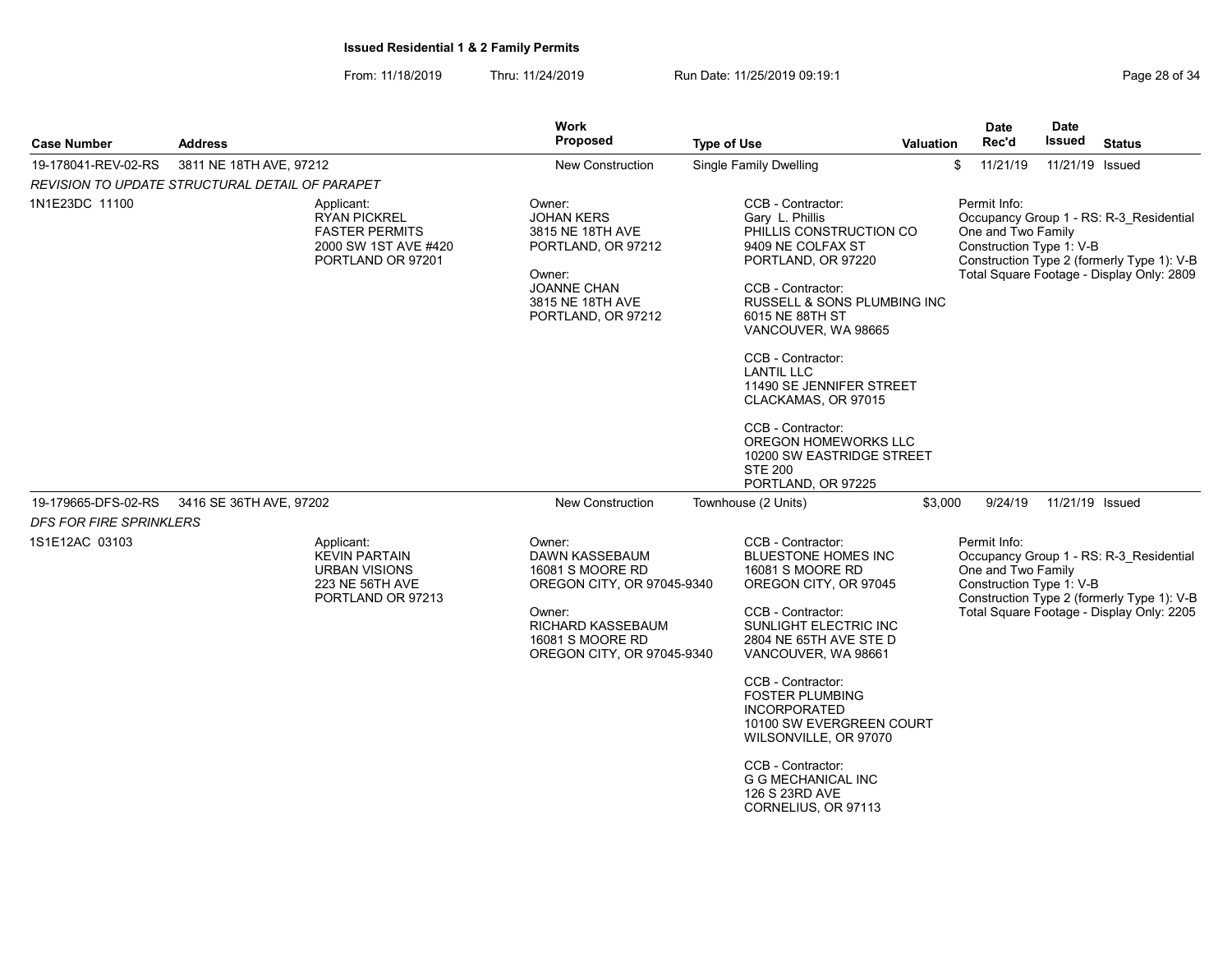From: 11/18/2019 Thru: 11/24/2019 Run Date: 11/25/2019 09:19:1

| <b>Case Number</b>                              | <b>Address</b>          |                                                                                                         | <b>Work</b><br>Proposed                                                                                                                                     | <b>Type of Use</b>                                                                                                                                                                                                                                                                                                                                                                                                      | <b>Valuation</b> | Date<br>Rec'd  | <b>Date</b><br><b>Issued</b>                   | <b>Status</b>                                                                                                                      |
|-------------------------------------------------|-------------------------|---------------------------------------------------------------------------------------------------------|-------------------------------------------------------------------------------------------------------------------------------------------------------------|-------------------------------------------------------------------------------------------------------------------------------------------------------------------------------------------------------------------------------------------------------------------------------------------------------------------------------------------------------------------------------------------------------------------------|------------------|----------------|------------------------------------------------|------------------------------------------------------------------------------------------------------------------------------------|
| 19-178041-REV-02-RS                             | 3811 NE 18TH AVE, 97212 |                                                                                                         | <b>New Construction</b>                                                                                                                                     | <b>Single Family Dwelling</b>                                                                                                                                                                                                                                                                                                                                                                                           |                  | \$<br>11/21/19 |                                                | 11/21/19 Issued                                                                                                                    |
| REVISION TO UPDATE STRUCTURAL DETAIL OF PARAPET |                         |                                                                                                         |                                                                                                                                                             |                                                                                                                                                                                                                                                                                                                                                                                                                         |                  |                |                                                |                                                                                                                                    |
| 1N1E23DC 11100                                  |                         | Applicant:<br><b>RYAN PICKREL</b><br><b>FASTER PERMITS</b><br>2000 SW 1ST AVE #420<br>PORTLAND OR 97201 | Owner:<br><b>JOHAN KERS</b><br>3815 NE 18TH AVE<br>PORTLAND, OR 97212<br>Owner:<br><b>JOANNE CHAN</b><br>3815 NE 18TH AVE<br>PORTLAND, OR 97212             | CCB - Contractor:<br>Gary L. Phillis<br>PHILLIS CONSTRUCTION CO<br>9409 NE COLFAX ST<br>PORTLAND, OR 97220<br>CCB - Contractor:<br>RUSSELL & SONS PLUMBING INC<br>6015 NE 88TH ST<br>VANCOUVER, WA 98665<br>CCB - Contractor:<br><b>LANTIL LLC</b><br>11490 SE JENNIFER STREET<br>CLACKAMAS, OR 97015<br>CCB - Contractor:<br>OREGON HOMEWORKS LLC<br>10200 SW EASTRIDGE STREET<br><b>STE 200</b><br>PORTLAND, OR 97225 |                  | Permit Info:   | One and Two Family<br>Construction Type 1: V-B | Occupancy Group 1 - RS: R-3 Residential<br>Construction Type 2 (formerly Type 1): V-B<br>Total Square Footage - Display Only: 2809 |
| 19-179665-DFS-02-RS                             | 3416 SE 36TH AVE, 97202 |                                                                                                         | <b>New Construction</b>                                                                                                                                     | Townhouse (2 Units)                                                                                                                                                                                                                                                                                                                                                                                                     | \$3,000          | 9/24/19        |                                                | 11/21/19 Issued                                                                                                                    |
| <b>DFS FOR FIRE SPRINKLERS</b>                  |                         |                                                                                                         |                                                                                                                                                             |                                                                                                                                                                                                                                                                                                                                                                                                                         |                  |                |                                                |                                                                                                                                    |
| 1S1E12AC 03103                                  |                         | Applicant:<br><b>KEVIN PARTAIN</b><br><b>URBAN VISIONS</b><br>223 NE 56TH AVE<br>PORTLAND OR 97213      | Owner:<br>DAWN KASSEBAUM<br>16081 S MOORE RD<br>OREGON CITY, OR 97045-9340<br>Owner:<br>RICHARD KASSEBAUM<br>16081 S MOORE RD<br>OREGON CITY, OR 97045-9340 | CCB - Contractor:<br>BLUESTONE HOMES INC<br>16081 S MOORE RD<br>OREGON CITY, OR 97045<br>CCB - Contractor:<br>SUNLIGHT ELECTRIC INC<br>2804 NE 65TH AVE STE D<br>VANCOUVER, WA 98661<br>CCB - Contractor:<br><b>FOSTER PLUMBING</b><br><b>INCORPORATED</b><br>10100 SW EVERGREEN COURT<br>WILSONVILLE, OR 97070<br>CCB - Contractor:<br><b>G G MECHANICAL INC</b><br>126 S 23RD AVE<br>CORNELIUS, OR 97113              |                  | Permit Info:   | One and Two Family<br>Construction Type 1: V-B | Occupancy Group 1 - RS: R-3 Residential<br>Construction Type 2 (formerly Type 1): V-B<br>Total Square Footage - Display Only: 2205 |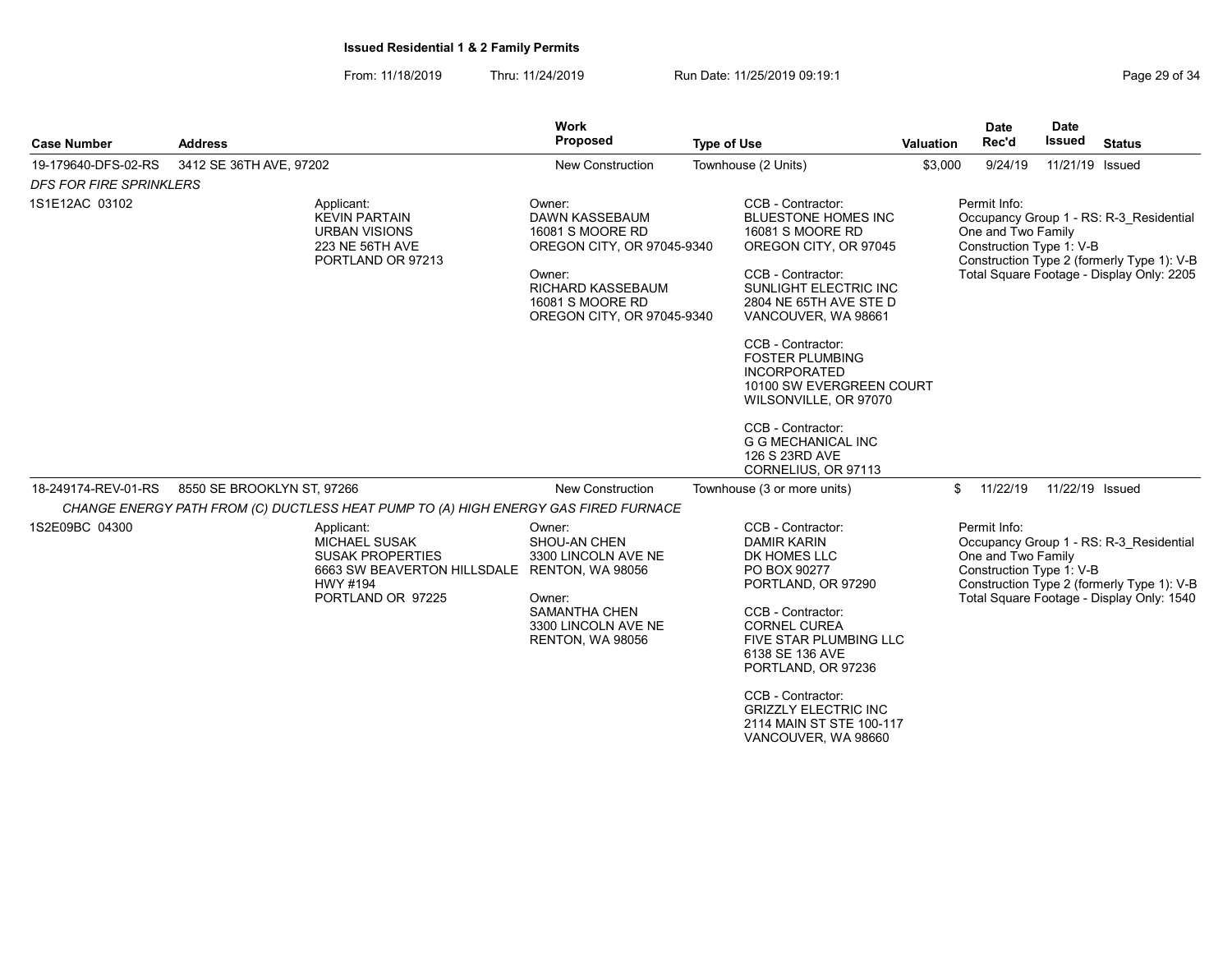From: 11/18/2019 Thru: 11/24/2019 Run Date: 11/25/2019 09:19:1

| <b>Case Number</b>             | <b>Address</b>                                                                                                                       | <b>Work</b><br>Proposed                                                                                                                                            | <b>Type of Use</b> |                                                                                                                                                                                                                                                                                                                                                                                                                   | Valuation | <b>Date</b><br>Rec'd                                           | <b>Date</b><br><b>Issued</b> | <b>Status</b>                                                                                                                      |
|--------------------------------|--------------------------------------------------------------------------------------------------------------------------------------|--------------------------------------------------------------------------------------------------------------------------------------------------------------------|--------------------|-------------------------------------------------------------------------------------------------------------------------------------------------------------------------------------------------------------------------------------------------------------------------------------------------------------------------------------------------------------------------------------------------------------------|-----------|----------------------------------------------------------------|------------------------------|------------------------------------------------------------------------------------------------------------------------------------|
| 19-179640-DFS-02-RS            | 3412 SE 36TH AVE, 97202                                                                                                              | <b>New Construction</b>                                                                                                                                            |                    | Townhouse (2 Units)                                                                                                                                                                                                                                                                                                                                                                                               | \$3,000   | 9/24/19                                                        | 11/21/19 Issued              |                                                                                                                                    |
| <b>DFS FOR FIRE SPRINKLERS</b> |                                                                                                                                      |                                                                                                                                                                    |                    |                                                                                                                                                                                                                                                                                                                                                                                                                   |           |                                                                |                              |                                                                                                                                    |
| 1S1E12AC 03102                 | Applicant:<br><b>KEVIN PARTAIN</b><br><b>URBAN VISIONS</b><br>223 NE 56TH AVE<br>PORTLAND OR 97213                                   | Owner:<br>DAWN KASSEBAUM<br>16081 S MOORE RD<br>OREGON CITY, OR 97045-9340<br>Owner:<br><b>RICHARD KASSEBAUM</b><br>16081 S MOORE RD<br>OREGON CITY, OR 97045-9340 |                    | CCB - Contractor:<br><b>BLUESTONE HOMES INC</b><br>16081 S MOORE RD<br>OREGON CITY, OR 97045<br>CCB - Contractor:<br>SUNLIGHT ELECTRIC INC<br>2804 NE 65TH AVE STE D<br>VANCOUVER, WA 98661<br>CCB - Contractor:<br><b>FOSTER PLUMBING</b><br><b>INCORPORATED</b><br>10100 SW EVERGREEN COURT<br>WILSONVILLE, OR 97070<br>CCB - Contractor:<br><b>G G MECHANICAL INC</b><br>126 S 23RD AVE<br>CORNELIUS, OR 97113 |           | Permit Info:<br>One and Two Family<br>Construction Type 1: V-B |                              | Occupancy Group 1 - RS: R-3_Residential<br>Construction Type 2 (formerly Type 1): V-B<br>Total Square Footage - Display Only: 2205 |
| 18-249174-REV-01-RS            | 8550 SE BROOKLYN ST, 97266<br>CHANGE ENERGY PATH FROM (C) DUCTLESS HEAT PUMP TO (A) HIGH ENERGY GAS FIRED FURNACE                    | <b>New Construction</b>                                                                                                                                            |                    | Townhouse (3 or more units)                                                                                                                                                                                                                                                                                                                                                                                       | \$        | 11/22/19                                                       | 11/22/19 Issued              |                                                                                                                                    |
| 1S2E09BC 04300                 | Applicant:<br><b>MICHAEL SUSAK</b><br><b>SUSAK PROPERTIES</b><br>6663 SW BEAVERTON HILLSDALE<br><b>HWY #194</b><br>PORTLAND OR 97225 | Owner:<br>SHOU-AN CHEN<br>3300 LINCOLN AVE NE<br>RENTON, WA 98056<br>Owner:<br>SAMANTHA CHEN<br>3300 LINCOLN AVE NE<br><b>RENTON, WA 98056</b>                     |                    | CCB - Contractor:<br><b>DAMIR KARIN</b><br>DK HOMES LLC<br>PO BOX 90277<br>PORTLAND, OR 97290<br>CCB - Contractor:<br><b>CORNEL CUREA</b><br>FIVE STAR PLUMBING LLC<br>6138 SE 136 AVE<br>PORTLAND, OR 97236<br>CCB - Contractor:<br><b>GRIZZLY ELECTRIC INC</b><br>2114 MAIN ST STE 100-117                                                                                                                      |           | Permit Info:<br>One and Two Family<br>Construction Type 1: V-B |                              | Occupancy Group 1 - RS: R-3_Residential<br>Construction Type 2 (formerly Type 1): V-B<br>Total Square Footage - Display Only: 1540 |

VANCOUVER, WA 98660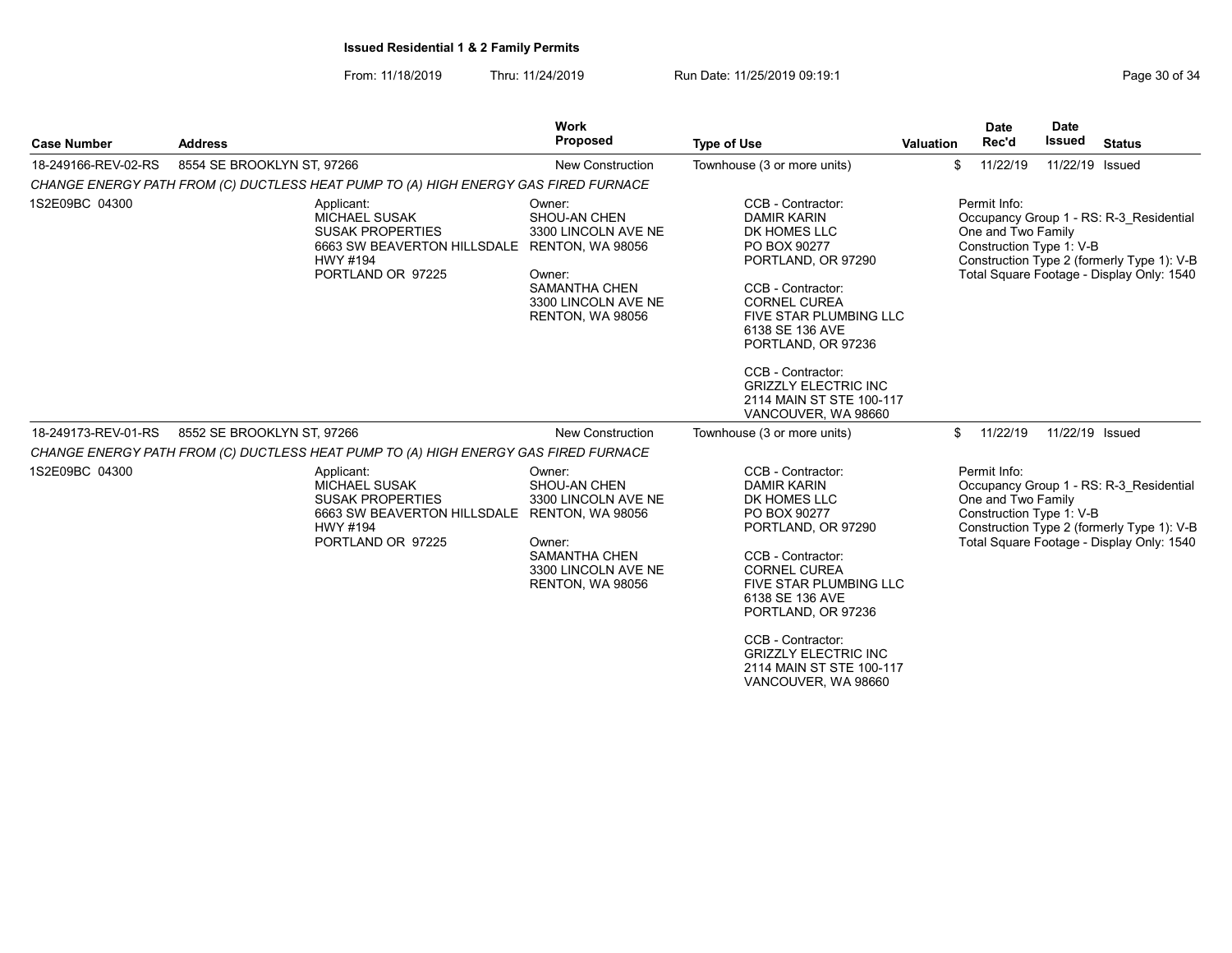From: 11/18/2019 Thru: 11/24/2019 Run Date: 11/25/2019 09:19:1 Company Page 30 of 34

| <b>Address</b> |                                                                                                                                      | Proposed                                                                                                                                              | <b>Type of Use</b>                                                                                                                                                                                                                                            | <b>Date</b><br>Rec'd                                                                | <b>Date</b><br><b>Issued</b> | <b>Status</b>                                                                                                                                                                                                                                                                                                                                                                                                                       |
|----------------|--------------------------------------------------------------------------------------------------------------------------------------|-------------------------------------------------------------------------------------------------------------------------------------------------------|---------------------------------------------------------------------------------------------------------------------------------------------------------------------------------------------------------------------------------------------------------------|-------------------------------------------------------------------------------------|------------------------------|-------------------------------------------------------------------------------------------------------------------------------------------------------------------------------------------------------------------------------------------------------------------------------------------------------------------------------------------------------------------------------------------------------------------------------------|
|                |                                                                                                                                      | <b>New Construction</b>                                                                                                                               | Townhouse (3 or more units)                                                                                                                                                                                                                                   |                                                                                     |                              | 11/22/19 Issued                                                                                                                                                                                                                                                                                                                                                                                                                     |
|                |                                                                                                                                      |                                                                                                                                                       |                                                                                                                                                                                                                                                               |                                                                                     |                              |                                                                                                                                                                                                                                                                                                                                                                                                                                     |
|                | Applicant:<br><b>MICHAEL SUSAK</b><br><b>SUSAK PROPERTIES</b><br>6663 SW BEAVERTON HILLSDALE<br>HWY #194<br>PORTLAND OR 97225        | Owner:<br>SHOU-AN CHEN<br>3300 LINCOLN AVE NE<br>RENTON, WA 98056<br>Owner:<br><b>SAMANTHA CHEN</b><br>3300 LINCOLN AVE NE<br>RENTON, WA 98056        | CCB - Contractor:<br><b>DAMIR KARIN</b><br>DK HOMES LLC<br>PO BOX 90277<br>PORTLAND, OR 97290<br>CCB - Contractor:<br><b>CORNEL CUREA</b><br>6138 SE 136 AVE<br>PORTLAND, OR 97236<br>CCB - Contractor:<br><b>GRIZZLY ELECTRIC INC</b><br>VANCOUVER, WA 98660 | Permit Info:                                                                        |                              |                                                                                                                                                                                                                                                                                                                                                                                                                                     |
|                |                                                                                                                                      | <b>New Construction</b>                                                                                                                               | Townhouse (3 or more units)                                                                                                                                                                                                                                   |                                                                                     |                              | 11/22/19 Issued                                                                                                                                                                                                                                                                                                                                                                                                                     |
|                |                                                                                                                                      |                                                                                                                                                       |                                                                                                                                                                                                                                                               |                                                                                     |                              |                                                                                                                                                                                                                                                                                                                                                                                                                                     |
|                | Applicant:<br><b>MICHAEL SUSAK</b><br><b>SUSAK PROPERTIES</b><br>6663 SW BEAVERTON HILLSDALE<br><b>HWY #194</b><br>PORTLAND OR 97225 | Owner:<br>SHOU-AN CHEN<br>3300 LINCOLN AVE NE<br>RENTON, WA 98056<br>Owner:<br><b>SAMANTHA CHEN</b><br>3300 LINCOLN AVE NE<br><b>RENTON, WA 98056</b> | CCB - Contractor:<br><b>DAMIR KARIN</b><br>DK HOMES LLC<br>PO BOX 90277<br>PORTLAND, OR 97290<br>CCB - Contractor:<br><b>CORNEL CUREA</b><br>6138 SE 136 AVE<br>PORTLAND, OR 97236<br>CCB - Contractor:                                                       | Permit Info:                                                                        |                              |                                                                                                                                                                                                                                                                                                                                                                                                                                     |
|                |                                                                                                                                      | 8554 SE BROOKLYN ST, 97266<br>8552 SE BROOKLYN ST, 97266                                                                                              | Work<br>CHANGE ENERGY PATH FROM (C) DUCTLESS HEAT PUMP TO (A) HIGH ENERGY GAS FIRED FURNACE<br>CHANGE ENERGY PATH FROM (C) DUCTLESS HEAT PUMP TO (A) HIGH ENERGY GAS FIRED FURNACE                                                                            | <b>FIVE STAR PLUMBING LLC</b><br>2114 MAIN ST STE 100-117<br>FIVE STAR PLUMBING LLC | Valuation<br>\$<br>\$        | 11/22/19<br>Occupancy Group 1 - RS: R-3_Residential<br>One and Two Family<br>Construction Type 1: V-B<br>Construction Type 2 (formerly Type 1): V-B<br>Total Square Footage - Display Only: 1540<br>11/22/19<br>Occupancy Group 1 - RS: R-3 Residential<br>One and Two Family<br>Construction Type 1: V-B<br>Construction Type 2 (formerly Type 1): V-B<br>Total Square Footage - Display Only: 1540<br><b>GRIZZLY ELECTRIC INC</b> |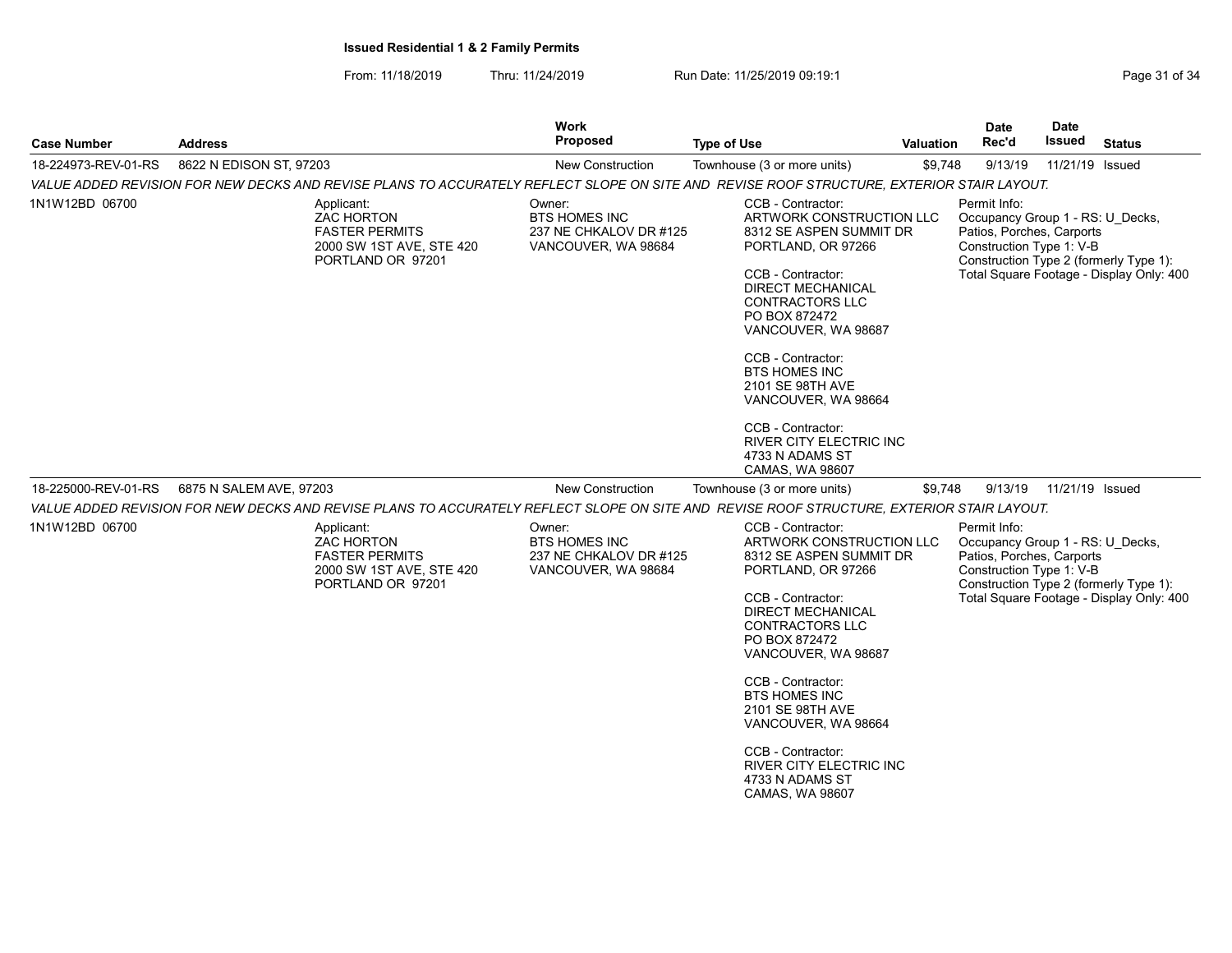From: 11/18/2019 Thru: 11/24/2019 Run Date: 11/25/2019 09:19:1 Company Page 31 of 34

| <b>Case Number</b>  | <b>Address</b>                                                                                                                            | Work<br><b>Proposed</b>                                                         | <b>Type of Use</b>                                                                                                                                                                                                                                                                                                                                                                               | <b>Valuation</b> | Date<br>Rec'd                                                                                             | Date<br>Issued  | <b>Status</b>                                                                      |
|---------------------|-------------------------------------------------------------------------------------------------------------------------------------------|---------------------------------------------------------------------------------|--------------------------------------------------------------------------------------------------------------------------------------------------------------------------------------------------------------------------------------------------------------------------------------------------------------------------------------------------------------------------------------------------|------------------|-----------------------------------------------------------------------------------------------------------|-----------------|------------------------------------------------------------------------------------|
| 18-224973-REV-01-RS | 8622 N EDISON ST, 97203                                                                                                                   | New Construction                                                                | Townhouse (3 or more units)                                                                                                                                                                                                                                                                                                                                                                      | \$9,748          | 9/13/19                                                                                                   | 11/21/19 Issued |                                                                                    |
|                     | VALUE ADDED REVISION FOR NEW DECKS AND REVISE PLANS TO ACCURATELY REFLECT SLOPE ON SITE AND REVISE ROOF STRUCTURE, EXTERIOR STAIR LAYOUT. |                                                                                 |                                                                                                                                                                                                                                                                                                                                                                                                  |                  |                                                                                                           |                 |                                                                                    |
| 1N1W12BD 06700      | Applicant:<br><b>ZAC HORTON</b><br><b>FASTER PERMITS</b><br>2000 SW 1ST AVE, STE 420<br>PORTLAND OR 97201                                 | Owner:<br><b>BTS HOMES INC</b><br>237 NE CHKALOV DR #125<br>VANCOUVER, WA 98684 | CCB - Contractor:<br>ARTWORK CONSTRUCTION LLC<br>8312 SE ASPEN SUMMIT DR<br>PORTLAND, OR 97266<br>CCB - Contractor:<br><b>DIRECT MECHANICAL</b><br><b>CONTRACTORS LLC</b><br>PO BOX 872472<br>VANCOUVER, WA 98687<br>CCB - Contractor:<br><b>BTS HOMES INC</b><br>2101 SE 98TH AVE<br>VANCOUVER, WA 98664<br>CCB - Contractor:<br>RIVER CITY ELECTRIC INC<br>4733 N ADAMS ST                     |                  | Permit Info:<br>Occupancy Group 1 - RS: U Decks,<br>Patios, Porches, Carports<br>Construction Type 1: V-B |                 | Construction Type 2 (formerly Type 1):<br>Total Square Footage - Display Only: 400 |
| 18-225000-REV-01-RS | 6875 N SALEM AVE, 97203                                                                                                                   | <b>New Construction</b>                                                         | CAMAS, WA 98607<br>Townhouse (3 or more units)                                                                                                                                                                                                                                                                                                                                                   | \$9,748          | 9/13/19                                                                                                   | 11/21/19 Issued |                                                                                    |
|                     | VALUE ADDED REVISION FOR NEW DECKS AND REVISE PLANS TO ACCURATELY REFLECT SLOPE ON SITE AND REVISE ROOF STRUCTURE, EXTERIOR STAIR LAYOUT. |                                                                                 |                                                                                                                                                                                                                                                                                                                                                                                                  |                  |                                                                                                           |                 |                                                                                    |
| 1N1W12BD 06700      | Applicant:<br><b>ZAC HORTON</b><br><b>FASTER PERMITS</b><br>2000 SW 1ST AVE, STE 420<br>PORTLAND OR 97201                                 | Owner:<br><b>BTS HOMES INC</b><br>237 NE CHKALOV DR #125<br>VANCOUVER, WA 98684 | CCB - Contractor:<br>ARTWORK CONSTRUCTION LLC<br>8312 SE ASPEN SUMMIT DR<br>PORTLAND, OR 97266<br>CCB - Contractor:<br><b>DIRECT MECHANICAL</b><br>CONTRACTORS LLC<br>PO BOX 872472<br>VANCOUVER, WA 98687<br>CCB - Contractor:<br><b>BTS HOMES INC</b><br>2101 SE 98TH AVE<br>VANCOUVER, WA 98664<br>CCB - Contractor:<br><b>RIVER CITY ELECTRIC INC.</b><br>4733 N ADAMS ST<br>CAMAS, WA 98607 |                  | Permit Info:<br>Occupancy Group 1 - RS: U Decks,<br>Patios, Porches, Carports<br>Construction Type 1: V-B |                 | Construction Type 2 (formerly Type 1):<br>Total Square Footage - Display Only: 400 |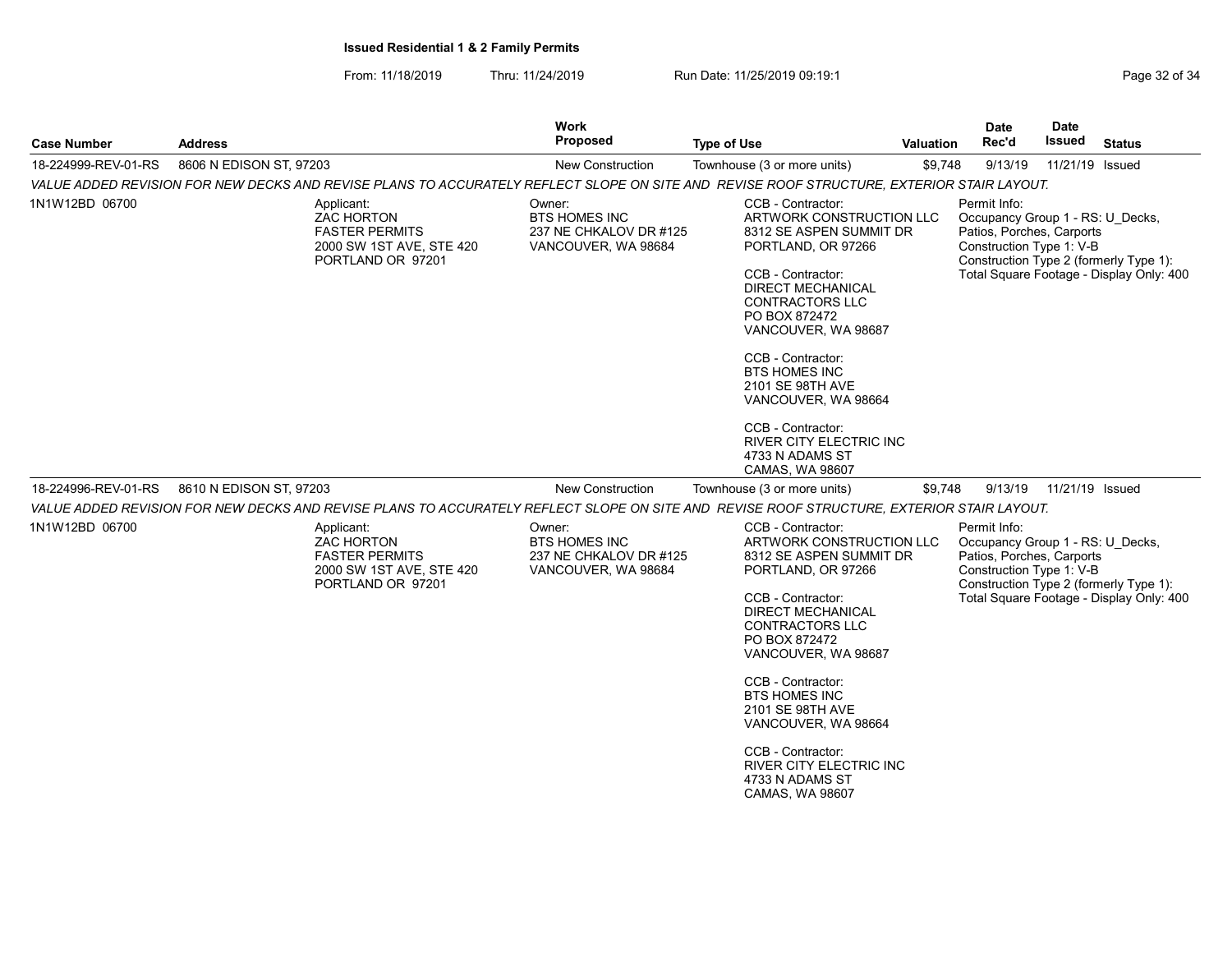From: 11/18/2019 Thru: 11/24/2019 Run Date: 11/25/2019 09:19:1 Company Page 32 of 34

| <b>Case Number</b>  | <b>Address</b>                                                                                                                            | Work<br>Proposed                                                                | <b>Type of Use</b>                                                                                                                                                                                                                                                                                                                                                                                      | <b>Valuation</b> | <b>Date</b><br>Rec'd                                                                                      | <b>Date</b><br>Issued | <b>Status</b>                                                                      |  |  |
|---------------------|-------------------------------------------------------------------------------------------------------------------------------------------|---------------------------------------------------------------------------------|---------------------------------------------------------------------------------------------------------------------------------------------------------------------------------------------------------------------------------------------------------------------------------------------------------------------------------------------------------------------------------------------------------|------------------|-----------------------------------------------------------------------------------------------------------|-----------------------|------------------------------------------------------------------------------------|--|--|
| 18-224999-REV-01-RS | 8606 N EDISON ST, 97203                                                                                                                   | <b>New Construction</b>                                                         | Townhouse (3 or more units)                                                                                                                                                                                                                                                                                                                                                                             | \$9,748          | 9/13/19                                                                                                   | 11/21/19 Issued       |                                                                                    |  |  |
|                     |                                                                                                                                           |                                                                                 | VALUE ADDED REVISION FOR NEW DECKS AND REVISE PLANS TO ACCURATELY REFLECT SLOPE ON SITE AND REVISE ROOF STRUCTURE, EXTERIOR STAIR LAYOUT.                                                                                                                                                                                                                                                               |                  |                                                                                                           |                       |                                                                                    |  |  |
| 1N1W12BD 06700      | Applicant:<br>ZAC HORTON<br><b>FASTER PERMITS</b><br>2000 SW 1ST AVE, STE 420<br>PORTLAND OR 97201                                        | Owner:<br><b>BTS HOMES INC</b><br>237 NE CHKALOV DR #125<br>VANCOUVER, WA 98684 | CCB - Contractor:<br>ARTWORK CONSTRUCTION LLC<br>8312 SE ASPEN SUMMIT DR<br>PORTLAND, OR 97266<br>CCB - Contractor:<br><b>DIRECT MECHANICAL</b><br><b>CONTRACTORS LLC</b><br>PO BOX 872472<br>VANCOUVER, WA 98687<br>CCB - Contractor:<br><b>BTS HOMES INC</b><br>2101 SE 98TH AVE<br>VANCOUVER, WA 98664<br>CCB - Contractor:<br>RIVER CITY ELECTRIC INC<br>4733 N ADAMS ST<br>CAMAS, WA 98607         |                  | Permit Info:<br>Occupancy Group 1 - RS: U Decks,<br>Patios, Porches, Carports<br>Construction Type 1: V-B |                       | Construction Type 2 (formerly Type 1):<br>Total Square Footage - Display Only: 400 |  |  |
| 18-224996-REV-01-RS | 8610 N EDISON ST, 97203                                                                                                                   | <b>New Construction</b>                                                         | Townhouse (3 or more units)                                                                                                                                                                                                                                                                                                                                                                             | \$9,748          | 9/13/19                                                                                                   | 11/21/19 Issued       |                                                                                    |  |  |
|                     | VALUE ADDED REVISION FOR NEW DECKS AND REVISE PLANS TO ACCURATELY REFLECT SLOPE ON SITE AND REVISE ROOF STRUCTURE, EXTERIOR STAIR LAYOUT. |                                                                                 |                                                                                                                                                                                                                                                                                                                                                                                                         |                  |                                                                                                           |                       |                                                                                    |  |  |
| 1N1W12BD 06700      | Applicant:<br><b>ZAC HORTON</b><br><b>FASTER PERMITS</b><br>2000 SW 1ST AVE, STE 420<br>PORTLAND OR 97201                                 | Owner:<br><b>BTS HOMES INC</b><br>237 NE CHKALOV DR #125<br>VANCOUVER, WA 98684 | CCB - Contractor:<br>ARTWORK CONSTRUCTION LLC<br>8312 SE ASPEN SUMMIT DR<br>PORTLAND, OR 97266<br>CCB - Contractor:<br><b>DIRECT MECHANICAL</b><br><b>CONTRACTORS LLC</b><br>PO BOX 872472<br>VANCOUVER, WA 98687<br>CCB - Contractor:<br><b>BTS HOMES INC</b><br>2101 SE 98TH AVE<br>VANCOUVER, WA 98664<br>CCB - Contractor:<br><b>RIVER CITY ELECTRIC INC.</b><br>4733 N ADAMS ST<br>CAMAS, WA 98607 |                  | Permit Info:<br>Occupancy Group 1 - RS: U Decks,<br>Patios, Porches, Carports<br>Construction Type 1: V-B |                       | Construction Type 2 (formerly Type 1):<br>Total Square Footage - Display Only: 400 |  |  |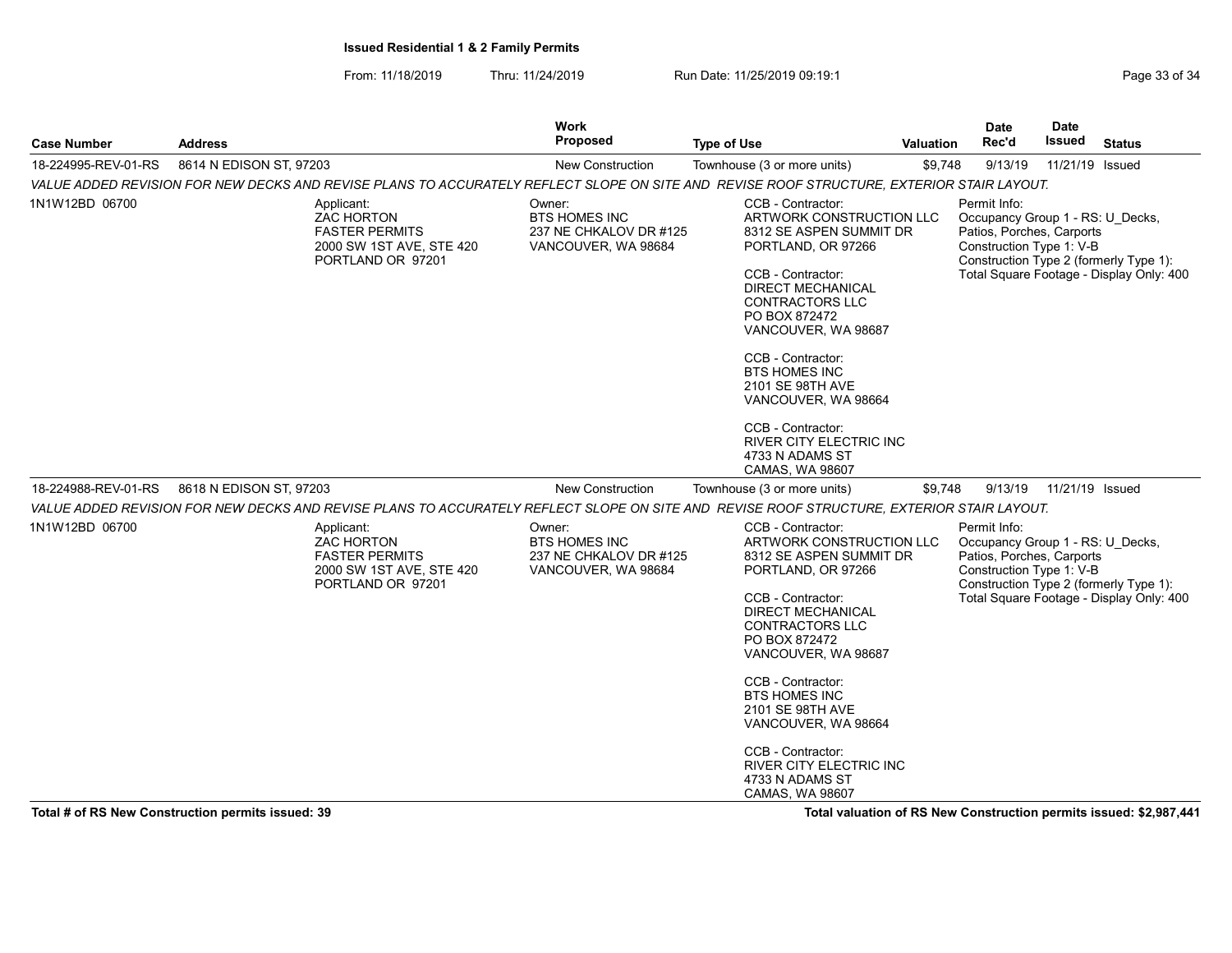From: 11/18/2019 Thru: 11/24/2019 Run Date: 11/25/2019 09:19:1 Company of 34

| <b>Case Number</b>  | <b>Address</b>                                                                                                                            | Work<br><b>Proposed</b>                                                         | <b>Type of Use</b>                                                                                                                                                                                                                                                                                                                                                                              | <b>Valuation</b> | <b>Date</b><br>Rec'd                                                                                      | <b>Date</b><br><b>Issued</b> | <b>Status</b>                                                                      |
|---------------------|-------------------------------------------------------------------------------------------------------------------------------------------|---------------------------------------------------------------------------------|-------------------------------------------------------------------------------------------------------------------------------------------------------------------------------------------------------------------------------------------------------------------------------------------------------------------------------------------------------------------------------------------------|------------------|-----------------------------------------------------------------------------------------------------------|------------------------------|------------------------------------------------------------------------------------|
| 18-224995-REV-01-RS | 8614 N EDISON ST, 97203                                                                                                                   | <b>New Construction</b>                                                         | Townhouse (3 or more units)                                                                                                                                                                                                                                                                                                                                                                     | \$9,748          | 9/13/19                                                                                                   | 11/21/19 Issued              |                                                                                    |
|                     | VALUE ADDED REVISION FOR NEW DECKS AND REVISE PLANS TO ACCURATELY REFLECT SLOPE ON SITE AND REVISE ROOF STRUCTURE, EXTERIOR STAIR LAYOUT. |                                                                                 |                                                                                                                                                                                                                                                                                                                                                                                                 |                  |                                                                                                           |                              |                                                                                    |
| 1N1W12BD 06700      | Applicant:<br><b>ZAC HORTON</b><br><b>FASTER PERMITS</b><br>2000 SW 1ST AVE, STE 420<br>PORTLAND OR 97201                                 | Owner:<br><b>BTS HOMES INC</b><br>237 NE CHKALOV DR #125<br>VANCOUVER, WA 98684 | CCB - Contractor:<br>ARTWORK CONSTRUCTION LLC<br>8312 SE ASPEN SUMMIT DR<br>PORTLAND, OR 97266<br>CCB - Contractor:<br><b>DIRECT MECHANICAL</b><br><b>CONTRACTORS LLC</b><br>PO BOX 872472<br>VANCOUVER, WA 98687<br>CCB - Contractor:<br><b>BTS HOMES INC</b><br>2101 SE 98TH AVE<br>VANCOUVER, WA 98664<br>CCB - Contractor:<br>RIVER CITY ELECTRIC INC<br>4733 N ADAMS ST<br>CAMAS, WA 98607 |                  | Permit Info:<br>Occupancy Group 1 - RS: U Decks,<br>Patios, Porches, Carports<br>Construction Type 1: V-B |                              | Construction Type 2 (formerly Type 1):<br>Total Square Footage - Display Only: 400 |
| 18-224988-REV-01-RS | 8618 N EDISON ST, 97203                                                                                                                   | <b>New Construction</b>                                                         | Townhouse (3 or more units)                                                                                                                                                                                                                                                                                                                                                                     | \$9,748          | 9/13/19                                                                                                   | 11/21/19 Issued              |                                                                                    |
|                     | VALUE ADDED REVISION FOR NEW DECKS AND REVISE PLANS TO ACCURATELY REFLECT SLOPE ON SITE AND REVISE ROOF STRUCTURE, EXTERIOR STAIR LAYOUT. |                                                                                 |                                                                                                                                                                                                                                                                                                                                                                                                 |                  |                                                                                                           |                              |                                                                                    |
| 1N1W12BD 06700      | Applicant:<br><b>ZAC HORTON</b><br><b>FASTER PERMITS</b><br>2000 SW 1ST AVE, STE 420<br>PORTLAND OR 97201                                 | Owner:<br>BTS HOMES INC<br>237 NE CHKALOV DR #125<br>VANCOUVER, WA 98684        | CCB - Contractor:<br>ARTWORK CONSTRUCTION LLC<br>8312 SE ASPEN SUMMIT DR<br>PORTLAND, OR 97266<br>CCB - Contractor:<br><b>DIRECT MECHANICAL</b><br><b>CONTRACTORS LLC</b><br>PO BOX 872472<br>VANCOUVER, WA 98687                                                                                                                                                                               |                  | Permit Info:<br>Occupancy Group 1 - RS: U Decks,<br>Patios, Porches, Carports<br>Construction Type 1: V-B |                              | Construction Type 2 (formerly Type 1):<br>Total Square Footage - Display Only: 400 |
|                     |                                                                                                                                           |                                                                                 | CCB - Contractor:<br><b>BTS HOMES INC</b><br>2101 SE 98TH AVE<br>VANCOUVER, WA 98664<br>CCB - Contractor:<br><b>RIVER CITY ELECTRIC INC</b><br>4733 N ADAMS ST<br>CAMAS, WA 98607                                                                                                                                                                                                               |                  |                                                                                                           |                              |                                                                                    |

Total # of RS New Construction permits issued: 39 Total valuation of RS New Construction permits issued: \$2,987,441